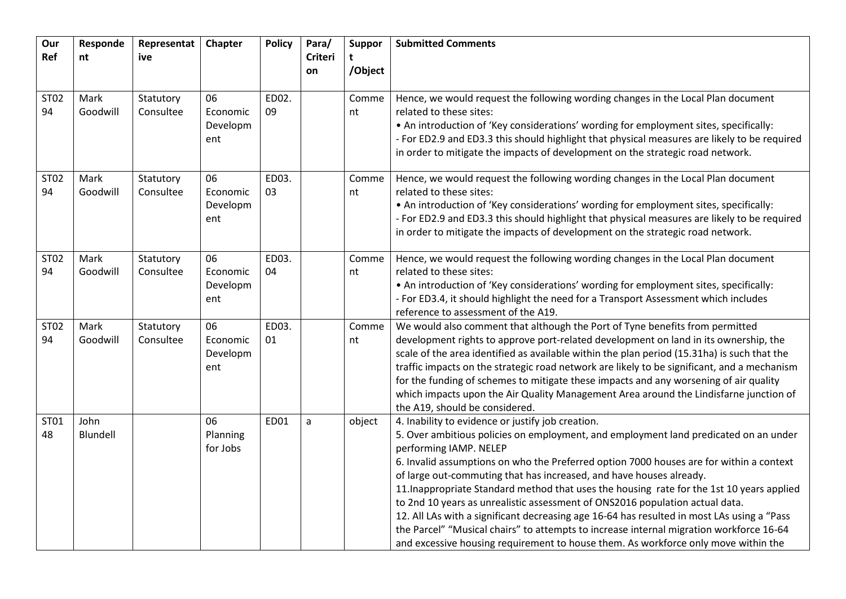| Our<br>Ref        | Responde<br>nt   | Representat<br>ive     | Chapter                           | <b>Policy</b> | Para/<br>Criteri | <b>Suppor</b><br>t | <b>Submitted Comments</b>                                                                                                                                                                                                                                                                                                                                                                                                                                                                                                                                                                                                                                                                                                                                                                         |
|-------------------|------------------|------------------------|-----------------------------------|---------------|------------------|--------------------|---------------------------------------------------------------------------------------------------------------------------------------------------------------------------------------------------------------------------------------------------------------------------------------------------------------------------------------------------------------------------------------------------------------------------------------------------------------------------------------------------------------------------------------------------------------------------------------------------------------------------------------------------------------------------------------------------------------------------------------------------------------------------------------------------|
|                   |                  |                        |                                   |               | on               | /Object            |                                                                                                                                                                                                                                                                                                                                                                                                                                                                                                                                                                                                                                                                                                                                                                                                   |
| <b>ST02</b><br>94 | Mark<br>Goodwill | Statutory<br>Consultee | 06<br>Economic<br>Developm<br>ent | ED02.<br>09   |                  | Comme<br>nt        | Hence, we would request the following wording changes in the Local Plan document<br>related to these sites:<br>. An introduction of 'Key considerations' wording for employment sites, specifically:<br>- For ED2.9 and ED3.3 this should highlight that physical measures are likely to be required<br>in order to mitigate the impacts of development on the strategic road network.                                                                                                                                                                                                                                                                                                                                                                                                            |
| ST02<br>94        | Mark<br>Goodwill | Statutory<br>Consultee | 06<br>Economic<br>Developm<br>ent | ED03.<br>03   |                  | Comme<br>nt        | Hence, we would request the following wording changes in the Local Plan document<br>related to these sites:<br>. An introduction of 'Key considerations' wording for employment sites, specifically:<br>- For ED2.9 and ED3.3 this should highlight that physical measures are likely to be required<br>in order to mitigate the impacts of development on the strategic road network.                                                                                                                                                                                                                                                                                                                                                                                                            |
| ST02<br>94        | Mark<br>Goodwill | Statutory<br>Consultee | 06<br>Economic<br>Developm<br>ent | ED03.<br>04   |                  | Comme<br>nt        | Hence, we would request the following wording changes in the Local Plan document<br>related to these sites:<br>• An introduction of 'Key considerations' wording for employment sites, specifically:<br>- For ED3.4, it should highlight the need for a Transport Assessment which includes<br>reference to assessment of the A19.                                                                                                                                                                                                                                                                                                                                                                                                                                                                |
| ST02<br>94        | Mark<br>Goodwill | Statutory<br>Consultee | 06<br>Economic<br>Developm<br>ent | ED03.<br>01   |                  | Comme<br>nt        | We would also comment that although the Port of Tyne benefits from permitted<br>development rights to approve port-related development on land in its ownership, the<br>scale of the area identified as available within the plan period (15.31ha) is such that the<br>traffic impacts on the strategic road network are likely to be significant, and a mechanism<br>for the funding of schemes to mitigate these impacts and any worsening of air quality<br>which impacts upon the Air Quality Management Area around the Lindisfarne junction of<br>the A19, should be considered.                                                                                                                                                                                                            |
| ST01<br>48        | John<br>Blundell |                        | 06<br>Planning<br>for Jobs        | <b>ED01</b>   | a                | object             | 4. Inability to evidence or justify job creation.<br>5. Over ambitious policies on employment, and employment land predicated on an under<br>performing IAMP. NELEP<br>6. Invalid assumptions on who the Preferred option 7000 houses are for within a context<br>of large out-commuting that has increased, and have houses already.<br>11. Inappropriate Standard method that uses the housing rate for the 1st 10 years applied<br>to 2nd 10 years as unrealistic assessment of ONS2016 population actual data.<br>12. All LAs with a significant decreasing age 16-64 has resulted in most LAs using a "Pass<br>the Parcel" "Musical chairs" to attempts to increase internal migration workforce 16-64<br>and excessive housing requirement to house them. As workforce only move within the |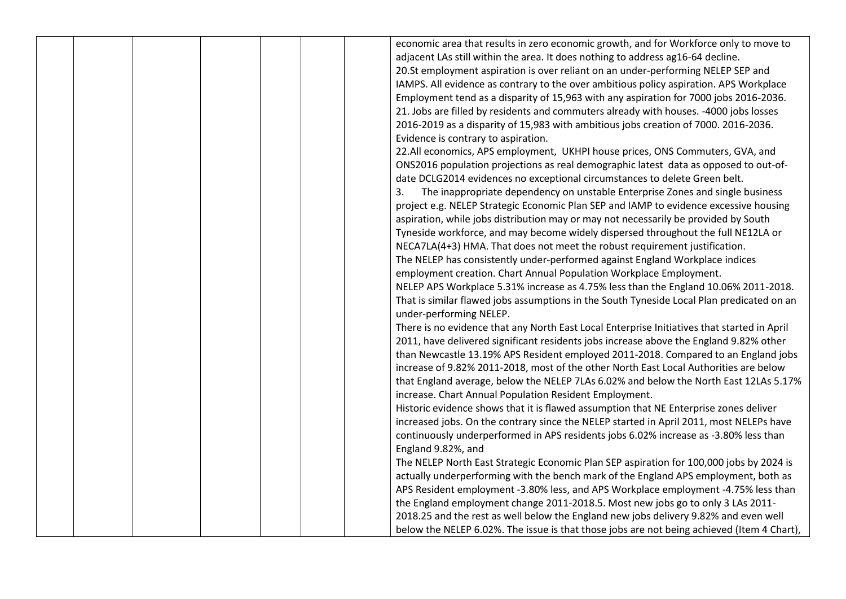|  |  |  | economic area that results in zero economic growth, and for Workforce only to move to       |
|--|--|--|---------------------------------------------------------------------------------------------|
|  |  |  | adjacent LAs still within the area. It does nothing to address ag16-64 decline.             |
|  |  |  | 20.St employment aspiration is over reliant on an under-performing NELEP SEP and            |
|  |  |  | IAMPS. All evidence as contrary to the over ambitious policy aspiration. APS Workplace      |
|  |  |  | Employment tend as a disparity of 15,963 with any aspiration for 7000 jobs 2016-2036.       |
|  |  |  | 21. Jobs are filled by residents and commuters already with houses. -4000 jobs losses       |
|  |  |  | 2016-2019 as a disparity of 15,983 with ambitious jobs creation of 7000. 2016-2036.         |
|  |  |  | Evidence is contrary to aspiration.                                                         |
|  |  |  | 22.All economics, APS employment, UKHPI house prices, ONS Commuters, GVA, and               |
|  |  |  | ONS2016 population projections as real demographic latest data as opposed to out-of-        |
|  |  |  | date DCLG2014 evidences no exceptional circumstances to delete Green belt.                  |
|  |  |  | The inappropriate dependency on unstable Enterprise Zones and single business<br>3.         |
|  |  |  | project e.g. NELEP Strategic Economic Plan SEP and IAMP to evidence excessive housing       |
|  |  |  | aspiration, while jobs distribution may or may not necessarily be provided by South         |
|  |  |  | Tyneside workforce, and may become widely dispersed throughout the full NE12LA or           |
|  |  |  | NECA7LA(4+3) HMA. That does not meet the robust requirement justification.                  |
|  |  |  | The NELEP has consistently under-performed against England Workplace indices                |
|  |  |  | employment creation. Chart Annual Population Workplace Employment.                          |
|  |  |  | NELEP APS Workplace 5.31% increase as 4.75% less than the England 10.06% 2011-2018.         |
|  |  |  | That is similar flawed jobs assumptions in the South Tyneside Local Plan predicated on an   |
|  |  |  | under-performing NELEP.                                                                     |
|  |  |  | There is no evidence that any North East Local Enterprise Initiatives that started in April |
|  |  |  | 2011, have delivered significant residents jobs increase above the England 9.82% other      |
|  |  |  | than Newcastle 13.19% APS Resident employed 2011-2018. Compared to an England jobs          |
|  |  |  | increase of 9.82% 2011-2018, most of the other North East Local Authorities are below       |
|  |  |  | that England average, below the NELEP 7LAs 6.02% and below the North East 12LAs 5.17%       |
|  |  |  | increase. Chart Annual Population Resident Employment.                                      |
|  |  |  | Historic evidence shows that it is flawed assumption that NE Enterprise zones deliver       |
|  |  |  | increased jobs. On the contrary since the NELEP started in April 2011, most NELEPs have     |
|  |  |  | continuously underperformed in APS residents jobs 6.02% increase as -3.80% less than        |
|  |  |  | England 9.82%, and                                                                          |
|  |  |  | The NELEP North East Strategic Economic Plan SEP aspiration for 100,000 jobs by 2024 is     |
|  |  |  | actually underperforming with the bench mark of the England APS employment, both as         |
|  |  |  | APS Resident employment -3.80% less, and APS Workplace employment -4.75% less than          |
|  |  |  | the England employment change 2011-2018.5. Most new jobs go to only 3 LAs 2011-             |
|  |  |  | 2018.25 and the rest as well below the England new jobs delivery 9.82% and even well        |
|  |  |  | below the NELEP 6.02%. The issue is that those jobs are not being achieved (Item 4 Chart),  |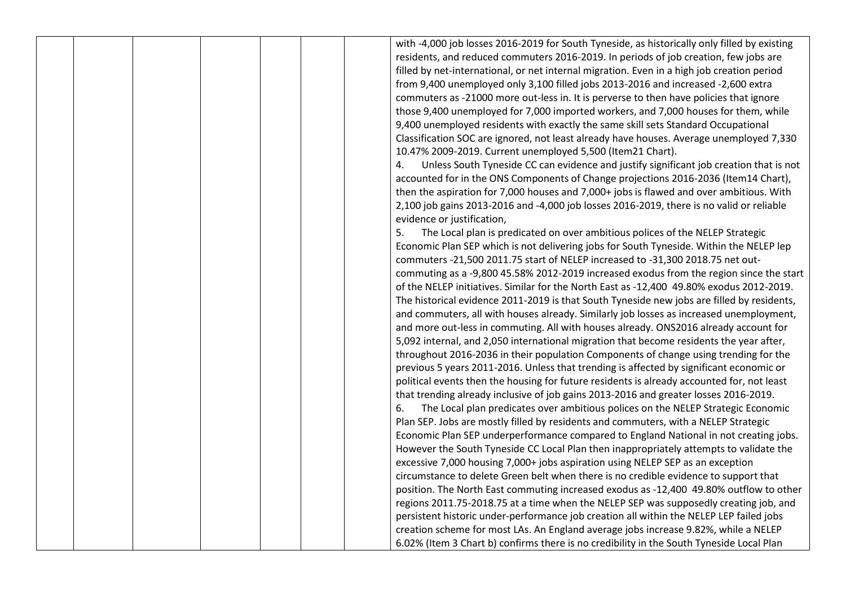with -4,000 job losses 2016-2019 for South Tyneside, as historically only filled by existing residents, and reduced commuters 2016-2019. In periods of job creation, few jobs are filled by net-international, or net internal migration. Even in a high job creation period from 9,400 unemployed only 3,100 filled jobs 2013-2016 and increased -2,600 extra commuters as -21000 more out-less in. It is perverse to then have policies that ignore those 9,400 unemployed for 7,000 imported workers, and 7,000 houses for them, while 9,400 unemployed residents with exactly the same skill sets Standard Occupational Classification SOC are ignored, not least already have houses. Average unemployed 7,330 10.47% 2009-2019. Current unemployed 5,500 (Item21 Chart).

4. Unless South Tyneside CC can evidence and justify significant job creation that is not accounted for in the ONS Components of Change projections 2016-2036 (Item14 Chart), then the aspiration for 7,000 houses and 7,000+ jobs is flawed and over ambitious. With 2,100 job gains 2013-2016 and -4,000 job losses 2016-2019, there is no valid or reliable evidence or justification,

5. The Local plan is predicated on over ambitious polices of the NELEP Strategic Economic Plan SEP which is not delivering jobs for South Tyneside. Within the NELEP lep commuters -21,500 2011.75 start of NELEP increased to -31,300 2018.75 net outcommuting as a -9,800 45.58% 2012-2019 increased exodus from the region since the start of the NELEP initiatives. Similar for the North East as -12,400 49.80% exodus 2012-2019. The historical evidence 2011-2019 is that South Tyneside new jobs are filled by residents, and commuters, all with houses already. Similarly job losses as increased unemployment, and more out-less in commuting. All with houses already. ONS2016 already account for 5,092 internal, and 2,050 international migration that become residents the year after, throughout 2016-2036 in their population Components of change using trending for the previous 5 years 2011-2016. Unless that trending is affected by significant economic or political events then the housing for future residents is already accounted for, not least that trending already inclusive of job gains 2013-2016 and greater losses 2016-2019. 6. The Local plan predicates over ambitious polices on the NELEP Strategic Economic Plan SEP. Jobs are mostly filled by residents and commuters, with a NELEP Strategic Economic Plan SEP underperformance compared to England National in not creating jobs. However the South Tyneside CC Local Plan then inappropriately attempts to validate the excessive 7,000 housing 7,000+ jobs aspiration using NELEP SEP as an exception circumstance to delete Green belt when there is no credible evidence to support that position. The North East commuting increased exodus as -12,400 49.80% outflow to other regions 2011.75-2018.75 at a time when the NELEP SEP was supposedly creating job, and persistent historic under-performance job creation all within the NELEP LEP failed jobs creation scheme for most LAs. An England average jobs increase 9.82%, while a NELEP 6.02% (Item 3 Chart b) confirms there is no credibility in the South Tyneside Local Plan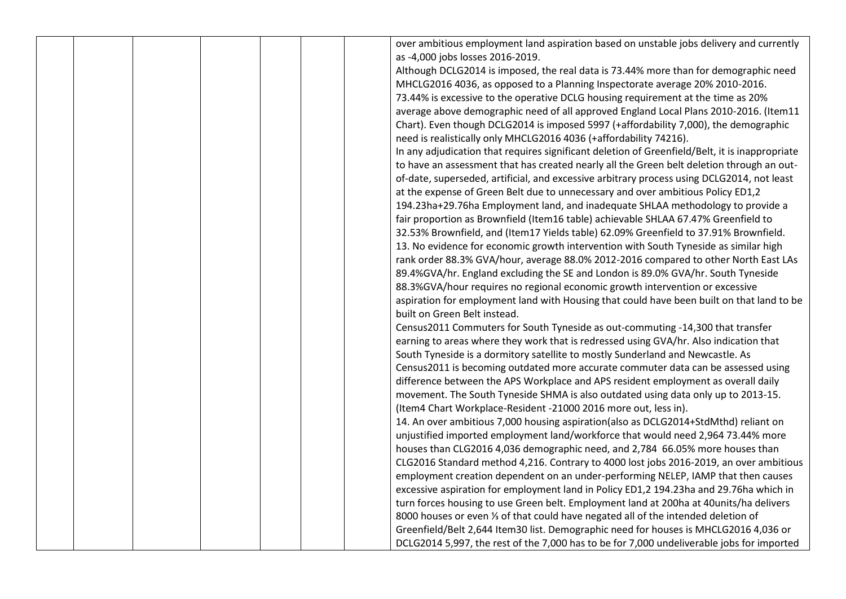|  |  |  | over ambitious employment land aspiration based on unstable jobs delivery and currently        |
|--|--|--|------------------------------------------------------------------------------------------------|
|  |  |  |                                                                                                |
|  |  |  | as -4,000 jobs losses 2016-2019.                                                               |
|  |  |  | Although DCLG2014 is imposed, the real data is 73.44% more than for demographic need           |
|  |  |  | MHCLG2016 4036, as opposed to a Planning Inspectorate average 20% 2010-2016.                   |
|  |  |  | 73.44% is excessive to the operative DCLG housing requirement at the time as 20%               |
|  |  |  | average above demographic need of all approved England Local Plans 2010-2016. (Item11          |
|  |  |  | Chart). Even though DCLG2014 is imposed 5997 (+affordability 7,000), the demographic           |
|  |  |  | need is realistically only MHCLG2016 4036 (+affordability 74216).                              |
|  |  |  | In any adjudication that requires significant deletion of Greenfield/Belt, it is inappropriate |
|  |  |  | to have an assessment that has created nearly all the Green belt deletion through an out-      |
|  |  |  | of-date, superseded, artificial, and excessive arbitrary process using DCLG2014, not least     |
|  |  |  | at the expense of Green Belt due to unnecessary and over ambitious Policy ED1,2                |
|  |  |  | 194.23ha+29.76ha Employment land, and inadequate SHLAA methodology to provide a                |
|  |  |  | fair proportion as Brownfield (Item16 table) achievable SHLAA 67.47% Greenfield to             |
|  |  |  | 32.53% Brownfield, and (Item17 Yields table) 62.09% Greenfield to 37.91% Brownfield.           |
|  |  |  | 13. No evidence for economic growth intervention with South Tyneside as similar high           |
|  |  |  | rank order 88.3% GVA/hour, average 88.0% 2012-2016 compared to other North East LAs            |
|  |  |  | 89.4%GVA/hr. England excluding the SE and London is 89.0% GVA/hr. South Tyneside               |
|  |  |  | 88.3%GVA/hour requires no regional economic growth intervention or excessive                   |
|  |  |  | aspiration for employment land with Housing that could have been built on that land to be      |
|  |  |  | built on Green Belt instead.                                                                   |
|  |  |  | Census2011 Commuters for South Tyneside as out-commuting -14,300 that transfer                 |
|  |  |  | earning to areas where they work that is redressed using GVA/hr. Also indication that          |
|  |  |  | South Tyneside is a dormitory satellite to mostly Sunderland and Newcastle. As                 |
|  |  |  | Census2011 is becoming outdated more accurate commuter data can be assessed using              |
|  |  |  | difference between the APS Workplace and APS resident employment as overall daily              |
|  |  |  | movement. The South Tyneside SHMA is also outdated using data only up to 2013-15.              |
|  |  |  | (Item4 Chart Workplace-Resident -21000 2016 more out, less in).                                |
|  |  |  |                                                                                                |
|  |  |  | 14. An over ambitious 7,000 housing aspiration(also as DCLG2014+StdMthd) reliant on            |
|  |  |  | unjustified imported employment land/workforce that would need 2,964 73.44% more               |
|  |  |  | houses than CLG2016 4,036 demographic need, and 2,784 66.05% more houses than                  |
|  |  |  | CLG2016 Standard method 4,216. Contrary to 4000 lost jobs 2016-2019, an over ambitious         |
|  |  |  | employment creation dependent on an under-performing NELEP, IAMP that then causes              |
|  |  |  | excessive aspiration for employment land in Policy ED1,2 194.23ha and 29.76ha which in         |
|  |  |  | turn forces housing to use Green belt. Employment land at 200ha at 40units/ha delivers         |
|  |  |  | 8000 houses or even 1/3 of that could have negated all of the intended deletion of             |
|  |  |  | Greenfield/Belt 2,644 Item30 list. Demographic need for houses is MHCLG2016 4,036 or           |
|  |  |  | DCLG2014 5,997, the rest of the 7,000 has to be for 7,000 undeliverable jobs for imported      |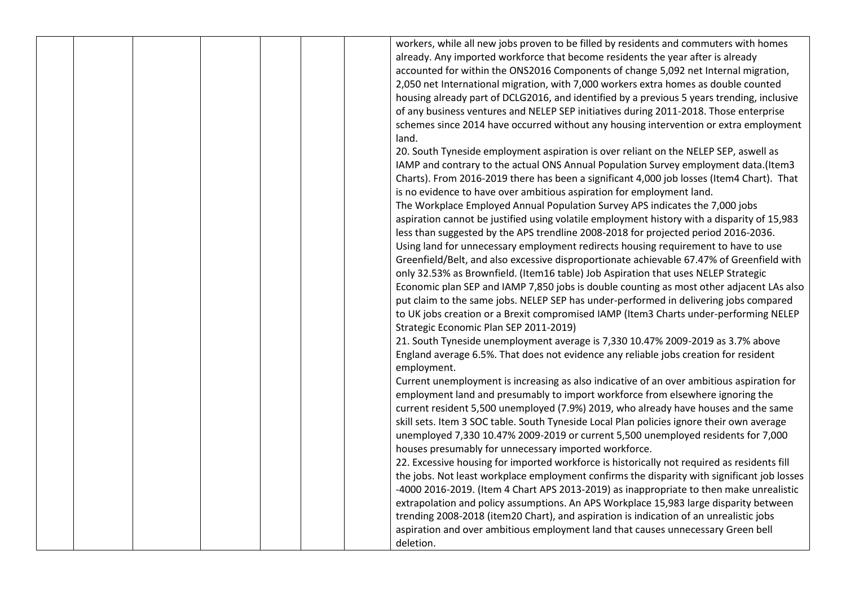|  |  |  | workers, while all new jobs proven to be filled by residents and commuters with homes       |
|--|--|--|---------------------------------------------------------------------------------------------|
|  |  |  | already. Any imported workforce that become residents the year after is already             |
|  |  |  | accounted for within the ONS2016 Components of change 5,092 net Internal migration,         |
|  |  |  | 2,050 net International migration, with 7,000 workers extra homes as double counted         |
|  |  |  | housing already part of DCLG2016, and identified by a previous 5 years trending, inclusive  |
|  |  |  | of any business ventures and NELEP SEP initiatives during 2011-2018. Those enterprise       |
|  |  |  | schemes since 2014 have occurred without any housing intervention or extra employment       |
|  |  |  | land.                                                                                       |
|  |  |  | 20. South Tyneside employment aspiration is over reliant on the NELEP SEP, aswell as        |
|  |  |  | IAMP and contrary to the actual ONS Annual Population Survey employment data.(Item3         |
|  |  |  | Charts). From 2016-2019 there has been a significant 4,000 job losses (Item4 Chart). That   |
|  |  |  | is no evidence to have over ambitious aspiration for employment land.                       |
|  |  |  | The Workplace Employed Annual Population Survey APS indicates the 7,000 jobs                |
|  |  |  | aspiration cannot be justified using volatile employment history with a disparity of 15,983 |
|  |  |  | less than suggested by the APS trendline 2008-2018 for projected period 2016-2036.          |
|  |  |  | Using land for unnecessary employment redirects housing requirement to have to use          |
|  |  |  | Greenfield/Belt, and also excessive disproportionate achievable 67.47% of Greenfield with   |
|  |  |  | only 32.53% as Brownfield. (Item16 table) Job Aspiration that uses NELEP Strategic          |
|  |  |  | Economic plan SEP and IAMP 7,850 jobs is double counting as most other adjacent LAs also    |
|  |  |  | put claim to the same jobs. NELEP SEP has under-performed in delivering jobs compared       |
|  |  |  | to UK jobs creation or a Brexit compromised IAMP (Item3 Charts under-performing NELEP       |
|  |  |  | Strategic Economic Plan SEP 2011-2019)                                                      |
|  |  |  | 21. South Tyneside unemployment average is 7,330 10.47% 2009-2019 as 3.7% above             |
|  |  |  | England average 6.5%. That does not evidence any reliable jobs creation for resident        |
|  |  |  | employment.                                                                                 |
|  |  |  | Current unemployment is increasing as also indicative of an over ambitious aspiration for   |
|  |  |  | employment land and presumably to import workforce from elsewhere ignoring the              |
|  |  |  | current resident 5,500 unemployed (7.9%) 2019, who already have houses and the same         |
|  |  |  | skill sets. Item 3 SOC table. South Tyneside Local Plan policies ignore their own average   |
|  |  |  | unemployed 7,330 10.47% 2009-2019 or current 5,500 unemployed residents for 7,000           |
|  |  |  | houses presumably for unnecessary imported workforce.                                       |
|  |  |  | 22. Excessive housing for imported workforce is historically not required as residents fill |
|  |  |  | the jobs. Not least workplace employment confirms the disparity with significant job losses |
|  |  |  | -4000 2016-2019. (Item 4 Chart APS 2013-2019) as inappropriate to then make unrealistic     |
|  |  |  | extrapolation and policy assumptions. An APS Workplace 15,983 large disparity between       |
|  |  |  | trending 2008-2018 (item20 Chart), and aspiration is indication of an unrealistic jobs      |
|  |  |  | aspiration and over ambitious employment land that causes unnecessary Green bell            |
|  |  |  | deletion.                                                                                   |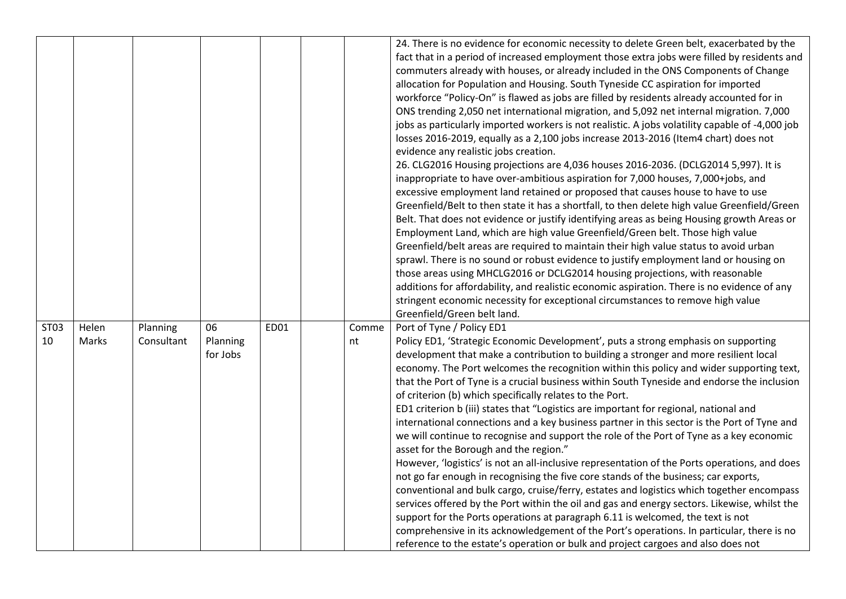|            |                |                        |                            |      |             | 24. There is no evidence for economic necessity to delete Green belt, exacerbated by the<br>fact that in a period of increased employment those extra jobs were filled by residents and<br>commuters already with houses, or already included in the ONS Components of Change<br>allocation for Population and Housing. South Tyneside CC aspiration for imported<br>workforce "Policy-On" is flawed as jobs are filled by residents already accounted for in<br>ONS trending 2,050 net international migration, and 5,092 net internal migration. 7,000<br>jobs as particularly imported workers is not realistic. A jobs volatility capable of -4,000 job<br>losses 2016-2019, equally as a 2,100 jobs increase 2013-2016 (Item4 chart) does not<br>evidence any realistic jobs creation.<br>26. CLG2016 Housing projections are 4,036 houses 2016-2036. (DCLG2014 5,997). It is<br>inappropriate to have over-ambitious aspiration for 7,000 houses, 7,000+jobs, and<br>excessive employment land retained or proposed that causes house to have to use<br>Greenfield/Belt to then state it has a shortfall, to then delete high value Greenfield/Green<br>Belt. That does not evidence or justify identifying areas as being Housing growth Areas or<br>Employment Land, which are high value Greenfield/Green belt. Those high value<br>Greenfield/belt areas are required to maintain their high value status to avoid urban<br>sprawl. There is no sound or robust evidence to justify employment land or housing on<br>those areas using MHCLG2016 or DCLG2014 housing projections, with reasonable<br>additions for affordability, and realistic economic aspiration. There is no evidence of any<br>stringent economic necessity for exceptional circumstances to remove high value<br>Greenfield/Green belt land. |
|------------|----------------|------------------------|----------------------------|------|-------------|------------------------------------------------------------------------------------------------------------------------------------------------------------------------------------------------------------------------------------------------------------------------------------------------------------------------------------------------------------------------------------------------------------------------------------------------------------------------------------------------------------------------------------------------------------------------------------------------------------------------------------------------------------------------------------------------------------------------------------------------------------------------------------------------------------------------------------------------------------------------------------------------------------------------------------------------------------------------------------------------------------------------------------------------------------------------------------------------------------------------------------------------------------------------------------------------------------------------------------------------------------------------------------------------------------------------------------------------------------------------------------------------------------------------------------------------------------------------------------------------------------------------------------------------------------------------------------------------------------------------------------------------------------------------------------------------------------------------------------------------------------------------------------------------------------------------------|
| ST03<br>10 | Helen<br>Marks | Planning<br>Consultant | 06<br>Planning<br>for Jobs | ED01 | Comme<br>nt | Port of Tyne / Policy ED1<br>Policy ED1, 'Strategic Economic Development', puts a strong emphasis on supporting<br>development that make a contribution to building a stronger and more resilient local<br>economy. The Port welcomes the recognition within this policy and wider supporting text,<br>that the Port of Tyne is a crucial business within South Tyneside and endorse the inclusion<br>of criterion (b) which specifically relates to the Port.<br>ED1 criterion b (iii) states that "Logistics are important for regional, national and<br>international connections and a key business partner in this sector is the Port of Tyne and<br>we will continue to recognise and support the role of the Port of Tyne as a key economic<br>asset for the Borough and the region."<br>However, 'logistics' is not an all-inclusive representation of the Ports operations, and does<br>not go far enough in recognising the five core stands of the business; car exports,<br>conventional and bulk cargo, cruise/ferry, estates and logistics which together encompass<br>services offered by the Port within the oil and gas and energy sectors. Likewise, whilst the<br>support for the Ports operations at paragraph 6.11 is welcomed, the text is not<br>comprehensive in its acknowledgement of the Port's operations. In particular, there is no<br>reference to the estate's operation or bulk and project cargoes and also does not                                                                                                                                                                                                                                                                                                                                                                       |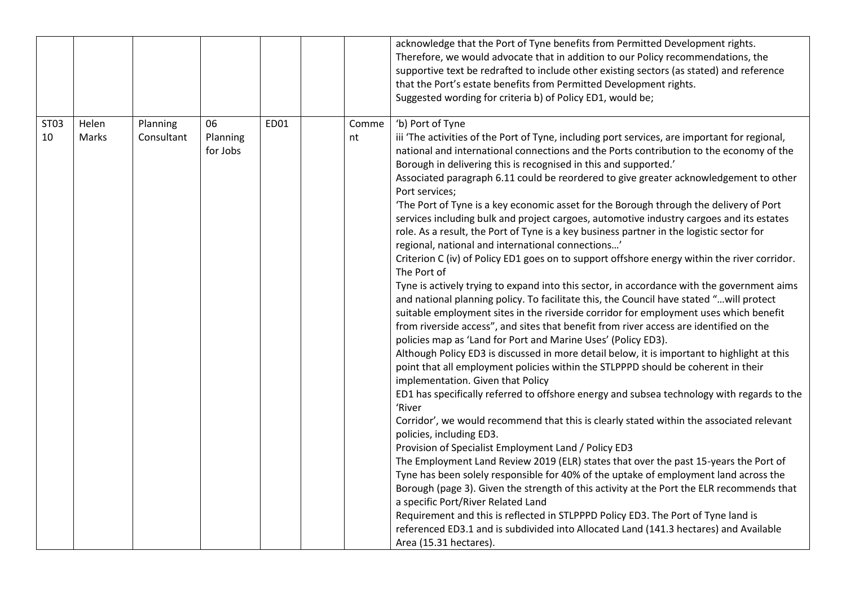|            |                |                        |                            |      |             | acknowledge that the Port of Tyne benefits from Permitted Development rights.<br>Therefore, we would advocate that in addition to our Policy recommendations, the<br>supportive text be redrafted to include other existing sectors (as stated) and reference<br>that the Port's estate benefits from Permitted Development rights.<br>Suggested wording for criteria b) of Policy ED1, would be;                                                                                                                                                                                                                                                                                                                                                                                                                                                                                                                                                                                                                                                                                                                                                                                                                                                                                                                                                                                                                                                                                                                                                                                                                                                                                                                                                                                                                                                                                                                                                                                                                                                                                                                                                                                                                                                                                                                                          |
|------------|----------------|------------------------|----------------------------|------|-------------|--------------------------------------------------------------------------------------------------------------------------------------------------------------------------------------------------------------------------------------------------------------------------------------------------------------------------------------------------------------------------------------------------------------------------------------------------------------------------------------------------------------------------------------------------------------------------------------------------------------------------------------------------------------------------------------------------------------------------------------------------------------------------------------------------------------------------------------------------------------------------------------------------------------------------------------------------------------------------------------------------------------------------------------------------------------------------------------------------------------------------------------------------------------------------------------------------------------------------------------------------------------------------------------------------------------------------------------------------------------------------------------------------------------------------------------------------------------------------------------------------------------------------------------------------------------------------------------------------------------------------------------------------------------------------------------------------------------------------------------------------------------------------------------------------------------------------------------------------------------------------------------------------------------------------------------------------------------------------------------------------------------------------------------------------------------------------------------------------------------------------------------------------------------------------------------------------------------------------------------------------------------------------------------------------------------------------------------------|
| ST03<br>10 | Helen<br>Marks | Planning<br>Consultant | 06<br>Planning<br>for Jobs | ED01 | Comme<br>nt | 'b) Port of Tyne<br>iii 'The activities of the Port of Tyne, including port services, are important for regional,<br>national and international connections and the Ports contribution to the economy of the<br>Borough in delivering this is recognised in this and supported.'<br>Associated paragraph 6.11 could be reordered to give greater acknowledgement to other<br>Port services;<br>'The Port of Tyne is a key economic asset for the Borough through the delivery of Port<br>services including bulk and project cargoes, automotive industry cargoes and its estates<br>role. As a result, the Port of Tyne is a key business partner in the logistic sector for<br>regional, national and international connections'<br>Criterion C (iv) of Policy ED1 goes on to support offshore energy within the river corridor.<br>The Port of<br>Tyne is actively trying to expand into this sector, in accordance with the government aims<br>and national planning policy. To facilitate this, the Council have stated "will protect<br>suitable employment sites in the riverside corridor for employment uses which benefit<br>from riverside access", and sites that benefit from river access are identified on the<br>policies map as 'Land for Port and Marine Uses' (Policy ED3).<br>Although Policy ED3 is discussed in more detail below, it is important to highlight at this<br>point that all employment policies within the STLPPPD should be coherent in their<br>implementation. Given that Policy<br>ED1 has specifically referred to offshore energy and subsea technology with regards to the<br>'River<br>Corridor', we would recommend that this is clearly stated within the associated relevant<br>policies, including ED3.<br>Provision of Specialist Employment Land / Policy ED3<br>The Employment Land Review 2019 (ELR) states that over the past 15-years the Port of<br>Tyne has been solely responsible for 40% of the uptake of employment land across the<br>Borough (page 3). Given the strength of this activity at the Port the ELR recommends that<br>a specific Port/River Related Land<br>Requirement and this is reflected in STLPPPD Policy ED3. The Port of Tyne land is<br>referenced ED3.1 and is subdivided into Allocated Land (141.3 hectares) and Available<br>Area (15.31 hectares). |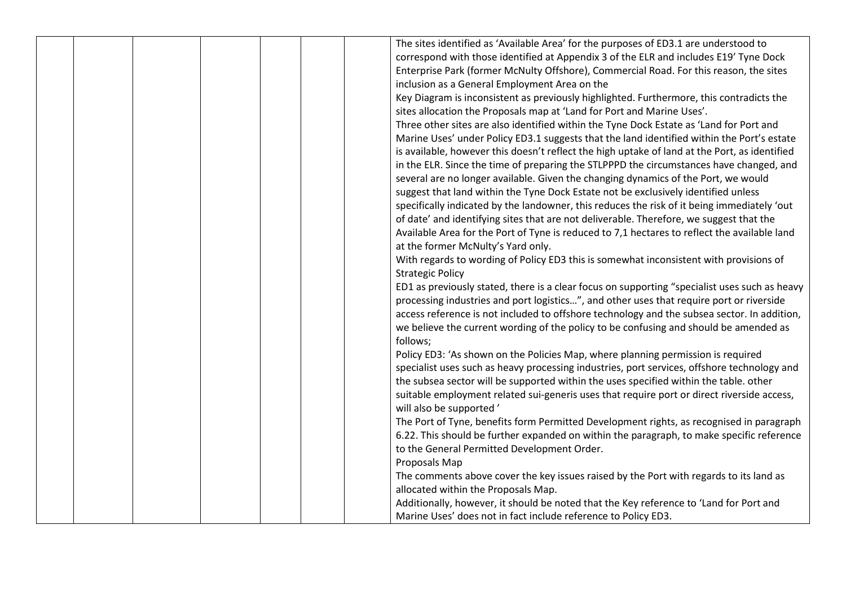|  |  | The sites identified as 'Available Area' for the purposes of ED3.1 are understood to          |
|--|--|-----------------------------------------------------------------------------------------------|
|  |  | correspond with those identified at Appendix 3 of the ELR and includes E19' Tyne Dock         |
|  |  | Enterprise Park (former McNulty Offshore), Commercial Road. For this reason, the sites        |
|  |  | inclusion as a General Employment Area on the                                                 |
|  |  | Key Diagram is inconsistent as previously highlighted. Furthermore, this contradicts the      |
|  |  | sites allocation the Proposals map at 'Land for Port and Marine Uses'.                        |
|  |  | Three other sites are also identified within the Tyne Dock Estate as 'Land for Port and       |
|  |  | Marine Uses' under Policy ED3.1 suggests that the land identified within the Port's estate    |
|  |  | is available, however this doesn't reflect the high uptake of land at the Port, as identified |
|  |  | in the ELR. Since the time of preparing the STLPPPD the circumstances have changed, and       |
|  |  | several are no longer available. Given the changing dynamics of the Port, we would            |
|  |  | suggest that land within the Tyne Dock Estate not be exclusively identified unless            |
|  |  | specifically indicated by the landowner, this reduces the risk of it being immediately 'out   |
|  |  | of date' and identifying sites that are not deliverable. Therefore, we suggest that the       |
|  |  | Available Area for the Port of Tyne is reduced to 7,1 hectares to reflect the available land  |
|  |  | at the former McNulty's Yard only.                                                            |
|  |  | With regards to wording of Policy ED3 this is somewhat inconsistent with provisions of        |
|  |  | <b>Strategic Policy</b>                                                                       |
|  |  | ED1 as previously stated, there is a clear focus on supporting "specialist uses such as heavy |
|  |  | processing industries and port logistics", and other uses that require port or riverside      |
|  |  | access reference is not included to offshore technology and the subsea sector. In addition,   |
|  |  | we believe the current wording of the policy to be confusing and should be amended as         |
|  |  | follows;                                                                                      |
|  |  | Policy ED3: 'As shown on the Policies Map, where planning permission is required              |
|  |  | specialist uses such as heavy processing industries, port services, offshore technology and   |
|  |  | the subsea sector will be supported within the uses specified within the table. other         |
|  |  | suitable employment related sui-generis uses that require port or direct riverside access,    |
|  |  | will also be supported'                                                                       |
|  |  | The Port of Tyne, benefits form Permitted Development rights, as recognised in paragraph      |
|  |  | 6.22. This should be further expanded on within the paragraph, to make specific reference     |
|  |  | to the General Permitted Development Order.                                                   |
|  |  | Proposals Map                                                                                 |
|  |  | The comments above cover the key issues raised by the Port with regards to its land as        |
|  |  | allocated within the Proposals Map.                                                           |
|  |  | Additionally, however, it should be noted that the Key reference to 'Land for Port and        |
|  |  | Marine Uses' does not in fact include reference to Policy ED3.                                |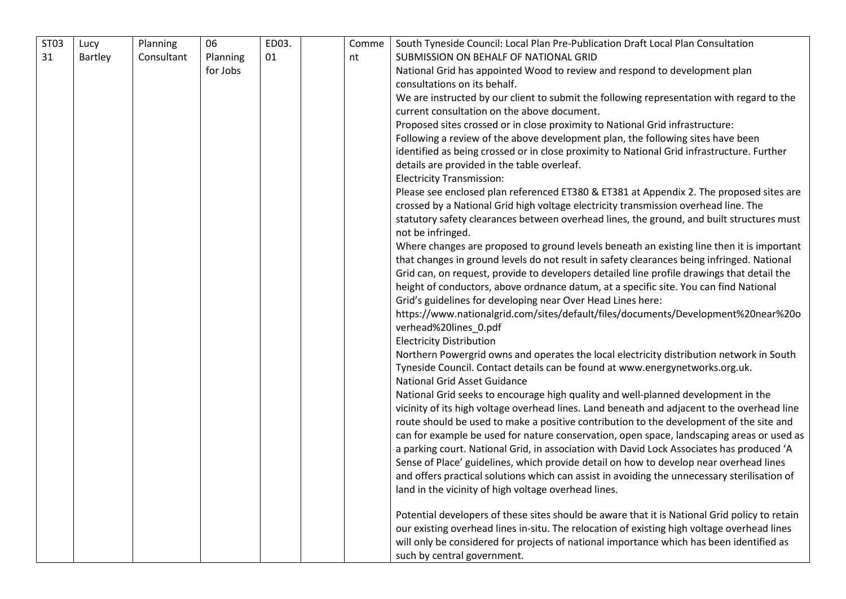| ST03 | Lucy    | Planning   | 06       | ED03. | Comme | South Tyneside Council: Local Plan Pre-Publication Draft Local Plan Consultation              |
|------|---------|------------|----------|-------|-------|-----------------------------------------------------------------------------------------------|
| 31   | Bartley | Consultant | Planning | 01    | nt    | SUBMISSION ON BEHALF OF NATIONAL GRID                                                         |
|      |         |            | for Jobs |       |       | National Grid has appointed Wood to review and respond to development plan                    |
|      |         |            |          |       |       | consultations on its behalf.                                                                  |
|      |         |            |          |       |       | We are instructed by our client to submit the following representation with regard to the     |
|      |         |            |          |       |       | current consultation on the above document.                                                   |
|      |         |            |          |       |       | Proposed sites crossed or in close proximity to National Grid infrastructure:                 |
|      |         |            |          |       |       | Following a review of the above development plan, the following sites have been               |
|      |         |            |          |       |       | identified as being crossed or in close proximity to National Grid infrastructure. Further    |
|      |         |            |          |       |       | details are provided in the table overleaf.                                                   |
|      |         |            |          |       |       | <b>Electricity Transmission:</b>                                                              |
|      |         |            |          |       |       | Please see enclosed plan referenced ET380 & ET381 at Appendix 2. The proposed sites are       |
|      |         |            |          |       |       | crossed by a National Grid high voltage electricity transmission overhead line. The           |
|      |         |            |          |       |       | statutory safety clearances between overhead lines, the ground, and built structures must     |
|      |         |            |          |       |       | not be infringed.                                                                             |
|      |         |            |          |       |       | Where changes are proposed to ground levels beneath an existing line then it is important     |
|      |         |            |          |       |       | that changes in ground levels do not result in safety clearances being infringed. National    |
|      |         |            |          |       |       | Grid can, on request, provide to developers detailed line profile drawings that detail the    |
|      |         |            |          |       |       | height of conductors, above ordnance datum, at a specific site. You can find National         |
|      |         |            |          |       |       | Grid's guidelines for developing near Over Head Lines here:                                   |
|      |         |            |          |       |       | https://www.nationalgrid.com/sites/default/files/documents/Development%20near%20o             |
|      |         |            |          |       |       | verhead%20lines_0.pdf                                                                         |
|      |         |            |          |       |       | <b>Electricity Distribution</b>                                                               |
|      |         |            |          |       |       | Northern Powergrid owns and operates the local electricity distribution network in South      |
|      |         |            |          |       |       | Tyneside Council. Contact details can be found at www.energynetworks.org.uk.                  |
|      |         |            |          |       |       | <b>National Grid Asset Guidance</b>                                                           |
|      |         |            |          |       |       | National Grid seeks to encourage high quality and well-planned development in the             |
|      |         |            |          |       |       | vicinity of its high voltage overhead lines. Land beneath and adjacent to the overhead line   |
|      |         |            |          |       |       | route should be used to make a positive contribution to the development of the site and       |
|      |         |            |          |       |       | can for example be used for nature conservation, open space, landscaping areas or used as     |
|      |         |            |          |       |       | a parking court. National Grid, in association with David Lock Associates has produced 'A     |
|      |         |            |          |       |       | Sense of Place' guidelines, which provide detail on how to develop near overhead lines        |
|      |         |            |          |       |       | and offers practical solutions which can assist in avoiding the unnecessary sterilisation of  |
|      |         |            |          |       |       | land in the vicinity of high voltage overhead lines.                                          |
|      |         |            |          |       |       |                                                                                               |
|      |         |            |          |       |       | Potential developers of these sites should be aware that it is National Grid policy to retain |
|      |         |            |          |       |       | our existing overhead lines in-situ. The relocation of existing high voltage overhead lines   |
|      |         |            |          |       |       | will only be considered for projects of national importance which has been identified as      |
|      |         |            |          |       |       | such by central government.                                                                   |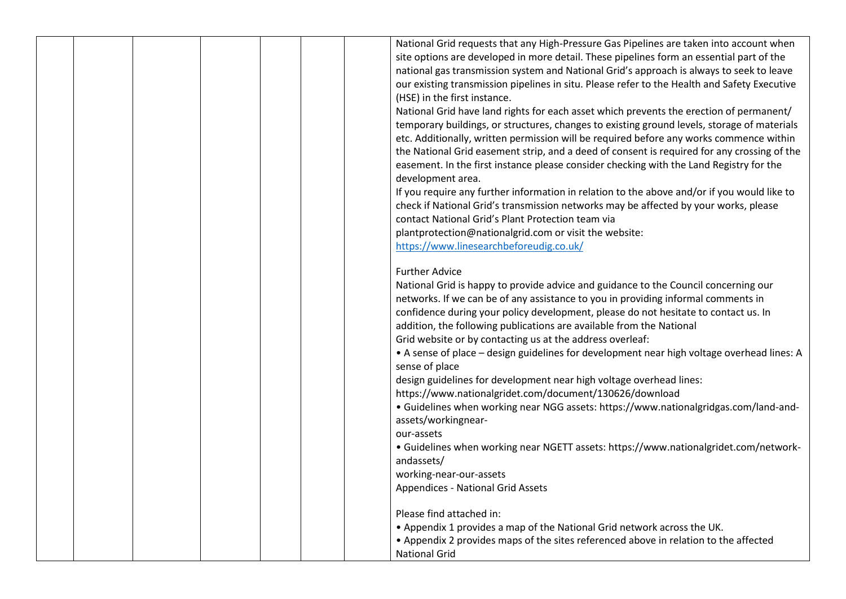|  |  |  | National Grid requests that any High-Pressure Gas Pipelines are taken into account when      |
|--|--|--|----------------------------------------------------------------------------------------------|
|  |  |  | site options are developed in more detail. These pipelines form an essential part of the     |
|  |  |  | national gas transmission system and National Grid's approach is always to seek to leave     |
|  |  |  | our existing transmission pipelines in situ. Please refer to the Health and Safety Executive |
|  |  |  | (HSE) in the first instance.                                                                 |
|  |  |  | National Grid have land rights for each asset which prevents the erection of permanent/      |
|  |  |  | temporary buildings, or structures, changes to existing ground levels, storage of materials  |
|  |  |  | etc. Additionally, written permission will be required before any works commence within      |
|  |  |  | the National Grid easement strip, and a deed of consent is required for any crossing of the  |
|  |  |  | easement. In the first instance please consider checking with the Land Registry for the      |
|  |  |  | development area.                                                                            |
|  |  |  | If you require any further information in relation to the above and/or if you would like to  |
|  |  |  | check if National Grid's transmission networks may be affected by your works, please         |
|  |  |  | contact National Grid's Plant Protection team via                                            |
|  |  |  | plantprotection@nationalgrid.com or visit the website:                                       |
|  |  |  | https://www.linesearchbeforeudig.co.uk/                                                      |
|  |  |  |                                                                                              |
|  |  |  | <b>Further Advice</b>                                                                        |
|  |  |  | National Grid is happy to provide advice and guidance to the Council concerning our          |
|  |  |  | networks. If we can be of any assistance to you in providing informal comments in            |
|  |  |  | confidence during your policy development, please do not hesitate to contact us. In          |
|  |  |  | addition, the following publications are available from the National                         |
|  |  |  | Grid website or by contacting us at the address overleaf:                                    |
|  |  |  | • A sense of place - design guidelines for development near high voltage overhead lines: A   |
|  |  |  | sense of place                                                                               |
|  |  |  | design guidelines for development near high voltage overhead lines:                          |
|  |  |  | https://www.nationalgridet.com/document/130626/download                                      |
|  |  |  | • Guidelines when working near NGG assets: https://www.nationalgridgas.com/land-and-         |
|  |  |  | assets/workingnear-                                                                          |
|  |  |  | our-assets                                                                                   |
|  |  |  | • Guidelines when working near NGETT assets: https://www.nationalgridet.com/network-         |
|  |  |  | andassets/                                                                                   |
|  |  |  | working-near-our-assets                                                                      |
|  |  |  | <b>Appendices - National Grid Assets</b>                                                     |
|  |  |  |                                                                                              |
|  |  |  | Please find attached in:                                                                     |
|  |  |  | . Appendix 1 provides a map of the National Grid network across the UK.                      |
|  |  |  | • Appendix 2 provides maps of the sites referenced above in relation to the affected         |
|  |  |  | <b>National Grid</b>                                                                         |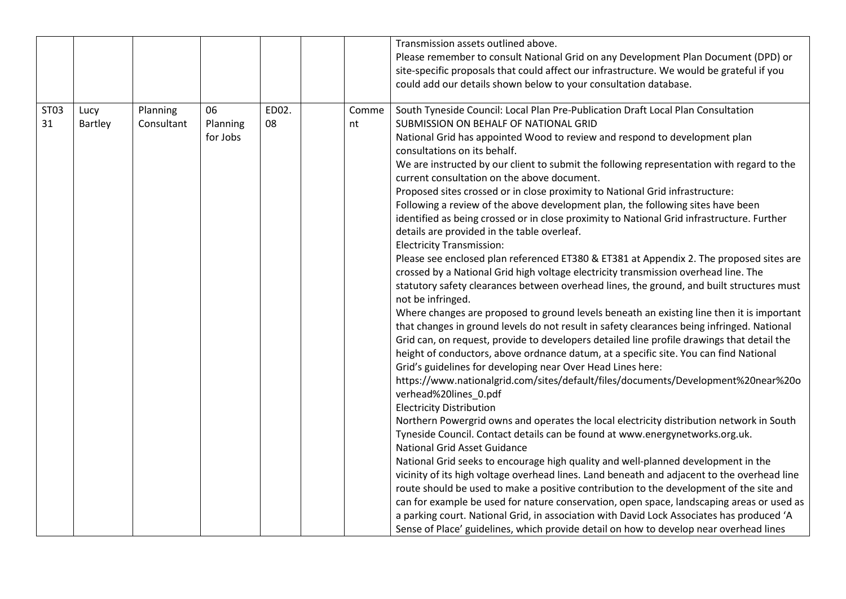|                  |         |            |          |       |       | Transmission assets outlined above.                                                         |
|------------------|---------|------------|----------|-------|-------|---------------------------------------------------------------------------------------------|
|                  |         |            |          |       |       | Please remember to consult National Grid on any Development Plan Document (DPD) or          |
|                  |         |            |          |       |       | site-specific proposals that could affect our infrastructure. We would be grateful if you   |
|                  |         |            |          |       |       | could add our details shown below to your consultation database.                            |
|                  |         |            |          |       |       |                                                                                             |
| ST <sub>03</sub> | Lucy    | Planning   | 06       | ED02. | Comme | South Tyneside Council: Local Plan Pre-Publication Draft Local Plan Consultation            |
| 31               | Bartley | Consultant | Planning | 08    | nt    | SUBMISSION ON BEHALF OF NATIONAL GRID                                                       |
|                  |         |            | for Jobs |       |       | National Grid has appointed Wood to review and respond to development plan                  |
|                  |         |            |          |       |       | consultations on its behalf.                                                                |
|                  |         |            |          |       |       | We are instructed by our client to submit the following representation with regard to the   |
|                  |         |            |          |       |       | current consultation on the above document.                                                 |
|                  |         |            |          |       |       | Proposed sites crossed or in close proximity to National Grid infrastructure:               |
|                  |         |            |          |       |       | Following a review of the above development plan, the following sites have been             |
|                  |         |            |          |       |       | identified as being crossed or in close proximity to National Grid infrastructure. Further  |
|                  |         |            |          |       |       | details are provided in the table overleaf.                                                 |
|                  |         |            |          |       |       | <b>Electricity Transmission:</b>                                                            |
|                  |         |            |          |       |       | Please see enclosed plan referenced ET380 & ET381 at Appendix 2. The proposed sites are     |
|                  |         |            |          |       |       | crossed by a National Grid high voltage electricity transmission overhead line. The         |
|                  |         |            |          |       |       | statutory safety clearances between overhead lines, the ground, and built structures must   |
|                  |         |            |          |       |       | not be infringed.                                                                           |
|                  |         |            |          |       |       | Where changes are proposed to ground levels beneath an existing line then it is important   |
|                  |         |            |          |       |       | that changes in ground levels do not result in safety clearances being infringed. National  |
|                  |         |            |          |       |       | Grid can, on request, provide to developers detailed line profile drawings that detail the  |
|                  |         |            |          |       |       | height of conductors, above ordnance datum, at a specific site. You can find National       |
|                  |         |            |          |       |       | Grid's guidelines for developing near Over Head Lines here:                                 |
|                  |         |            |          |       |       | https://www.nationalgrid.com/sites/default/files/documents/Development%20near%20o           |
|                  |         |            |          |       |       | verhead%20lines_0.pdf                                                                       |
|                  |         |            |          |       |       | <b>Electricity Distribution</b>                                                             |
|                  |         |            |          |       |       | Northern Powergrid owns and operates the local electricity distribution network in South    |
|                  |         |            |          |       |       | Tyneside Council. Contact details can be found at www.energynetworks.org.uk.                |
|                  |         |            |          |       |       | <b>National Grid Asset Guidance</b>                                                         |
|                  |         |            |          |       |       | National Grid seeks to encourage high quality and well-planned development in the           |
|                  |         |            |          |       |       | vicinity of its high voltage overhead lines. Land beneath and adjacent to the overhead line |
|                  |         |            |          |       |       | route should be used to make a positive contribution to the development of the site and     |
|                  |         |            |          |       |       | can for example be used for nature conservation, open space, landscaping areas or used as   |
|                  |         |            |          |       |       | a parking court. National Grid, in association with David Lock Associates has produced 'A   |
|                  |         |            |          |       |       | Sense of Place' guidelines, which provide detail on how to develop near overhead lines      |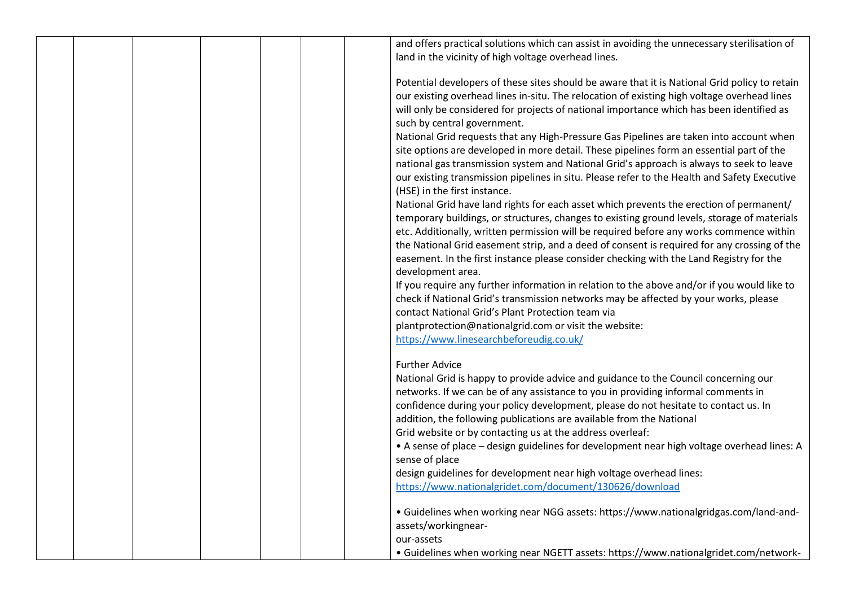|  |  | and offers practical solutions which can assist in avoiding the unnecessary sterilisation of  |
|--|--|-----------------------------------------------------------------------------------------------|
|  |  | land in the vicinity of high voltage overhead lines.                                          |
|  |  |                                                                                               |
|  |  | Potential developers of these sites should be aware that it is National Grid policy to retain |
|  |  | our existing overhead lines in-situ. The relocation of existing high voltage overhead lines   |
|  |  | will only be considered for projects of national importance which has been identified as      |
|  |  |                                                                                               |
|  |  | such by central government.                                                                   |
|  |  | National Grid requests that any High-Pressure Gas Pipelines are taken into account when       |
|  |  | site options are developed in more detail. These pipelines form an essential part of the      |
|  |  | national gas transmission system and National Grid's approach is always to seek to leave      |
|  |  | our existing transmission pipelines in situ. Please refer to the Health and Safety Executive  |
|  |  | (HSE) in the first instance.                                                                  |
|  |  | National Grid have land rights for each asset which prevents the erection of permanent/       |
|  |  | temporary buildings, or structures, changes to existing ground levels, storage of materials   |
|  |  | etc. Additionally, written permission will be required before any works commence within       |
|  |  | the National Grid easement strip, and a deed of consent is required for any crossing of the   |
|  |  | easement. In the first instance please consider checking with the Land Registry for the       |
|  |  | development area.                                                                             |
|  |  |                                                                                               |
|  |  | If you require any further information in relation to the above and/or if you would like to   |
|  |  | check if National Grid's transmission networks may be affected by your works, please          |
|  |  | contact National Grid's Plant Protection team via                                             |
|  |  | plantprotection@nationalgrid.com or visit the website:                                        |
|  |  | https://www.linesearchbeforeudig.co.uk/                                                       |
|  |  | <b>Further Advice</b>                                                                         |
|  |  | National Grid is happy to provide advice and guidance to the Council concerning our           |
|  |  | networks. If we can be of any assistance to you in providing informal comments in             |
|  |  | confidence during your policy development, please do not hesitate to contact us. In           |
|  |  | addition, the following publications are available from the National                          |
|  |  | Grid website or by contacting us at the address overleaf:                                     |
|  |  |                                                                                               |
|  |  | • A sense of place - design guidelines for development near high voltage overhead lines: A    |
|  |  | sense of place                                                                                |
|  |  | design guidelines for development near high voltage overhead lines:                           |
|  |  | https://www.nationalgridet.com/document/130626/download                                       |
|  |  | • Guidelines when working near NGG assets: https://www.nationalgridgas.com/land-and-          |
|  |  | assets/workingnear-                                                                           |
|  |  | our-assets                                                                                    |
|  |  | • Guidelines when working near NGETT assets: https://www.nationalgridet.com/network-          |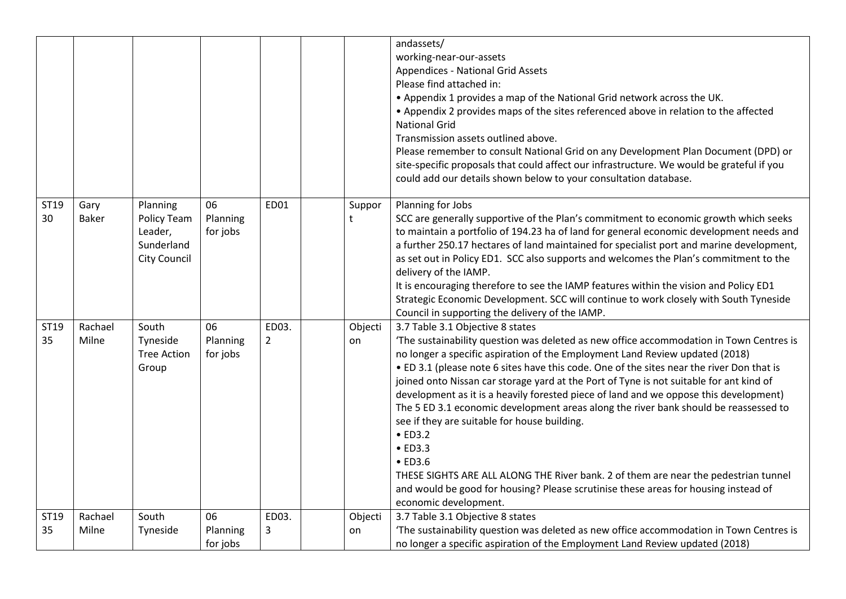|            |                      |                                                                                |                            |                         |   |               | andassets/<br>working-near-our-assets<br><b>Appendices - National Grid Assets</b><br>Please find attached in:<br>. Appendix 1 provides a map of the National Grid network across the UK.<br>• Appendix 2 provides maps of the sites referenced above in relation to the affected<br><b>National Grid</b><br>Transmission assets outlined above.<br>Please remember to consult National Grid on any Development Plan Document (DPD) or                                                                                                                                                                                                                                                                                                                                                                                                                                                               |
|------------|----------------------|--------------------------------------------------------------------------------|----------------------------|-------------------------|---|---------------|-----------------------------------------------------------------------------------------------------------------------------------------------------------------------------------------------------------------------------------------------------------------------------------------------------------------------------------------------------------------------------------------------------------------------------------------------------------------------------------------------------------------------------------------------------------------------------------------------------------------------------------------------------------------------------------------------------------------------------------------------------------------------------------------------------------------------------------------------------------------------------------------------------|
|            |                      |                                                                                |                            |                         |   |               | site-specific proposals that could affect our infrastructure. We would be grateful if you<br>could add our details shown below to your consultation database.                                                                                                                                                                                                                                                                                                                                                                                                                                                                                                                                                                                                                                                                                                                                       |
| ST19<br>30 | Gary<br><b>Baker</b> | Planning<br><b>Policy Team</b><br>Leader,<br>Sunderland<br><b>City Council</b> | 06<br>Planning<br>for jobs | ED01                    | t | Suppor        | Planning for Jobs<br>SCC are generally supportive of the Plan's commitment to economic growth which seeks<br>to maintain a portfolio of 194.23 ha of land for general economic development needs and<br>a further 250.17 hectares of land maintained for specialist port and marine development,<br>as set out in Policy ED1. SCC also supports and welcomes the Plan's commitment to the<br>delivery of the IAMP.<br>It is encouraging therefore to see the IAMP features within the vision and Policy ED1<br>Strategic Economic Development. SCC will continue to work closely with South Tyneside<br>Council in supporting the delivery of the IAMP.                                                                                                                                                                                                                                             |
| ST19<br>35 | Rachael<br>Milne     | South<br>Tyneside<br><b>Tree Action</b><br>Group                               | 06<br>Planning<br>for jobs | ED03.<br>$\overline{2}$ |   | Objecti<br>on | 3.7 Table 3.1 Objective 8 states<br>The sustainability question was deleted as new office accommodation in Town Centres is<br>no longer a specific aspiration of the Employment Land Review updated (2018)<br>. ED 3.1 (please note 6 sites have this code. One of the sites near the river Don that is<br>joined onto Nissan car storage yard at the Port of Tyne is not suitable for ant kind of<br>development as it is a heavily forested piece of land and we oppose this development)<br>The 5 ED 3.1 economic development areas along the river bank should be reassessed to<br>see if they are suitable for house building.<br>$\bullet$ ED3.2<br>$\bullet$ ED3.3<br>$\bullet$ ED3.6<br>THESE SIGHTS ARE ALL ALONG THE River bank. 2 of them are near the pedestrian tunnel<br>and would be good for housing? Please scrutinise these areas for housing instead of<br>economic development. |
| ST19<br>35 | Rachael<br>Milne     | South<br>Tyneside                                                              | 06<br>Planning<br>for jobs | ED03.<br>3              |   | Objecti<br>on | 3.7 Table 3.1 Objective 8 states<br>'The sustainability question was deleted as new office accommodation in Town Centres is<br>no longer a specific aspiration of the Employment Land Review updated (2018)                                                                                                                                                                                                                                                                                                                                                                                                                                                                                                                                                                                                                                                                                         |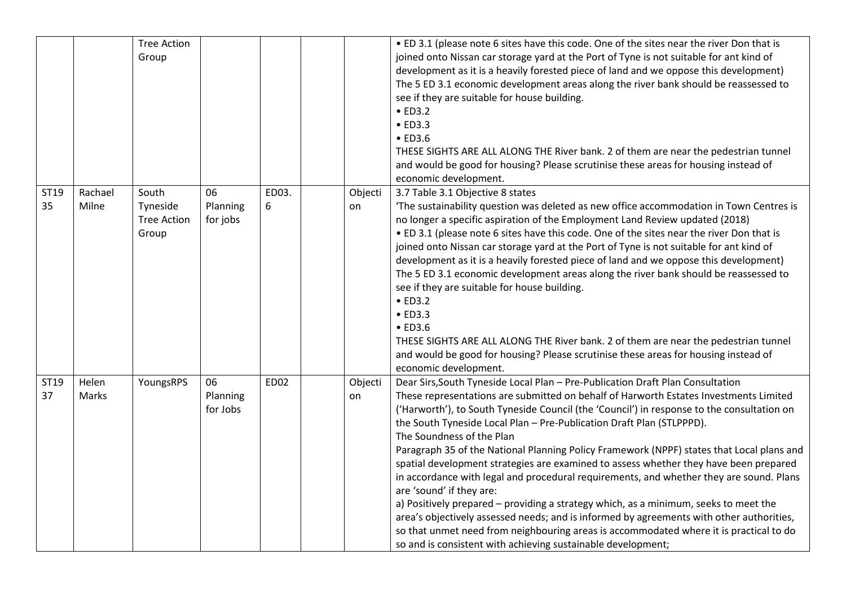| ST19       | Rachael        | <b>Tree Action</b><br>Group<br>South    | 06                         | ED03.       | Objecti       | . ED 3.1 (please note 6 sites have this code. One of the sites near the river Don that is<br>joined onto Nissan car storage yard at the Port of Tyne is not suitable for ant kind of<br>development as it is a heavily forested piece of land and we oppose this development)<br>The 5 ED 3.1 economic development areas along the river bank should be reassessed to<br>see if they are suitable for house building.<br>$\bullet$ ED3.2<br>$\bullet$ ED3.3<br>$\bullet$ ED3.6<br>THESE SIGHTS ARE ALL ALONG THE River bank. 2 of them are near the pedestrian tunnel<br>and would be good for housing? Please scrutinise these areas for housing instead of<br>economic development.<br>3.7 Table 3.1 Objective 8 states                                                                                                                                                                                                                                                                                                              |
|------------|----------------|-----------------------------------------|----------------------------|-------------|---------------|----------------------------------------------------------------------------------------------------------------------------------------------------------------------------------------------------------------------------------------------------------------------------------------------------------------------------------------------------------------------------------------------------------------------------------------------------------------------------------------------------------------------------------------------------------------------------------------------------------------------------------------------------------------------------------------------------------------------------------------------------------------------------------------------------------------------------------------------------------------------------------------------------------------------------------------------------------------------------------------------------------------------------------------|
| 35         | Milne          | Tyneside<br><b>Tree Action</b><br>Group | Planning<br>for jobs       | 6           | on            | 'The sustainability question was deleted as new office accommodation in Town Centres is<br>no longer a specific aspiration of the Employment Land Review updated (2018)<br>. ED 3.1 (please note 6 sites have this code. One of the sites near the river Don that is<br>joined onto Nissan car storage yard at the Port of Tyne is not suitable for ant kind of<br>development as it is a heavily forested piece of land and we oppose this development)<br>The 5 ED 3.1 economic development areas along the river bank should be reassessed to<br>see if they are suitable for house building.<br>$\bullet$ ED3.2<br>$\bullet$ ED3.3<br>$\bullet$ ED3.6<br>THESE SIGHTS ARE ALL ALONG THE River bank. 2 of them are near the pedestrian tunnel<br>and would be good for housing? Please scrutinise these areas for housing instead of<br>economic development.                                                                                                                                                                       |
| ST19<br>37 | Helen<br>Marks | YoungsRPS                               | 06<br>Planning<br>for Jobs | <b>ED02</b> | Objecti<br>on | Dear Sirs, South Tyneside Local Plan - Pre-Publication Draft Plan Consultation<br>These representations are submitted on behalf of Harworth Estates Investments Limited<br>('Harworth'), to South Tyneside Council (the 'Council') in response to the consultation on<br>the South Tyneside Local Plan - Pre-Publication Draft Plan (STLPPPD).<br>The Soundness of the Plan<br>Paragraph 35 of the National Planning Policy Framework (NPPF) states that Local plans and<br>spatial development strategies are examined to assess whether they have been prepared<br>in accordance with legal and procedural requirements, and whether they are sound. Plans<br>are 'sound' if they are:<br>a) Positively prepared - providing a strategy which, as a minimum, seeks to meet the<br>area's objectively assessed needs; and is informed by agreements with other authorities,<br>so that unmet need from neighbouring areas is accommodated where it is practical to do<br>so and is consistent with achieving sustainable development; |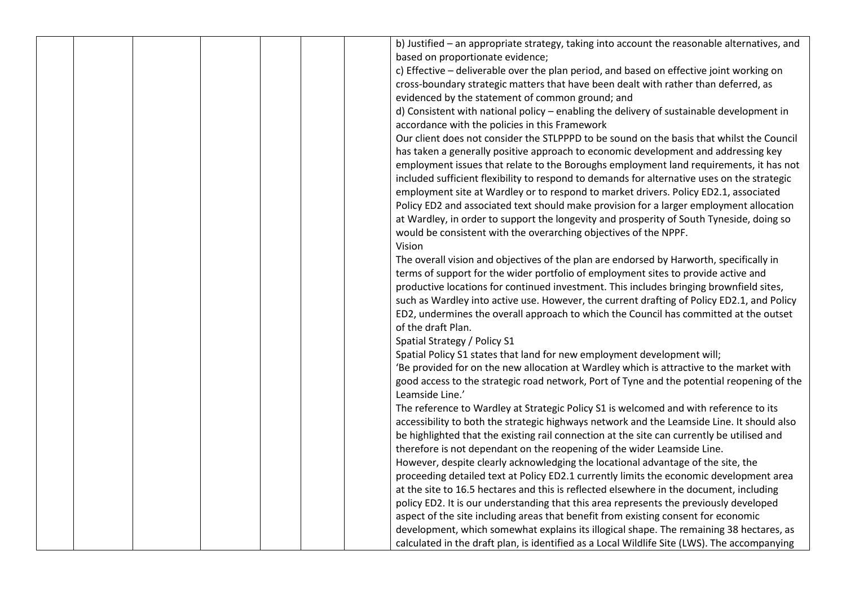|  |  |  | b) Justified - an appropriate strategy, taking into account the reasonable alternatives, and |
|--|--|--|----------------------------------------------------------------------------------------------|
|  |  |  | based on proportionate evidence;                                                             |
|  |  |  | c) Effective - deliverable over the plan period, and based on effective joint working on     |
|  |  |  | cross-boundary strategic matters that have been dealt with rather than deferred, as          |
|  |  |  | evidenced by the statement of common ground; and                                             |
|  |  |  | d) Consistent with national policy – enabling the delivery of sustainable development in     |
|  |  |  | accordance with the policies in this Framework                                               |
|  |  |  | Our client does not consider the STLPPPD to be sound on the basis that whilst the Council    |
|  |  |  | has taken a generally positive approach to economic development and addressing key           |
|  |  |  | employment issues that relate to the Boroughs employment land requirements, it has not       |
|  |  |  | included sufficient flexibility to respond to demands for alternative uses on the strategic  |
|  |  |  | employment site at Wardley or to respond to market drivers. Policy ED2.1, associated         |
|  |  |  | Policy ED2 and associated text should make provision for a larger employment allocation      |
|  |  |  | at Wardley, in order to support the longevity and prosperity of South Tyneside, doing so     |
|  |  |  | would be consistent with the overarching objectives of the NPPF.                             |
|  |  |  | Vision                                                                                       |
|  |  |  | The overall vision and objectives of the plan are endorsed by Harworth, specifically in      |
|  |  |  | terms of support for the wider portfolio of employment sites to provide active and           |
|  |  |  | productive locations for continued investment. This includes bringing brownfield sites,      |
|  |  |  | such as Wardley into active use. However, the current drafting of Policy ED2.1, and Policy   |
|  |  |  | ED2, undermines the overall approach to which the Council has committed at the outset        |
|  |  |  | of the draft Plan.                                                                           |
|  |  |  | Spatial Strategy / Policy S1                                                                 |
|  |  |  | Spatial Policy S1 states that land for new employment development will;                      |
|  |  |  | 'Be provided for on the new allocation at Wardley which is attractive to the market with     |
|  |  |  | good access to the strategic road network, Port of Tyne and the potential reopening of the   |
|  |  |  | Leamside Line.'                                                                              |
|  |  |  | The reference to Wardley at Strategic Policy S1 is welcomed and with reference to its        |
|  |  |  | accessibility to both the strategic highways network and the Leamside Line. It should also   |
|  |  |  | be highlighted that the existing rail connection at the site can currently be utilised and   |
|  |  |  | therefore is not dependant on the reopening of the wider Leamside Line.                      |
|  |  |  | However, despite clearly acknowledging the locational advantage of the site, the             |
|  |  |  | proceeding detailed text at Policy ED2.1 currently limits the economic development area      |
|  |  |  | at the site to 16.5 hectares and this is reflected elsewhere in the document, including      |
|  |  |  | policy ED2. It is our understanding that this area represents the previously developed       |
|  |  |  | aspect of the site including areas that benefit from existing consent for economic           |
|  |  |  | development, which somewhat explains its illogical shape. The remaining 38 hectares, as      |
|  |  |  | calculated in the draft plan, is identified as a Local Wildlife Site (LWS). The accompanying |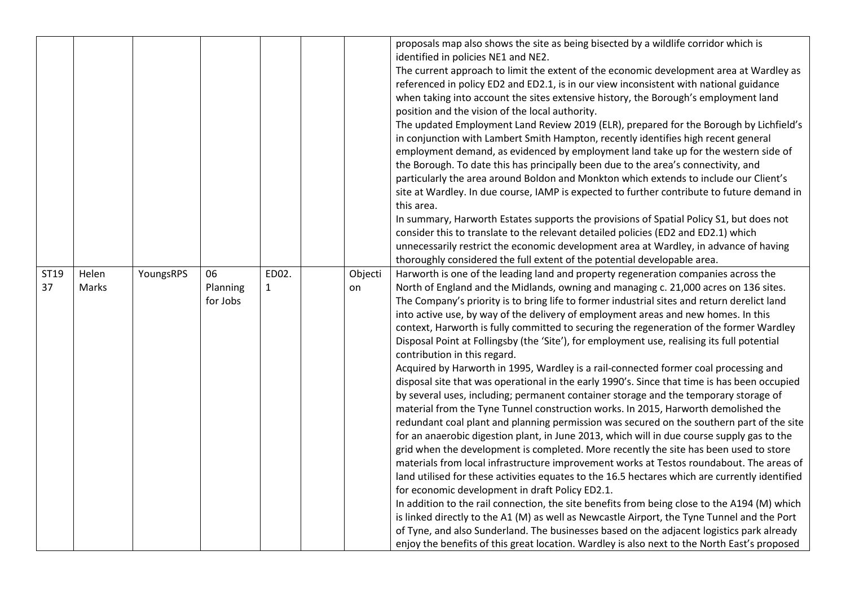|            |                |           |                            |                       |               | proposals map also shows the site as being bisected by a wildlife corridor which is<br>identified in policies NE1 and NE2.<br>The current approach to limit the extent of the economic development area at Wardley as<br>referenced in policy ED2 and ED2.1, is in our view inconsistent with national guidance<br>when taking into account the sites extensive history, the Borough's employment land<br>position and the vision of the local authority.<br>The updated Employment Land Review 2019 (ELR), prepared for the Borough by Lichfield's<br>in conjunction with Lambert Smith Hampton, recently identifies high recent general<br>employment demand, as evidenced by employment land take up for the western side of<br>the Borough. To date this has principally been due to the area's connectivity, and<br>particularly the area around Boldon and Monkton which extends to include our Client's<br>site at Wardley. In due course, IAMP is expected to further contribute to future demand in<br>this area.<br>In summary, Harworth Estates supports the provisions of Spatial Policy S1, but does not<br>consider this to translate to the relevant detailed policies (ED2 and ED2.1) which<br>unnecessarily restrict the economic development area at Wardley, in advance of having<br>thoroughly considered the full extent of the potential developable area.                                                                                                                                                                                                                                                                                                                                                                                                                                                                                                                 |
|------------|----------------|-----------|----------------------------|-----------------------|---------------|--------------------------------------------------------------------------------------------------------------------------------------------------------------------------------------------------------------------------------------------------------------------------------------------------------------------------------------------------------------------------------------------------------------------------------------------------------------------------------------------------------------------------------------------------------------------------------------------------------------------------------------------------------------------------------------------------------------------------------------------------------------------------------------------------------------------------------------------------------------------------------------------------------------------------------------------------------------------------------------------------------------------------------------------------------------------------------------------------------------------------------------------------------------------------------------------------------------------------------------------------------------------------------------------------------------------------------------------------------------------------------------------------------------------------------------------------------------------------------------------------------------------------------------------------------------------------------------------------------------------------------------------------------------------------------------------------------------------------------------------------------------------------------------------------------------------------------------------------------------------------------------------------|
| ST19<br>37 | Helen<br>Marks | YoungsRPS | 06<br>Planning<br>for Jobs | ED02.<br>$\mathbf{1}$ | Objecti<br>on | Harworth is one of the leading land and property regeneration companies across the<br>North of England and the Midlands, owning and managing c. 21,000 acres on 136 sites.<br>The Company's priority is to bring life to former industrial sites and return derelict land<br>into active use, by way of the delivery of employment areas and new homes. In this<br>context, Harworth is fully committed to securing the regeneration of the former Wardley<br>Disposal Point at Follingsby (the 'Site'), for employment use, realising its full potential<br>contribution in this regard.<br>Acquired by Harworth in 1995, Wardley is a rail-connected former coal processing and<br>disposal site that was operational in the early 1990's. Since that time is has been occupied<br>by several uses, including; permanent container storage and the temporary storage of<br>material from the Tyne Tunnel construction works. In 2015, Harworth demolished the<br>redundant coal plant and planning permission was secured on the southern part of the site<br>for an anaerobic digestion plant, in June 2013, which will in due course supply gas to the<br>grid when the development is completed. More recently the site has been used to store<br>materials from local infrastructure improvement works at Testos roundabout. The areas of<br>land utilised for these activities equates to the 16.5 hectares which are currently identified<br>for economic development in draft Policy ED2.1.<br>In addition to the rail connection, the site benefits from being close to the A194 (M) which<br>is linked directly to the A1 (M) as well as Newcastle Airport, the Tyne Tunnel and the Port<br>of Tyne, and also Sunderland. The businesses based on the adjacent logistics park already<br>enjoy the benefits of this great location. Wardley is also next to the North East's proposed |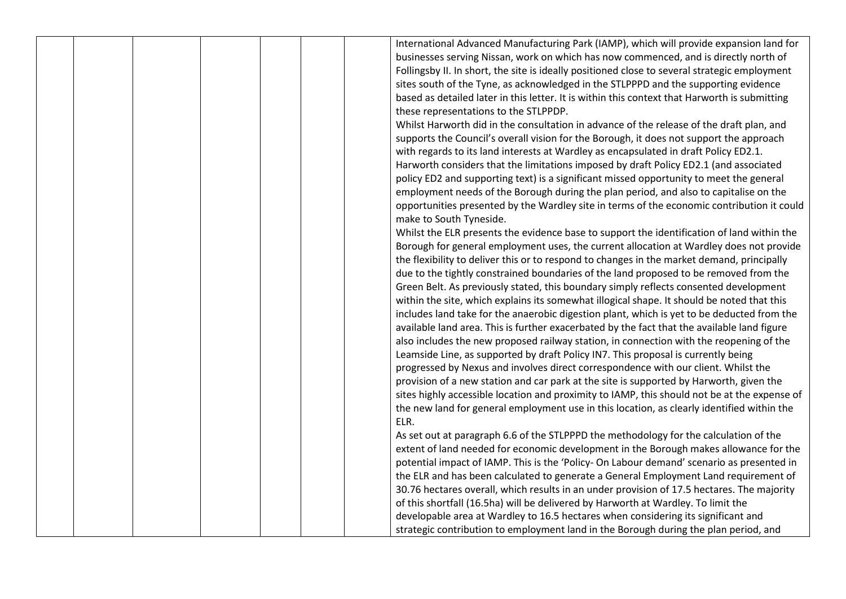|  |  |  | International Advanced Manufacturing Park (IAMP), which will provide expansion land for       |
|--|--|--|-----------------------------------------------------------------------------------------------|
|  |  |  | businesses serving Nissan, work on which has now commenced, and is directly north of          |
|  |  |  | Follingsby II. In short, the site is ideally positioned close to several strategic employment |
|  |  |  | sites south of the Tyne, as acknowledged in the STLPPPD and the supporting evidence           |
|  |  |  | based as detailed later in this letter. It is within this context that Harworth is submitting |
|  |  |  | these representations to the STLPPDP.                                                         |
|  |  |  | Whilst Harworth did in the consultation in advance of the release of the draft plan, and      |
|  |  |  | supports the Council's overall vision for the Borough, it does not support the approach       |
|  |  |  | with regards to its land interests at Wardley as encapsulated in draft Policy ED2.1.          |
|  |  |  | Harworth considers that the limitations imposed by draft Policy ED2.1 (and associated         |
|  |  |  | policy ED2 and supporting text) is a significant missed opportunity to meet the general       |
|  |  |  | employment needs of the Borough during the plan period, and also to capitalise on the         |
|  |  |  | opportunities presented by the Wardley site in terms of the economic contribution it could    |
|  |  |  | make to South Tyneside.                                                                       |
|  |  |  | Whilst the ELR presents the evidence base to support the identification of land within the    |
|  |  |  | Borough for general employment uses, the current allocation at Wardley does not provide       |
|  |  |  | the flexibility to deliver this or to respond to changes in the market demand, principally    |
|  |  |  | due to the tightly constrained boundaries of the land proposed to be removed from the         |
|  |  |  | Green Belt. As previously stated, this boundary simply reflects consented development         |
|  |  |  | within the site, which explains its somewhat illogical shape. It should be noted that this    |
|  |  |  | includes land take for the anaerobic digestion plant, which is yet to be deducted from the    |
|  |  |  | available land area. This is further exacerbated by the fact that the available land figure   |
|  |  |  | also includes the new proposed railway station, in connection with the reopening of the       |
|  |  |  | Leamside Line, as supported by draft Policy IN7. This proposal is currently being             |
|  |  |  | progressed by Nexus and involves direct correspondence with our client. Whilst the            |
|  |  |  | provision of a new station and car park at the site is supported by Harworth, given the       |
|  |  |  | sites highly accessible location and proximity to IAMP, this should not be at the expense of  |
|  |  |  | the new land for general employment use in this location, as clearly identified within the    |
|  |  |  | ELR.                                                                                          |
|  |  |  | As set out at paragraph 6.6 of the STLPPPD the methodology for the calculation of the         |
|  |  |  | extent of land needed for economic development in the Borough makes allowance for the         |
|  |  |  | potential impact of IAMP. This is the 'Policy- On Labour demand' scenario as presented in     |
|  |  |  | the ELR and has been calculated to generate a General Employment Land requirement of          |
|  |  |  | 30.76 hectares overall, which results in an under provision of 17.5 hectares. The majority    |
|  |  |  | of this shortfall (16.5ha) will be delivered by Harworth at Wardley. To limit the             |
|  |  |  | developable area at Wardley to 16.5 hectares when considering its significant and             |
|  |  |  | strategic contribution to employment land in the Borough during the plan period, and          |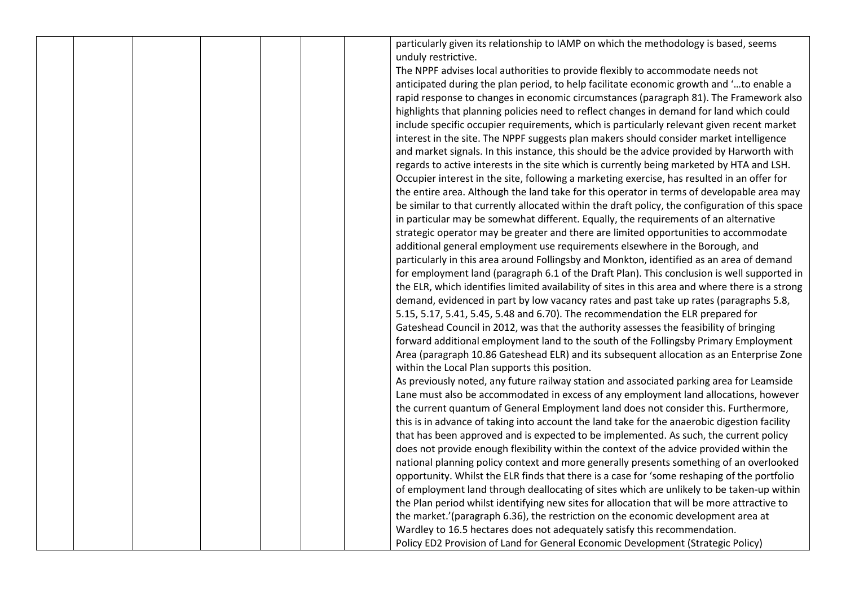|  |  |  | particularly given its relationship to IAMP on which the methodology is based, seems             |
|--|--|--|--------------------------------------------------------------------------------------------------|
|  |  |  | unduly restrictive.                                                                              |
|  |  |  | The NPPF advises local authorities to provide flexibly to accommodate needs not                  |
|  |  |  | anticipated during the plan period, to help facilitate economic growth and 'to enable a          |
|  |  |  | rapid response to changes in economic circumstances (paragraph 81). The Framework also           |
|  |  |  | highlights that planning policies need to reflect changes in demand for land which could         |
|  |  |  | include specific occupier requirements, which is particularly relevant given recent market       |
|  |  |  | interest in the site. The NPPF suggests plan makers should consider market intelligence          |
|  |  |  | and market signals. In this instance, this should be the advice provided by Harworth with        |
|  |  |  | regards to active interests in the site which is currently being marketed by HTA and LSH.        |
|  |  |  | Occupier interest in the site, following a marketing exercise, has resulted in an offer for      |
|  |  |  | the entire area. Although the land take for this operator in terms of developable area may       |
|  |  |  | be similar to that currently allocated within the draft policy, the configuration of this space  |
|  |  |  | in particular may be somewhat different. Equally, the requirements of an alternative             |
|  |  |  | strategic operator may be greater and there are limited opportunities to accommodate             |
|  |  |  | additional general employment use requirements elsewhere in the Borough, and                     |
|  |  |  | particularly in this area around Follingsby and Monkton, identified as an area of demand         |
|  |  |  | for employment land (paragraph 6.1 of the Draft Plan). This conclusion is well supported in      |
|  |  |  | the ELR, which identifies limited availability of sites in this area and where there is a strong |
|  |  |  | demand, evidenced in part by low vacancy rates and past take up rates (paragraphs 5.8,           |
|  |  |  | 5.15, 5.17, 5.41, 5.45, 5.48 and 6.70). The recommendation the ELR prepared for                  |
|  |  |  | Gateshead Council in 2012, was that the authority assesses the feasibility of bringing           |
|  |  |  | forward additional employment land to the south of the Follingsby Primary Employment             |
|  |  |  | Area (paragraph 10.86 Gateshead ELR) and its subsequent allocation as an Enterprise Zone         |
|  |  |  | within the Local Plan supports this position.                                                    |
|  |  |  | As previously noted, any future railway station and associated parking area for Leamside         |
|  |  |  | Lane must also be accommodated in excess of any employment land allocations, however             |
|  |  |  | the current quantum of General Employment land does not consider this. Furthermore,              |
|  |  |  | this is in advance of taking into account the land take for the anaerobic digestion facility     |
|  |  |  | that has been approved and is expected to be implemented. As such, the current policy            |
|  |  |  | does not provide enough flexibility within the context of the advice provided within the         |
|  |  |  | national planning policy context and more generally presents something of an overlooked          |
|  |  |  | opportunity. Whilst the ELR finds that there is a case for 'some reshaping of the portfolio      |
|  |  |  | of employment land through deallocating of sites which are unlikely to be taken-up within        |
|  |  |  | the Plan period whilst identifying new sites for allocation that will be more attractive to      |
|  |  |  | the market.'(paragraph 6.36), the restriction on the economic development area at                |
|  |  |  | Wardley to 16.5 hectares does not adequately satisfy this recommendation.                        |
|  |  |  | Policy ED2 Provision of Land for General Economic Development (Strategic Policy)                 |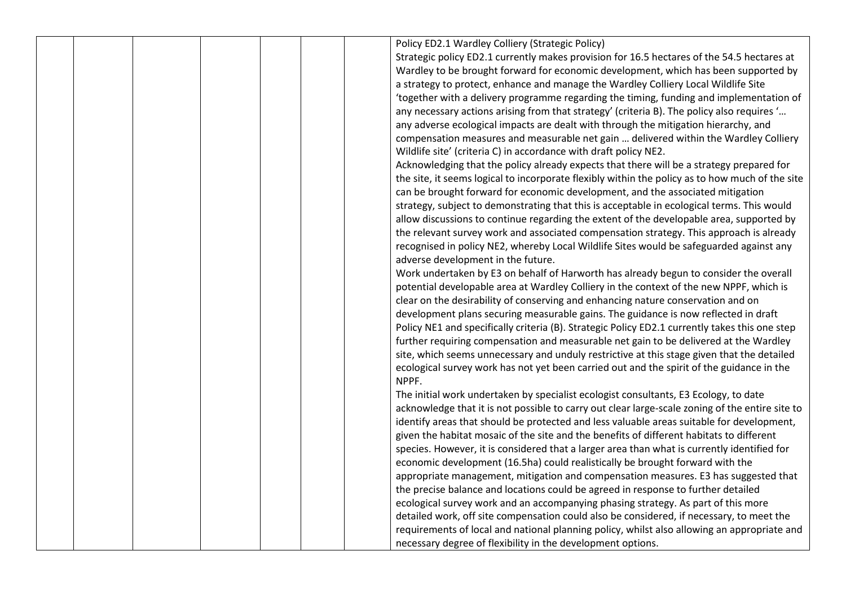|  |  |  | Policy ED2.1 Wardley Colliery (Strategic Policy)                                                |
|--|--|--|-------------------------------------------------------------------------------------------------|
|  |  |  | Strategic policy ED2.1 currently makes provision for 16.5 hectares of the 54.5 hectares at      |
|  |  |  | Wardley to be brought forward for economic development, which has been supported by             |
|  |  |  | a strategy to protect, enhance and manage the Wardley Colliery Local Wildlife Site              |
|  |  |  | 'together with a delivery programme regarding the timing, funding and implementation of         |
|  |  |  | any necessary actions arising from that strategy' (criteria B). The policy also requires '      |
|  |  |  | any adverse ecological impacts are dealt with through the mitigation hierarchy, and             |
|  |  |  | compensation measures and measurable net gain  delivered within the Wardley Colliery            |
|  |  |  | Wildlife site' (criteria C) in accordance with draft policy NE2.                                |
|  |  |  | Acknowledging that the policy already expects that there will be a strategy prepared for        |
|  |  |  | the site, it seems logical to incorporate flexibly within the policy as to how much of the site |
|  |  |  | can be brought forward for economic development, and the associated mitigation                  |
|  |  |  | strategy, subject to demonstrating that this is acceptable in ecological terms. This would      |
|  |  |  | allow discussions to continue regarding the extent of the developable area, supported by        |
|  |  |  | the relevant survey work and associated compensation strategy. This approach is already         |
|  |  |  | recognised in policy NE2, whereby Local Wildlife Sites would be safeguarded against any         |
|  |  |  | adverse development in the future.                                                              |
|  |  |  | Work undertaken by E3 on behalf of Harworth has already begun to consider the overall           |
|  |  |  | potential developable area at Wardley Colliery in the context of the new NPPF, which is         |
|  |  |  | clear on the desirability of conserving and enhancing nature conservation and on                |
|  |  |  | development plans securing measurable gains. The guidance is now reflected in draft             |
|  |  |  | Policy NE1 and specifically criteria (B). Strategic Policy ED2.1 currently takes this one step  |
|  |  |  | further requiring compensation and measurable net gain to be delivered at the Wardley           |
|  |  |  | site, which seems unnecessary and unduly restrictive at this stage given that the detailed      |
|  |  |  | ecological survey work has not yet been carried out and the spirit of the guidance in the       |
|  |  |  | NPPF.                                                                                           |
|  |  |  | The initial work undertaken by specialist ecologist consultants, E3 Ecology, to date            |
|  |  |  | acknowledge that it is not possible to carry out clear large-scale zoning of the entire site to |
|  |  |  | identify areas that should be protected and less valuable areas suitable for development,       |
|  |  |  | given the habitat mosaic of the site and the benefits of different habitats to different        |
|  |  |  | species. However, it is considered that a larger area than what is currently identified for     |
|  |  |  | economic development (16.5ha) could realistically be brought forward with the                   |
|  |  |  | appropriate management, mitigation and compensation measures. E3 has suggested that             |
|  |  |  | the precise balance and locations could be agreed in response to further detailed               |
|  |  |  | ecological survey work and an accompanying phasing strategy. As part of this more               |
|  |  |  | detailed work, off site compensation could also be considered, if necessary, to meet the        |
|  |  |  | requirements of local and national planning policy, whilst also allowing an appropriate and     |
|  |  |  | necessary degree of flexibility in the development options.                                     |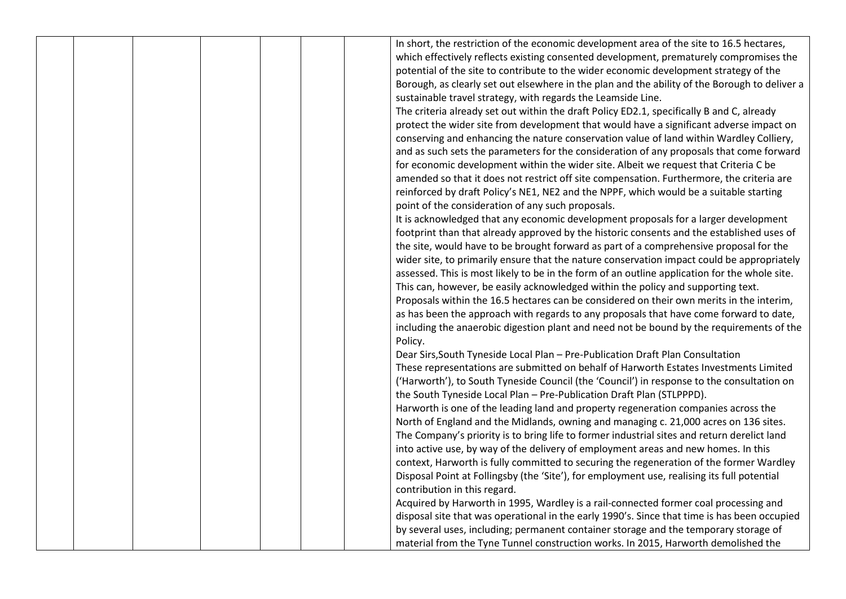|  |  |  | In short, the restriction of the economic development area of the site to 16.5 hectares,      |
|--|--|--|-----------------------------------------------------------------------------------------------|
|  |  |  | which effectively reflects existing consented development, prematurely compromises the        |
|  |  |  | potential of the site to contribute to the wider economic development strategy of the         |
|  |  |  | Borough, as clearly set out elsewhere in the plan and the ability of the Borough to deliver a |
|  |  |  | sustainable travel strategy, with regards the Leamside Line.                                  |
|  |  |  | The criteria already set out within the draft Policy ED2.1, specifically B and C, already     |
|  |  |  | protect the wider site from development that would have a significant adverse impact on       |
|  |  |  | conserving and enhancing the nature conservation value of land within Wardley Colliery,       |
|  |  |  | and as such sets the parameters for the consideration of any proposals that come forward      |
|  |  |  | for economic development within the wider site. Albeit we request that Criteria C be          |
|  |  |  | amended so that it does not restrict off site compensation. Furthermore, the criteria are     |
|  |  |  | reinforced by draft Policy's NE1, NE2 and the NPPF, which would be a suitable starting        |
|  |  |  | point of the consideration of any such proposals.                                             |
|  |  |  | It is acknowledged that any economic development proposals for a larger development           |
|  |  |  | footprint than that already approved by the historic consents and the established uses of     |
|  |  |  | the site, would have to be brought forward as part of a comprehensive proposal for the        |
|  |  |  | wider site, to primarily ensure that the nature conservation impact could be appropriately    |
|  |  |  | assessed. This is most likely to be in the form of an outline application for the whole site. |
|  |  |  | This can, however, be easily acknowledged within the policy and supporting text.              |
|  |  |  | Proposals within the 16.5 hectares can be considered on their own merits in the interim,      |
|  |  |  | as has been the approach with regards to any proposals that have come forward to date,        |
|  |  |  | including the anaerobic digestion plant and need not be bound by the requirements of the      |
|  |  |  | Policy.                                                                                       |
|  |  |  | Dear Sirs, South Tyneside Local Plan - Pre-Publication Draft Plan Consultation                |
|  |  |  | These representations are submitted on behalf of Harworth Estates Investments Limited         |
|  |  |  | ('Harworth'), to South Tyneside Council (the 'Council') in response to the consultation on    |
|  |  |  | the South Tyneside Local Plan - Pre-Publication Draft Plan (STLPPPD).                         |
|  |  |  | Harworth is one of the leading land and property regeneration companies across the            |
|  |  |  | North of England and the Midlands, owning and managing c. 21,000 acres on 136 sites.          |
|  |  |  | The Company's priority is to bring life to former industrial sites and return derelict land   |
|  |  |  | into active use, by way of the delivery of employment areas and new homes. In this            |
|  |  |  | context, Harworth is fully committed to securing the regeneration of the former Wardley       |
|  |  |  | Disposal Point at Follingsby (the 'Site'), for employment use, realising its full potential   |
|  |  |  | contribution in this regard.                                                                  |
|  |  |  | Acquired by Harworth in 1995, Wardley is a rail-connected former coal processing and          |
|  |  |  | disposal site that was operational in the early 1990's. Since that time is has been occupied  |
|  |  |  | by several uses, including; permanent container storage and the temporary storage of          |
|  |  |  | material from the Tyne Tunnel construction works. In 2015, Harworth demolished the            |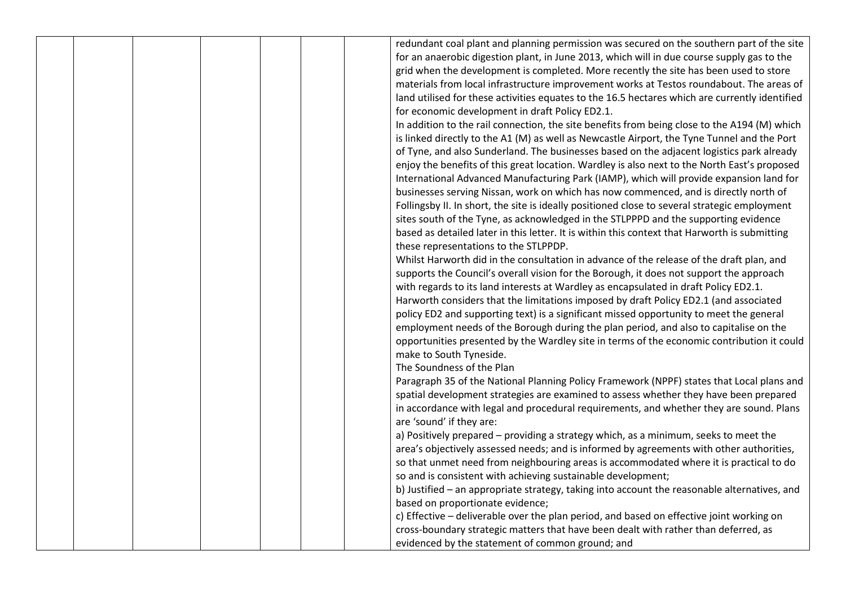|  |  | redundant coal plant and planning permission was secured on the southern part of the site      |
|--|--|------------------------------------------------------------------------------------------------|
|  |  | for an anaerobic digestion plant, in June 2013, which will in due course supply gas to the     |
|  |  | grid when the development is completed. More recently the site has been used to store          |
|  |  | materials from local infrastructure improvement works at Testos roundabout. The areas of       |
|  |  | land utilised for these activities equates to the 16.5 hectares which are currently identified |
|  |  | for economic development in draft Policy ED2.1.                                                |
|  |  | In addition to the rail connection, the site benefits from being close to the A194 (M) which   |
|  |  | is linked directly to the A1 (M) as well as Newcastle Airport, the Tyne Tunnel and the Port    |
|  |  | of Tyne, and also Sunderland. The businesses based on the adjacent logistics park already      |
|  |  | enjoy the benefits of this great location. Wardley is also next to the North East's proposed   |
|  |  | International Advanced Manufacturing Park (IAMP), which will provide expansion land for        |
|  |  | businesses serving Nissan, work on which has now commenced, and is directly north of           |
|  |  | Follingsby II. In short, the site is ideally positioned close to several strategic employment  |
|  |  | sites south of the Tyne, as acknowledged in the STLPPPD and the supporting evidence            |
|  |  | based as detailed later in this letter. It is within this context that Harworth is submitting  |
|  |  | these representations to the STLPPDP.                                                          |
|  |  | Whilst Harworth did in the consultation in advance of the release of the draft plan, and       |
|  |  | supports the Council's overall vision for the Borough, it does not support the approach        |
|  |  | with regards to its land interests at Wardley as encapsulated in draft Policy ED2.1.           |
|  |  | Harworth considers that the limitations imposed by draft Policy ED2.1 (and associated          |
|  |  | policy ED2 and supporting text) is a significant missed opportunity to meet the general        |
|  |  | employment needs of the Borough during the plan period, and also to capitalise on the          |
|  |  | opportunities presented by the Wardley site in terms of the economic contribution it could     |
|  |  | make to South Tyneside.                                                                        |
|  |  | The Soundness of the Plan                                                                      |
|  |  | Paragraph 35 of the National Planning Policy Framework (NPPF) states that Local plans and      |
|  |  | spatial development strategies are examined to assess whether they have been prepared          |
|  |  | in accordance with legal and procedural requirements, and whether they are sound. Plans        |
|  |  | are 'sound' if they are:                                                                       |
|  |  | a) Positively prepared - providing a strategy which, as a minimum, seeks to meet the           |
|  |  | area's objectively assessed needs; and is informed by agreements with other authorities,       |
|  |  | so that unmet need from neighbouring areas is accommodated where it is practical to do         |
|  |  | so and is consistent with achieving sustainable development;                                   |
|  |  | b) Justified - an appropriate strategy, taking into account the reasonable alternatives, and   |
|  |  | based on proportionate evidence;                                                               |
|  |  | c) Effective - deliverable over the plan period, and based on effective joint working on       |
|  |  | cross-boundary strategic matters that have been dealt with rather than deferred, as            |
|  |  | evidenced by the statement of common ground; and                                               |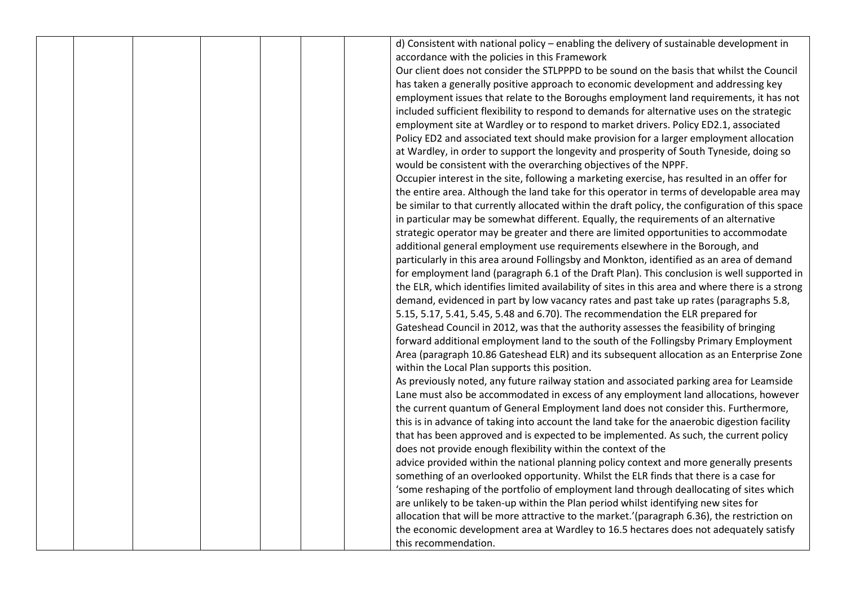|  |  |  | d) Consistent with national policy - enabling the delivery of sustainable development in         |
|--|--|--|--------------------------------------------------------------------------------------------------|
|  |  |  | accordance with the policies in this Framework                                                   |
|  |  |  | Our client does not consider the STLPPPD to be sound on the basis that whilst the Council        |
|  |  |  | has taken a generally positive approach to economic development and addressing key               |
|  |  |  | employment issues that relate to the Boroughs employment land requirements, it has not           |
|  |  |  | included sufficient flexibility to respond to demands for alternative uses on the strategic      |
|  |  |  | employment site at Wardley or to respond to market drivers. Policy ED2.1, associated             |
|  |  |  | Policy ED2 and associated text should make provision for a larger employment allocation          |
|  |  |  | at Wardley, in order to support the longevity and prosperity of South Tyneside, doing so         |
|  |  |  | would be consistent with the overarching objectives of the NPPF.                                 |
|  |  |  | Occupier interest in the site, following a marketing exercise, has resulted in an offer for      |
|  |  |  | the entire area. Although the land take for this operator in terms of developable area may       |
|  |  |  | be similar to that currently allocated within the draft policy, the configuration of this space  |
|  |  |  | in particular may be somewhat different. Equally, the requirements of an alternative             |
|  |  |  | strategic operator may be greater and there are limited opportunities to accommodate             |
|  |  |  | additional general employment use requirements elsewhere in the Borough, and                     |
|  |  |  | particularly in this area around Follingsby and Monkton, identified as an area of demand         |
|  |  |  | for employment land (paragraph 6.1 of the Draft Plan). This conclusion is well supported in      |
|  |  |  | the ELR, which identifies limited availability of sites in this area and where there is a strong |
|  |  |  | demand, evidenced in part by low vacancy rates and past take up rates (paragraphs 5.8,           |
|  |  |  | 5.15, 5.17, 5.41, 5.45, 5.48 and 6.70). The recommendation the ELR prepared for                  |
|  |  |  | Gateshead Council in 2012, was that the authority assesses the feasibility of bringing           |
|  |  |  | forward additional employment land to the south of the Follingsby Primary Employment             |
|  |  |  | Area (paragraph 10.86 Gateshead ELR) and its subsequent allocation as an Enterprise Zone         |
|  |  |  | within the Local Plan supports this position.                                                    |
|  |  |  | As previously noted, any future railway station and associated parking area for Leamside         |
|  |  |  | Lane must also be accommodated in excess of any employment land allocations, however             |
|  |  |  | the current quantum of General Employment land does not consider this. Furthermore,              |
|  |  |  | this is in advance of taking into account the land take for the anaerobic digestion facility     |
|  |  |  | that has been approved and is expected to be implemented. As such, the current policy            |
|  |  |  | does not provide enough flexibility within the context of the                                    |
|  |  |  | advice provided within the national planning policy context and more generally presents          |
|  |  |  | something of an overlooked opportunity. Whilst the ELR finds that there is a case for            |
|  |  |  | 'some reshaping of the portfolio of employment land through deallocating of sites which          |
|  |  |  | are unlikely to be taken-up within the Plan period whilst identifying new sites for              |
|  |  |  | allocation that will be more attractive to the market.'(paragraph 6.36), the restriction on      |
|  |  |  | the economic development area at Wardley to 16.5 hectares does not adequately satisfy            |
|  |  |  | this recommendation.                                                                             |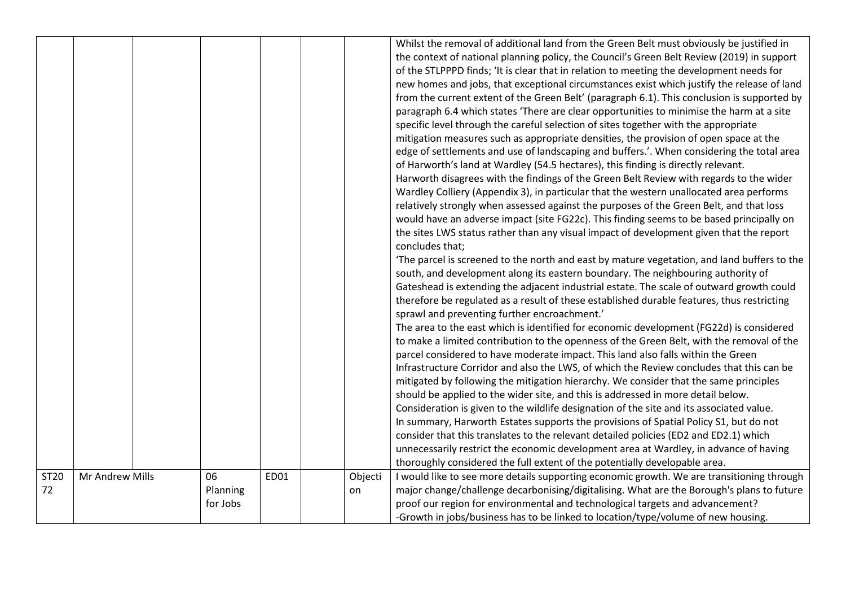|            |                 |                            |      |               | Whilst the removal of additional land from the Green Belt must obviously be justified in<br>the context of national planning policy, the Council's Green Belt Review (2019) in support<br>of the STLPPPD finds; 'It is clear that in relation to meeting the development needs for<br>new homes and jobs, that exceptional circumstances exist which justify the release of land<br>from the current extent of the Green Belt' (paragraph 6.1). This conclusion is supported by<br>paragraph 6.4 which states 'There are clear opportunities to minimise the harm at a site<br>specific level through the careful selection of sites together with the appropriate<br>mitigation measures such as appropriate densities, the provision of open space at the<br>edge of settlements and use of landscaping and buffers.'. When considering the total area<br>of Harworth's land at Wardley (54.5 hectares), this finding is directly relevant.<br>Harworth disagrees with the findings of the Green Belt Review with regards to the wider<br>Wardley Colliery (Appendix 3), in particular that the western unallocated area performs<br>relatively strongly when assessed against the purposes of the Green Belt, and that loss<br>would have an adverse impact (site FG22c). This finding seems to be based principally on<br>the sites LWS status rather than any visual impact of development given that the report<br>concludes that;<br>'The parcel is screened to the north and east by mature vegetation, and land buffers to the<br>south, and development along its eastern boundary. The neighbouring authority of<br>Gateshead is extending the adjacent industrial estate. The scale of outward growth could<br>therefore be regulated as a result of these established durable features, thus restricting<br>sprawl and preventing further encroachment.'<br>The area to the east which is identified for economic development (FG22d) is considered<br>to make a limited contribution to the openness of the Green Belt, with the removal of the<br>parcel considered to have moderate impact. This land also falls within the Green<br>Infrastructure Corridor and also the LWS, of which the Review concludes that this can be<br>mitigated by following the mitigation hierarchy. We consider that the same principles<br>should be applied to the wider site, and this is addressed in more detail below.<br>Consideration is given to the wildlife designation of the site and its associated value.<br>In summary, Harworth Estates supports the provisions of Spatial Policy S1, but do not<br>consider that this translates to the relevant detailed policies (ED2 and ED2.1) which<br>unnecessarily restrict the economic development area at Wardley, in advance of having |
|------------|-----------------|----------------------------|------|---------------|---------------------------------------------------------------------------------------------------------------------------------------------------------------------------------------------------------------------------------------------------------------------------------------------------------------------------------------------------------------------------------------------------------------------------------------------------------------------------------------------------------------------------------------------------------------------------------------------------------------------------------------------------------------------------------------------------------------------------------------------------------------------------------------------------------------------------------------------------------------------------------------------------------------------------------------------------------------------------------------------------------------------------------------------------------------------------------------------------------------------------------------------------------------------------------------------------------------------------------------------------------------------------------------------------------------------------------------------------------------------------------------------------------------------------------------------------------------------------------------------------------------------------------------------------------------------------------------------------------------------------------------------------------------------------------------------------------------------------------------------------------------------------------------------------------------------------------------------------------------------------------------------------------------------------------------------------------------------------------------------------------------------------------------------------------------------------------------------------------------------------------------------------------------------------------------------------------------------------------------------------------------------------------------------------------------------------------------------------------------------------------------------------------------------------------------------------------------------------------------------------------------------------------------------------------------------------------------------------------------------------------------------------------------------------------------------------------------------------------------------------------------------------------------------------|
|            |                 |                            |      |               | thoroughly considered the full extent of the potentially developable area.                                                                                                                                                                                                                                                                                                                                                                                                                                                                                                                                                                                                                                                                                                                                                                                                                                                                                                                                                                                                                                                                                                                                                                                                                                                                                                                                                                                                                                                                                                                                                                                                                                                                                                                                                                                                                                                                                                                                                                                                                                                                                                                                                                                                                                                                                                                                                                                                                                                                                                                                                                                                                                                                                                                        |
| ST20<br>72 | Mr Andrew Mills | 06<br>Planning<br>for Jobs | ED01 | Objecti<br>on | I would like to see more details supporting economic growth. We are transitioning through<br>major change/challenge decarbonising/digitalising. What are the Borough's plans to future<br>proof our region for environmental and technological targets and advancement?<br>-Growth in jobs/business has to be linked to location/type/volume of new housing.                                                                                                                                                                                                                                                                                                                                                                                                                                                                                                                                                                                                                                                                                                                                                                                                                                                                                                                                                                                                                                                                                                                                                                                                                                                                                                                                                                                                                                                                                                                                                                                                                                                                                                                                                                                                                                                                                                                                                                                                                                                                                                                                                                                                                                                                                                                                                                                                                                      |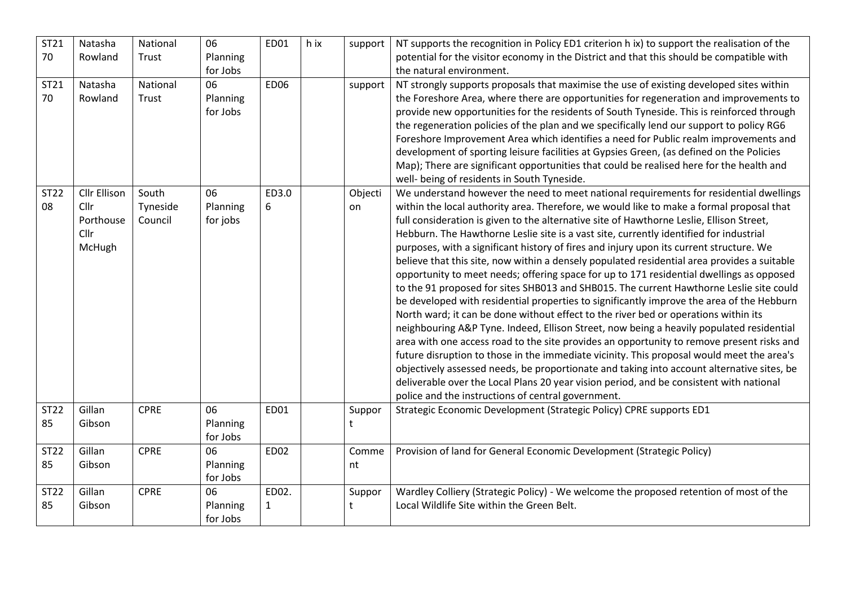| ST21              | Natasha                     | National            | 06                   | ED01         | h ix | support | NT supports the recognition in Policy ED1 criterion h ix) to support the realisation of the                                                                                          |
|-------------------|-----------------------------|---------------------|----------------------|--------------|------|---------|--------------------------------------------------------------------------------------------------------------------------------------------------------------------------------------|
| 70                | Rowland                     | Trust               | Planning             |              |      |         | potential for the visitor economy in the District and that this should be compatible with                                                                                            |
|                   |                             |                     | for Jobs             |              |      |         | the natural environment.                                                                                                                                                             |
| ST21              | Natasha                     | National            | 06                   | <b>ED06</b>  |      | support | NT strongly supports proposals that maximise the use of existing developed sites within                                                                                              |
| 70                | Rowland                     | Trust               | Planning             |              |      |         | the Foreshore Area, where there are opportunities for regeneration and improvements to                                                                                               |
|                   |                             |                     | for Jobs             |              |      |         | provide new opportunities for the residents of South Tyneside. This is reinforced through                                                                                            |
|                   |                             |                     |                      |              |      |         | the regeneration policies of the plan and we specifically lend our support to policy RG6                                                                                             |
|                   |                             |                     |                      |              |      |         | Foreshore Improvement Area which identifies a need for Public realm improvements and                                                                                                 |
|                   |                             |                     |                      |              |      |         | development of sporting leisure facilities at Gypsies Green, (as defined on the Policies                                                                                             |
|                   |                             |                     |                      |              |      |         | Map); There are significant opportunities that could be realised here for the health and                                                                                             |
|                   |                             |                     |                      |              |      |         | well- being of residents in South Tyneside.                                                                                                                                          |
| <b>ST22</b><br>08 | <b>Cllr Ellison</b><br>Cllr | South               | 06                   | ED3.0        |      | Objecti | We understand however the need to meet national requirements for residential dwellings                                                                                               |
|                   | Porthouse                   | Tyneside<br>Council | Planning<br>for jobs | 6            |      | on      | within the local authority area. Therefore, we would like to make a formal proposal that<br>full consideration is given to the alternative site of Hawthorne Leslie, Ellison Street, |
|                   | Cllr                        |                     |                      |              |      |         | Hebburn. The Hawthorne Leslie site is a vast site, currently identified for industrial                                                                                               |
|                   | McHugh                      |                     |                      |              |      |         | purposes, with a significant history of fires and injury upon its current structure. We                                                                                              |
|                   |                             |                     |                      |              |      |         | believe that this site, now within a densely populated residential area provides a suitable                                                                                          |
|                   |                             |                     |                      |              |      |         | opportunity to meet needs; offering space for up to 171 residential dwellings as opposed                                                                                             |
|                   |                             |                     |                      |              |      |         | to the 91 proposed for sites SHB013 and SHB015. The current Hawthorne Leslie site could                                                                                              |
|                   |                             |                     |                      |              |      |         | be developed with residential properties to significantly improve the area of the Hebburn                                                                                            |
|                   |                             |                     |                      |              |      |         | North ward; it can be done without effect to the river bed or operations within its                                                                                                  |
|                   |                             |                     |                      |              |      |         | neighbouring A&P Tyne. Indeed, Ellison Street, now being a heavily populated residential                                                                                             |
|                   |                             |                     |                      |              |      |         | area with one access road to the site provides an opportunity to remove present risks and                                                                                            |
|                   |                             |                     |                      |              |      |         | future disruption to those in the immediate vicinity. This proposal would meet the area's                                                                                            |
|                   |                             |                     |                      |              |      |         | objectively assessed needs, be proportionate and taking into account alternative sites, be                                                                                           |
|                   |                             |                     |                      |              |      |         | deliverable over the Local Plans 20 year vision period, and be consistent with national                                                                                              |
|                   |                             |                     |                      |              |      |         | police and the instructions of central government.                                                                                                                                   |
| <b>ST22</b>       | Gillan                      | <b>CPRE</b>         | 06                   | ED01         |      | Suppor  | Strategic Economic Development (Strategic Policy) CPRE supports ED1                                                                                                                  |
| 85                | Gibson                      |                     | Planning             |              |      | t       |                                                                                                                                                                                      |
|                   |                             |                     | for Jobs             |              |      |         |                                                                                                                                                                                      |
| <b>ST22</b>       | Gillan                      | <b>CPRE</b>         | 06                   | ED02         |      | Comme   | Provision of land for General Economic Development (Strategic Policy)                                                                                                                |
| 85                | Gibson                      |                     | Planning             |              |      | nt      |                                                                                                                                                                                      |
|                   |                             |                     | for Jobs             |              |      |         |                                                                                                                                                                                      |
| <b>ST22</b>       | Gillan                      | <b>CPRE</b>         | 06                   | ED02.        |      | Suppor  | Wardley Colliery (Strategic Policy) - We welcome the proposed retention of most of the                                                                                               |
| 85                | Gibson                      |                     | Planning             | $\mathbf{1}$ |      | t       | Local Wildlife Site within the Green Belt.                                                                                                                                           |
|                   |                             |                     | for Jobs             |              |      |         |                                                                                                                                                                                      |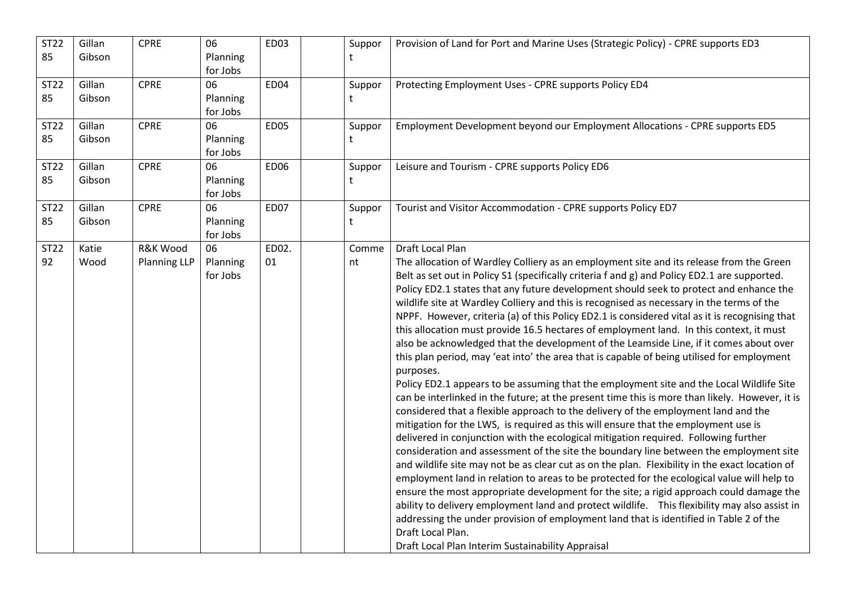| <b>ST22</b><br>85 | Gillan<br>Gibson | <b>CPRE</b>                                | 06<br>Planning<br>for Jobs | ED <sub>03</sub> | Suppor<br>t | Provision of Land for Port and Marine Uses (Strategic Policy) - CPRE supports ED3                                                                                                                                                                                                                                                                                                                                                                                                                                                                                                                                                                                                                                                                                                                                                                                                                                                                                                                                                                                                                                                                                                                                                                                                                                                                                                                                                                                                                                                                                                                                                                                                                                                                                                                                                                                                                                                       |
|-------------------|------------------|--------------------------------------------|----------------------------|------------------|-------------|-----------------------------------------------------------------------------------------------------------------------------------------------------------------------------------------------------------------------------------------------------------------------------------------------------------------------------------------------------------------------------------------------------------------------------------------------------------------------------------------------------------------------------------------------------------------------------------------------------------------------------------------------------------------------------------------------------------------------------------------------------------------------------------------------------------------------------------------------------------------------------------------------------------------------------------------------------------------------------------------------------------------------------------------------------------------------------------------------------------------------------------------------------------------------------------------------------------------------------------------------------------------------------------------------------------------------------------------------------------------------------------------------------------------------------------------------------------------------------------------------------------------------------------------------------------------------------------------------------------------------------------------------------------------------------------------------------------------------------------------------------------------------------------------------------------------------------------------------------------------------------------------------------------------------------------------|
| ST22<br>85        | Gillan<br>Gibson | <b>CPRE</b>                                | 06<br>Planning<br>for Jobs | ED04             | Suppor<br>t | Protecting Employment Uses - CPRE supports Policy ED4                                                                                                                                                                                                                                                                                                                                                                                                                                                                                                                                                                                                                                                                                                                                                                                                                                                                                                                                                                                                                                                                                                                                                                                                                                                                                                                                                                                                                                                                                                                                                                                                                                                                                                                                                                                                                                                                                   |
| ST22<br>85        | Gillan<br>Gibson | <b>CPRE</b>                                | 06<br>Planning<br>for Jobs | <b>ED05</b>      | Suppor<br>t | Employment Development beyond our Employment Allocations - CPRE supports ED5                                                                                                                                                                                                                                                                                                                                                                                                                                                                                                                                                                                                                                                                                                                                                                                                                                                                                                                                                                                                                                                                                                                                                                                                                                                                                                                                                                                                                                                                                                                                                                                                                                                                                                                                                                                                                                                            |
| ST22<br>85        | Gillan<br>Gibson | <b>CPRE</b>                                | 06<br>Planning<br>for Jobs | <b>ED06</b>      | Suppor<br>t | Leisure and Tourism - CPRE supports Policy ED6                                                                                                                                                                                                                                                                                                                                                                                                                                                                                                                                                                                                                                                                                                                                                                                                                                                                                                                                                                                                                                                                                                                                                                                                                                                                                                                                                                                                                                                                                                                                                                                                                                                                                                                                                                                                                                                                                          |
| ST22<br>85        | Gillan<br>Gibson | <b>CPRE</b>                                | 06<br>Planning<br>for Jobs | <b>ED07</b>      | Suppor<br>t | Tourist and Visitor Accommodation - CPRE supports Policy ED7                                                                                                                                                                                                                                                                                                                                                                                                                                                                                                                                                                                                                                                                                                                                                                                                                                                                                                                                                                                                                                                                                                                                                                                                                                                                                                                                                                                                                                                                                                                                                                                                                                                                                                                                                                                                                                                                            |
| <b>ST22</b><br>92 | Katie<br>Wood    | <b>R&amp;K Wood</b><br><b>Planning LLP</b> | 06<br>Planning<br>for Jobs | ED02.<br>01      | Comme<br>nt | <b>Draft Local Plan</b><br>The allocation of Wardley Colliery as an employment site and its release from the Green<br>Belt as set out in Policy S1 (specifically criteria f and g) and Policy ED2.1 are supported.<br>Policy ED2.1 states that any future development should seek to protect and enhance the<br>wildlife site at Wardley Colliery and this is recognised as necessary in the terms of the<br>NPPF. However, criteria (a) of this Policy ED2.1 is considered vital as it is recognising that<br>this allocation must provide 16.5 hectares of employment land. In this context, it must<br>also be acknowledged that the development of the Leamside Line, if it comes about over<br>this plan period, may 'eat into' the area that is capable of being utilised for employment<br>purposes.<br>Policy ED2.1 appears to be assuming that the employment site and the Local Wildlife Site<br>can be interlinked in the future; at the present time this is more than likely. However, it is<br>considered that a flexible approach to the delivery of the employment land and the<br>mitigation for the LWS, is required as this will ensure that the employment use is<br>delivered in conjunction with the ecological mitigation required. Following further<br>consideration and assessment of the site the boundary line between the employment site<br>and wildlife site may not be as clear cut as on the plan. Flexibility in the exact location of<br>employment land in relation to areas to be protected for the ecological value will help to<br>ensure the most appropriate development for the site; a rigid approach could damage the<br>ability to delivery employment land and protect wildlife.  This flexibility may also assist in<br>addressing the under provision of employment land that is identified in Table 2 of the<br>Draft Local Plan.<br>Draft Local Plan Interim Sustainability Appraisal |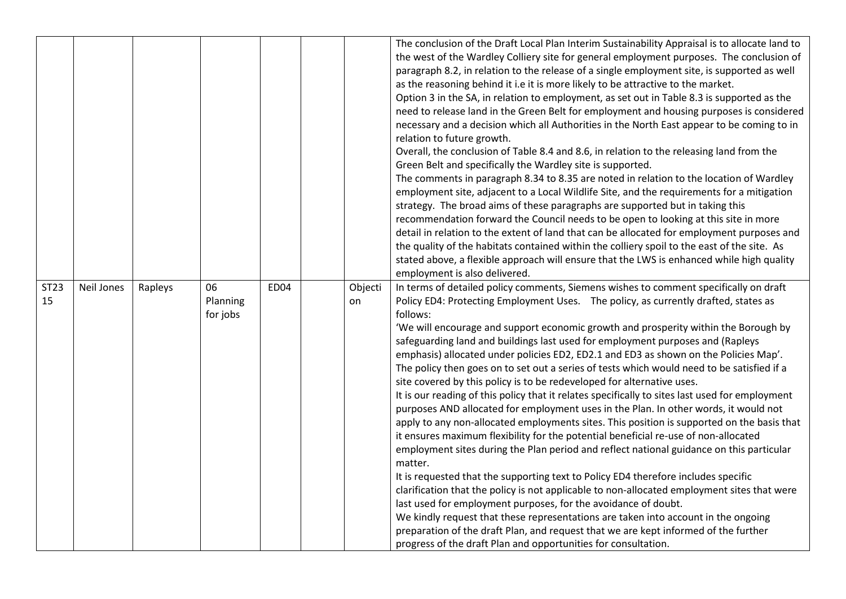|                   |            |         |                            |                  |               | The conclusion of the Draft Local Plan Interim Sustainability Appraisal is to allocate land to<br>the west of the Wardley Colliery site for general employment purposes. The conclusion of<br>paragraph 8.2, in relation to the release of a single employment site, is supported as well<br>as the reasoning behind it i.e it is more likely to be attractive to the market.<br>Option 3 in the SA, in relation to employment, as set out in Table 8.3 is supported as the<br>need to release land in the Green Belt for employment and housing purposes is considered<br>necessary and a decision which all Authorities in the North East appear to be coming to in<br>relation to future growth.<br>Overall, the conclusion of Table 8.4 and 8.6, in relation to the releasing land from the<br>Green Belt and specifically the Wardley site is supported.<br>The comments in paragraph 8.34 to 8.35 are noted in relation to the location of Wardley<br>employment site, adjacent to a Local Wildlife Site, and the requirements for a mitigation<br>strategy. The broad aims of these paragraphs are supported but in taking this<br>recommendation forward the Council needs to be open to looking at this site in more<br>detail in relation to the extent of land that can be allocated for employment purposes and<br>the quality of the habitats contained within the colliery spoil to the east of the site. As<br>stated above, a flexible approach will ensure that the LWS is enhanced while high quality<br>employment is also delivered.                                                                       |
|-------------------|------------|---------|----------------------------|------------------|---------------|--------------------------------------------------------------------------------------------------------------------------------------------------------------------------------------------------------------------------------------------------------------------------------------------------------------------------------------------------------------------------------------------------------------------------------------------------------------------------------------------------------------------------------------------------------------------------------------------------------------------------------------------------------------------------------------------------------------------------------------------------------------------------------------------------------------------------------------------------------------------------------------------------------------------------------------------------------------------------------------------------------------------------------------------------------------------------------------------------------------------------------------------------------------------------------------------------------------------------------------------------------------------------------------------------------------------------------------------------------------------------------------------------------------------------------------------------------------------------------------------------------------------------------------------------------------------------------------------------------------------------------|
| <b>ST23</b><br>15 | Neil Jones | Rapleys | 06<br>Planning<br>for jobs | ED <sub>04</sub> | Objecti<br>on | In terms of detailed policy comments, Siemens wishes to comment specifically on draft<br>Policy ED4: Protecting Employment Uses. The policy, as currently drafted, states as<br>follows:<br>'We will encourage and support economic growth and prosperity within the Borough by<br>safeguarding land and buildings last used for employment purposes and (Rapleys<br>emphasis) allocated under policies ED2, ED2.1 and ED3 as shown on the Policies Map'.<br>The policy then goes on to set out a series of tests which would need to be satisfied if a<br>site covered by this policy is to be redeveloped for alternative uses.<br>It is our reading of this policy that it relates specifically to sites last used for employment<br>purposes AND allocated for employment uses in the Plan. In other words, it would not<br>apply to any non-allocated employments sites. This position is supported on the basis that<br>it ensures maximum flexibility for the potential beneficial re-use of non-allocated<br>employment sites during the Plan period and reflect national guidance on this particular<br>matter.<br>It is requested that the supporting text to Policy ED4 therefore includes specific<br>clarification that the policy is not applicable to non-allocated employment sites that were<br>last used for employment purposes, for the avoidance of doubt.<br>We kindly request that these representations are taken into account in the ongoing<br>preparation of the draft Plan, and request that we are kept informed of the further<br>progress of the draft Plan and opportunities for consultation. |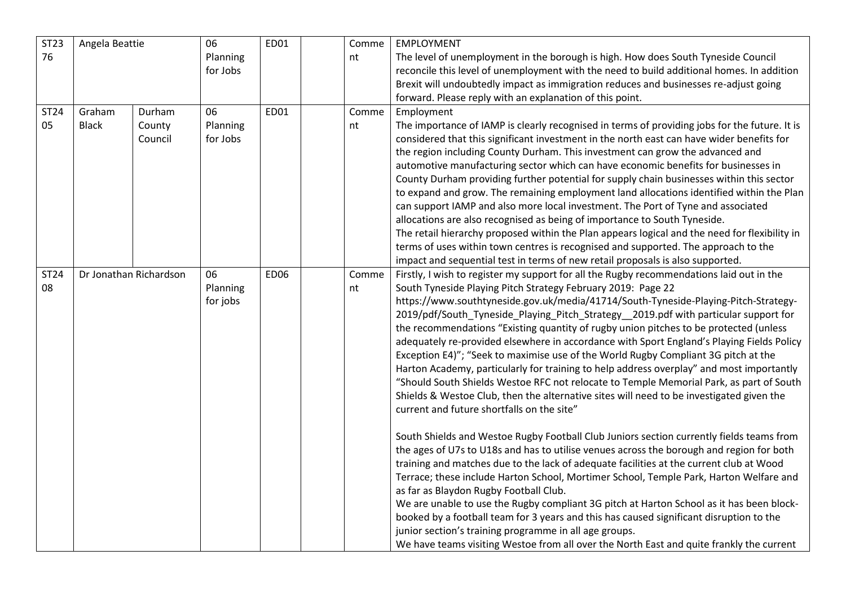| <b>ST23</b> | Angela Beattie |                        | 06                         | ED01        | Comme       | EMPLOYMENT                                                                                                                                                                                                                                                                                                                                                                                                                                                                                                                                                                                                                                                                                                                                                                                                                                                                                                                                                                                                                                                                                                                                                                                                                                                                                                                                                                                                                                                                                                                                                                                                                                                                                                              |
|-------------|----------------|------------------------|----------------------------|-------------|-------------|-------------------------------------------------------------------------------------------------------------------------------------------------------------------------------------------------------------------------------------------------------------------------------------------------------------------------------------------------------------------------------------------------------------------------------------------------------------------------------------------------------------------------------------------------------------------------------------------------------------------------------------------------------------------------------------------------------------------------------------------------------------------------------------------------------------------------------------------------------------------------------------------------------------------------------------------------------------------------------------------------------------------------------------------------------------------------------------------------------------------------------------------------------------------------------------------------------------------------------------------------------------------------------------------------------------------------------------------------------------------------------------------------------------------------------------------------------------------------------------------------------------------------------------------------------------------------------------------------------------------------------------------------------------------------------------------------------------------------|
| 76          |                |                        | Planning<br>for Jobs       |             | nt          | The level of unemployment in the borough is high. How does South Tyneside Council<br>reconcile this level of unemployment with the need to build additional homes. In addition                                                                                                                                                                                                                                                                                                                                                                                                                                                                                                                                                                                                                                                                                                                                                                                                                                                                                                                                                                                                                                                                                                                                                                                                                                                                                                                                                                                                                                                                                                                                          |
|             |                |                        |                            |             |             | Brexit will undoubtedly impact as immigration reduces and businesses re-adjust going                                                                                                                                                                                                                                                                                                                                                                                                                                                                                                                                                                                                                                                                                                                                                                                                                                                                                                                                                                                                                                                                                                                                                                                                                                                                                                                                                                                                                                                                                                                                                                                                                                    |
| ST24        | Graham         | Durham                 | 06                         | <b>ED01</b> | Comme       | forward. Please reply with an explanation of this point.<br>Employment                                                                                                                                                                                                                                                                                                                                                                                                                                                                                                                                                                                                                                                                                                                                                                                                                                                                                                                                                                                                                                                                                                                                                                                                                                                                                                                                                                                                                                                                                                                                                                                                                                                  |
| 05          | <b>Black</b>   | County<br>Council      | Planning<br>for Jobs       |             | nt          | The importance of IAMP is clearly recognised in terms of providing jobs for the future. It is<br>considered that this significant investment in the north east can have wider benefits for<br>the region including County Durham. This investment can grow the advanced and<br>automotive manufacturing sector which can have economic benefits for businesses in<br>County Durham providing further potential for supply chain businesses within this sector<br>to expand and grow. The remaining employment land allocations identified within the Plan<br>can support IAMP and also more local investment. The Port of Tyne and associated<br>allocations are also recognised as being of importance to South Tyneside.<br>The retail hierarchy proposed within the Plan appears logical and the need for flexibility in<br>terms of uses within town centres is recognised and supported. The approach to the<br>impact and sequential test in terms of new retail proposals is also supported.                                                                                                                                                                                                                                                                                                                                                                                                                                                                                                                                                                                                                                                                                                                     |
| ST24<br>08  |                | Dr Jonathan Richardson | 06<br>Planning<br>for jobs | <b>ED06</b> | Comme<br>nt | Firstly, I wish to register my support for all the Rugby recommendations laid out in the<br>South Tyneside Playing Pitch Strategy February 2019: Page 22<br>https://www.southtyneside.gov.uk/media/41714/South-Tyneside-Playing-Pitch-Strategy-<br>2019/pdf/South_Tyneside_Playing_Pitch_Strategy_2019.pdf with particular support for<br>the recommendations "Existing quantity of rugby union pitches to be protected (unless<br>adequately re-provided elsewhere in accordance with Sport England's Playing Fields Policy<br>Exception E4)"; "Seek to maximise use of the World Rugby Compliant 3G pitch at the<br>Harton Academy, particularly for training to help address overplay" and most importantly<br>"Should South Shields Westoe RFC not relocate to Temple Memorial Park, as part of South<br>Shields & Westoe Club, then the alternative sites will need to be investigated given the<br>current and future shortfalls on the site"<br>South Shields and Westoe Rugby Football Club Juniors section currently fields teams from<br>the ages of U7s to U18s and has to utilise venues across the borough and region for both<br>training and matches due to the lack of adequate facilities at the current club at Wood<br>Terrace; these include Harton School, Mortimer School, Temple Park, Harton Welfare and<br>as far as Blaydon Rugby Football Club.<br>We are unable to use the Rugby compliant 3G pitch at Harton School as it has been block-<br>booked by a football team for 3 years and this has caused significant disruption to the<br>junior section's training programme in all age groups.<br>We have teams visiting Westoe from all over the North East and quite frankly the current |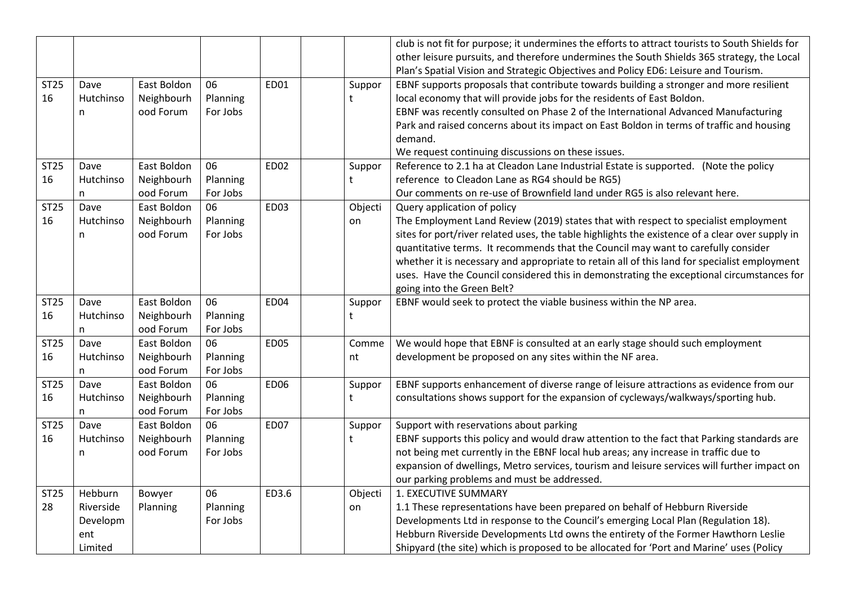|             |                |             |          |             |         | club is not fit for purpose; it undermines the efforts to attract tourists to South Shields for                                                                                   |
|-------------|----------------|-------------|----------|-------------|---------|-----------------------------------------------------------------------------------------------------------------------------------------------------------------------------------|
|             |                |             |          |             |         | other leisure pursuits, and therefore undermines the South Shields 365 strategy, the Local<br>Plan's Spatial Vision and Strategic Objectives and Policy ED6: Leisure and Tourism. |
| <b>ST25</b> | Dave           | East Boldon | 06       | ED01        | Suppor  | EBNF supports proposals that contribute towards building a stronger and more resilient                                                                                            |
| 16          | Hutchinso      | Neighbourh  | Planning |             | t       | local economy that will provide jobs for the residents of East Boldon.                                                                                                            |
|             | n              | ood Forum   | For Jobs |             |         | EBNF was recently consulted on Phase 2 of the International Advanced Manufacturing                                                                                                |
|             |                |             |          |             |         | Park and raised concerns about its impact on East Boldon in terms of traffic and housing                                                                                          |
|             |                |             |          |             |         | demand.                                                                                                                                                                           |
|             |                |             |          |             |         | We request continuing discussions on these issues.                                                                                                                                |
| <b>ST25</b> | Dave           | East Boldon | 06       | <b>ED02</b> | Suppor  | Reference to 2.1 ha at Cleadon Lane Industrial Estate is supported. (Note the policy                                                                                              |
| 16          | Hutchinso      | Neighbourh  | Planning |             | t       | reference to Cleadon Lane as RG4 should be RG5)                                                                                                                                   |
|             | n.             | ood Forum   | For Jobs |             |         | Our comments on re-use of Brownfield land under RG5 is also relevant here.                                                                                                        |
| <b>ST25</b> | Dave           | East Boldon | 06       | <b>ED03</b> | Objecti | Query application of policy                                                                                                                                                       |
| 16          | Hutchinso      | Neighbourh  | Planning |             | on      | The Employment Land Review (2019) states that with respect to specialist employment                                                                                               |
|             | n              | ood Forum   | For Jobs |             |         | sites for port/river related uses, the table highlights the existence of a clear over supply in                                                                                   |
|             |                |             |          |             |         | quantitative terms. It recommends that the Council may want to carefully consider                                                                                                 |
|             |                |             |          |             |         | whether it is necessary and appropriate to retain all of this land for specialist employment                                                                                      |
|             |                |             |          |             |         | uses. Have the Council considered this in demonstrating the exceptional circumstances for                                                                                         |
|             |                |             |          |             |         | going into the Green Belt?                                                                                                                                                        |
| <b>ST25</b> | Dave           | East Boldon | 06       | <b>ED04</b> | Suppor  | EBNF would seek to protect the viable business within the NP area.                                                                                                                |
| 16          | Hutchinso      | Neighbourh  | Planning |             | t       |                                                                                                                                                                                   |
|             | n              | ood Forum   | For Jobs |             |         |                                                                                                                                                                                   |
|             |                |             | 06       | <b>ED05</b> | Comme   | We would hope that EBNF is consulted at an early stage should such employment                                                                                                     |
| <b>ST25</b> | Dave           | East Boldon |          |             |         |                                                                                                                                                                                   |
| 16          | Hutchinso      | Neighbourh  | Planning |             | nt      | development be proposed on any sites within the NF area.                                                                                                                          |
|             | n              | ood Forum   | For Jobs |             |         |                                                                                                                                                                                   |
| <b>ST25</b> | Dave           | East Boldon | 06       | <b>ED06</b> | Suppor  | EBNF supports enhancement of diverse range of leisure attractions as evidence from our                                                                                            |
| 16          | Hutchinso      | Neighbourh  | Planning |             | t       | consultations shows support for the expansion of cycleways/walkways/sporting hub.                                                                                                 |
|             | n              | ood Forum   | For Jobs |             |         |                                                                                                                                                                                   |
| <b>ST25</b> | Dave           | East Boldon | 06       | ED07        | Suppor  | Support with reservations about parking                                                                                                                                           |
| 16          | Hutchinso      | Neighbourh  | Planning |             | t       | EBNF supports this policy and would draw attention to the fact that Parking standards are                                                                                         |
|             | n              | ood Forum   | For Jobs |             |         | not being met currently in the EBNF local hub areas; any increase in traffic due to                                                                                               |
|             |                |             |          |             |         | expansion of dwellings, Metro services, tourism and leisure services will further impact on                                                                                       |
|             |                |             |          |             |         | our parking problems and must be addressed.                                                                                                                                       |
| <b>ST25</b> | Hebburn        | Bowyer      | 06       | ED3.6       | Objecti | 1. EXECUTIVE SUMMARY                                                                                                                                                              |
| 28          | Riverside      | Planning    | Planning |             | on      | 1.1 These representations have been prepared on behalf of Hebburn Riverside                                                                                                       |
|             | Developm       |             | For Jobs |             |         | Developments Ltd in response to the Council's emerging Local Plan (Regulation 18).                                                                                                |
|             | ent<br>Limited |             |          |             |         | Hebburn Riverside Developments Ltd owns the entirety of the Former Hawthorn Leslie<br>Shipyard (the site) which is proposed to be allocated for 'Port and Marine' uses (Policy    |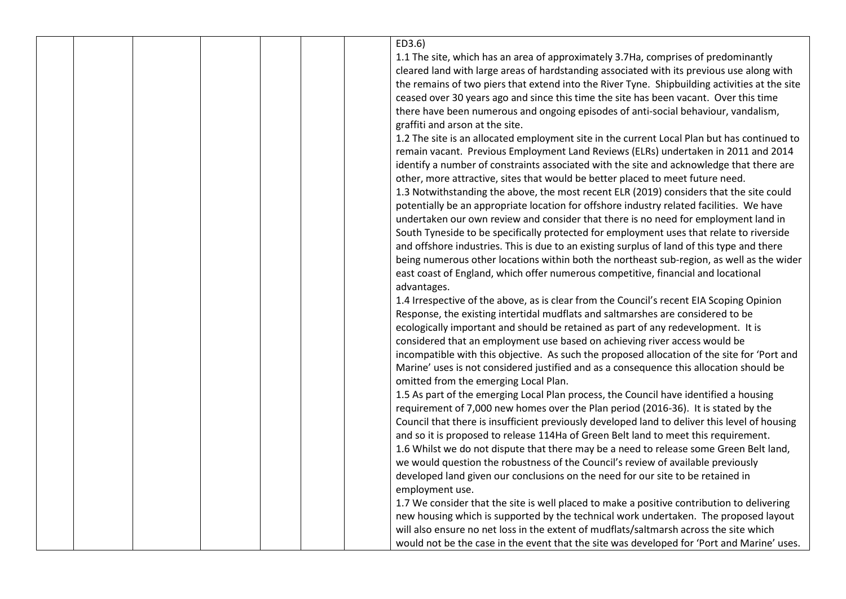|  |  |  | ED3.6)                                |                                                                                                                                                                                |
|--|--|--|---------------------------------------|--------------------------------------------------------------------------------------------------------------------------------------------------------------------------------|
|  |  |  |                                       | 1.1 The site, which has an area of approximately 3.7Ha, comprises of predominantly                                                                                             |
|  |  |  |                                       | cleared land with large areas of hardstanding associated with its previous use along with                                                                                      |
|  |  |  |                                       | the remains of two piers that extend into the River Tyne. Shipbuilding activities at the site                                                                                  |
|  |  |  |                                       | ceased over 30 years ago and since this time the site has been vacant. Over this time                                                                                          |
|  |  |  |                                       | there have been numerous and ongoing episodes of anti-social behaviour, vandalism,                                                                                             |
|  |  |  | graffiti and arson at the site.       |                                                                                                                                                                                |
|  |  |  |                                       | 1.2 The site is an allocated employment site in the current Local Plan but has continued to                                                                                    |
|  |  |  |                                       | remain vacant. Previous Employment Land Reviews (ELRs) undertaken in 2011 and 2014                                                                                             |
|  |  |  |                                       | identify a number of constraints associated with the site and acknowledge that there are                                                                                       |
|  |  |  |                                       | other, more attractive, sites that would be better placed to meet future need.                                                                                                 |
|  |  |  |                                       | 1.3 Notwithstanding the above, the most recent ELR (2019) considers that the site could                                                                                        |
|  |  |  |                                       | potentially be an appropriate location for offshore industry related facilities. We have                                                                                       |
|  |  |  |                                       | undertaken our own review and consider that there is no need for employment land in                                                                                            |
|  |  |  |                                       | South Tyneside to be specifically protected for employment uses that relate to riverside                                                                                       |
|  |  |  |                                       | and offshore industries. This is due to an existing surplus of land of this type and there                                                                                     |
|  |  |  |                                       | being numerous other locations within both the northeast sub-region, as well as the wider                                                                                      |
|  |  |  |                                       | east coast of England, which offer numerous competitive, financial and locational                                                                                              |
|  |  |  | advantages.                           |                                                                                                                                                                                |
|  |  |  |                                       | 1.4 Irrespective of the above, as is clear from the Council's recent EIA Scoping Opinion                                                                                       |
|  |  |  |                                       | Response, the existing intertidal mudflats and saltmarshes are considered to be                                                                                                |
|  |  |  |                                       | ecologically important and should be retained as part of any redevelopment. It is                                                                                              |
|  |  |  |                                       | considered that an employment use based on achieving river access would be                                                                                                     |
|  |  |  |                                       | incompatible with this objective. As such the proposed allocation of the site for 'Port and                                                                                    |
|  |  |  |                                       | Marine' uses is not considered justified and as a consequence this allocation should be                                                                                        |
|  |  |  | omitted from the emerging Local Plan. |                                                                                                                                                                                |
|  |  |  |                                       | 1.5 As part of the emerging Local Plan process, the Council have identified a housing                                                                                          |
|  |  |  |                                       | requirement of 7,000 new homes over the Plan period (2016-36). It is stated by the                                                                                             |
|  |  |  |                                       | Council that there is insufficient previously developed land to deliver this level of housing                                                                                  |
|  |  |  |                                       | and so it is proposed to release 114Ha of Green Belt land to meet this requirement.                                                                                            |
|  |  |  |                                       |                                                                                                                                                                                |
|  |  |  |                                       | 1.6 Whilst we do not dispute that there may be a need to release some Green Belt land,                                                                                         |
|  |  |  |                                       | we would question the robustness of the Council's review of available previously                                                                                               |
|  |  |  |                                       | developed land given our conclusions on the need for our site to be retained in                                                                                                |
|  |  |  | employment use.                       |                                                                                                                                                                                |
|  |  |  |                                       | 1.7 We consider that the site is well placed to make a positive contribution to delivering                                                                                     |
|  |  |  |                                       | new housing which is supported by the technical work undertaken. The proposed layout<br>will also ensure no net loss in the extent of mudflats/saltmarsh across the site which |
|  |  |  |                                       |                                                                                                                                                                                |
|  |  |  |                                       | would not be the case in the event that the site was developed for 'Port and Marine' uses.                                                                                     |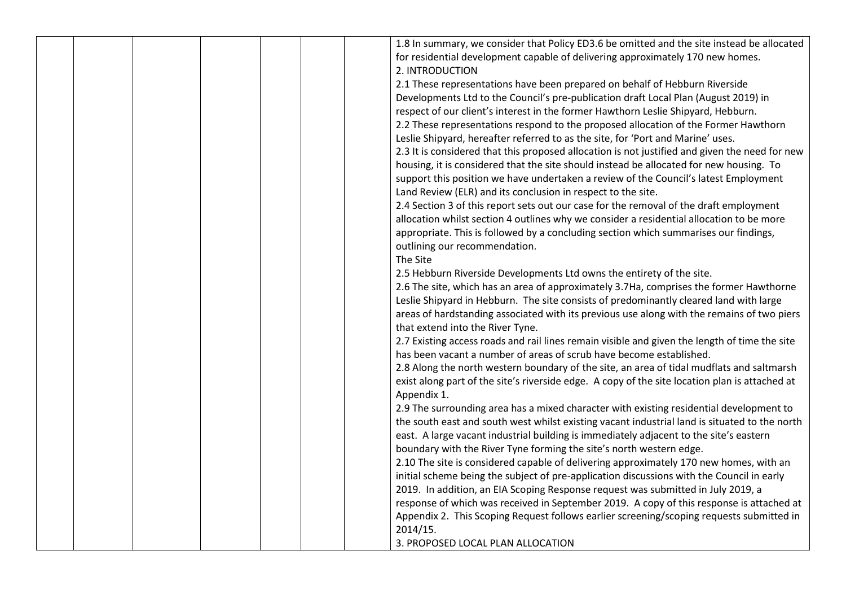|  |  |  | 1.8 In summary, we consider that Policy ED3.6 be omitted and the site instead be allocated     |
|--|--|--|------------------------------------------------------------------------------------------------|
|  |  |  | for residential development capable of delivering approximately 170 new homes.                 |
|  |  |  | 2. INTRODUCTION                                                                                |
|  |  |  |                                                                                                |
|  |  |  | 2.1 These representations have been prepared on behalf of Hebburn Riverside                    |
|  |  |  | Developments Ltd to the Council's pre-publication draft Local Plan (August 2019) in            |
|  |  |  | respect of our client's interest in the former Hawthorn Leslie Shipyard, Hebburn.              |
|  |  |  | 2.2 These representations respond to the proposed allocation of the Former Hawthorn            |
|  |  |  | Leslie Shipyard, hereafter referred to as the site, for 'Port and Marine' uses.                |
|  |  |  | 2.3 It is considered that this proposed allocation is not justified and given the need for new |
|  |  |  | housing, it is considered that the site should instead be allocated for new housing. To        |
|  |  |  | support this position we have undertaken a review of the Council's latest Employment           |
|  |  |  | Land Review (ELR) and its conclusion in respect to the site.                                   |
|  |  |  | 2.4 Section 3 of this report sets out our case for the removal of the draft employment         |
|  |  |  | allocation whilst section 4 outlines why we consider a residential allocation to be more       |
|  |  |  | appropriate. This is followed by a concluding section which summarises our findings,           |
|  |  |  | outlining our recommendation.                                                                  |
|  |  |  | The Site                                                                                       |
|  |  |  | 2.5 Hebburn Riverside Developments Ltd owns the entirety of the site.                          |
|  |  |  | 2.6 The site, which has an area of approximately 3.7Ha, comprises the former Hawthorne         |
|  |  |  | Leslie Shipyard in Hebburn. The site consists of predominantly cleared land with large         |
|  |  |  | areas of hardstanding associated with its previous use along with the remains of two piers     |
|  |  |  | that extend into the River Tyne.                                                               |
|  |  |  | 2.7 Existing access roads and rail lines remain visible and given the length of time the site  |
|  |  |  | has been vacant a number of areas of scrub have become established.                            |
|  |  |  | 2.8 Along the north western boundary of the site, an area of tidal mudflats and saltmarsh      |
|  |  |  | exist along part of the site's riverside edge. A copy of the site location plan is attached at |
|  |  |  | Appendix 1.                                                                                    |
|  |  |  | 2.9 The surrounding area has a mixed character with existing residential development to        |
|  |  |  | the south east and south west whilst existing vacant industrial land is situated to the north  |
|  |  |  |                                                                                                |
|  |  |  | east. A large vacant industrial building is immediately adjacent to the site's eastern         |
|  |  |  | boundary with the River Tyne forming the site's north western edge.                            |
|  |  |  | 2.10 The site is considered capable of delivering approximately 170 new homes, with an         |
|  |  |  | initial scheme being the subject of pre-application discussions with the Council in early      |
|  |  |  | 2019. In addition, an EIA Scoping Response request was submitted in July 2019, a               |
|  |  |  | response of which was received in September 2019. A copy of this response is attached at       |
|  |  |  | Appendix 2. This Scoping Request follows earlier screening/scoping requests submitted in       |
|  |  |  | 2014/15.                                                                                       |
|  |  |  | 3. PROPOSED LOCAL PLAN ALLOCATION                                                              |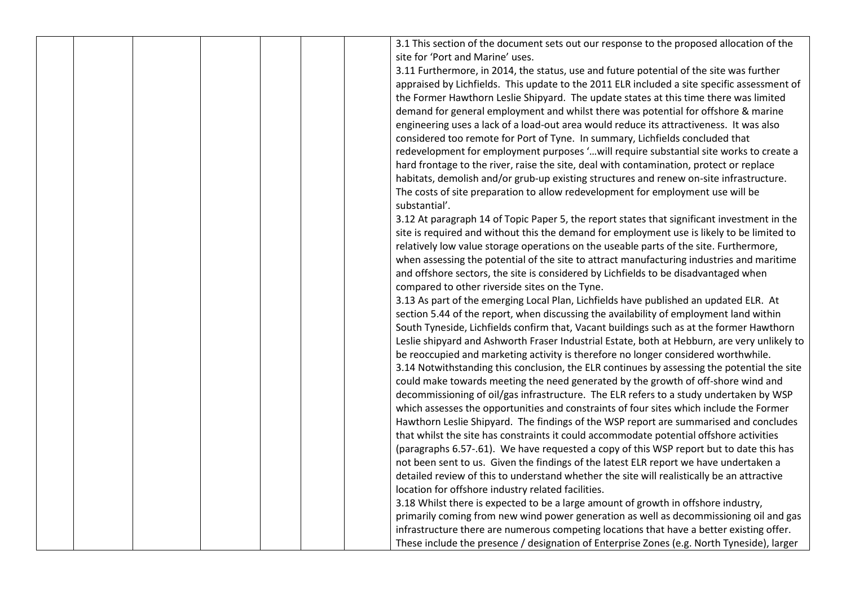|  |  |  | 3.1 This section of the document sets out our response to the proposed allocation of the     |
|--|--|--|----------------------------------------------------------------------------------------------|
|  |  |  | site for 'Port and Marine' uses.                                                             |
|  |  |  | 3.11 Furthermore, in 2014, the status, use and future potential of the site was further      |
|  |  |  | appraised by Lichfields. This update to the 2011 ELR included a site specific assessment of  |
|  |  |  | the Former Hawthorn Leslie Shipyard. The update states at this time there was limited        |
|  |  |  | demand for general employment and whilst there was potential for offshore & marine           |
|  |  |  | engineering uses a lack of a load-out area would reduce its attractiveness. It was also      |
|  |  |  | considered too remote for Port of Tyne. In summary, Lichfields concluded that                |
|  |  |  | redevelopment for employment purposes 'will require substantial site works to create a       |
|  |  |  | hard frontage to the river, raise the site, deal with contamination, protect or replace      |
|  |  |  | habitats, demolish and/or grub-up existing structures and renew on-site infrastructure.      |
|  |  |  | The costs of site preparation to allow redevelopment for employment use will be              |
|  |  |  | substantial'.                                                                                |
|  |  |  | 3.12 At paragraph 14 of Topic Paper 5, the report states that significant investment in the  |
|  |  |  | site is required and without this the demand for employment use is likely to be limited to   |
|  |  |  | relatively low value storage operations on the useable parts of the site. Furthermore,       |
|  |  |  | when assessing the potential of the site to attract manufacturing industries and maritime    |
|  |  |  | and offshore sectors, the site is considered by Lichfields to be disadvantaged when          |
|  |  |  | compared to other riverside sites on the Tyne.                                               |
|  |  |  | 3.13 As part of the emerging Local Plan, Lichfields have published an updated ELR. At        |
|  |  |  | section 5.44 of the report, when discussing the availability of employment land within       |
|  |  |  | South Tyneside, Lichfields confirm that, Vacant buildings such as at the former Hawthorn     |
|  |  |  | Leslie shipyard and Ashworth Fraser Industrial Estate, both at Hebburn, are very unlikely to |
|  |  |  | be reoccupied and marketing activity is therefore no longer considered worthwhile.           |
|  |  |  | 3.14 Notwithstanding this conclusion, the ELR continues by assessing the potential the site  |
|  |  |  | could make towards meeting the need generated by the growth of off-shore wind and            |
|  |  |  | decommissioning of oil/gas infrastructure. The ELR refers to a study undertaken by WSP       |
|  |  |  | which assesses the opportunities and constraints of four sites which include the Former      |
|  |  |  | Hawthorn Leslie Shipyard. The findings of the WSP report are summarised and concludes        |
|  |  |  | that whilst the site has constraints it could accommodate potential offshore activities      |
|  |  |  | (paragraphs 6.57-.61). We have requested a copy of this WSP report but to date this has      |
|  |  |  | not been sent to us. Given the findings of the latest ELR report we have undertaken a        |
|  |  |  | detailed review of this to understand whether the site will realistically be an attractive   |
|  |  |  | location for offshore industry related facilities.                                           |
|  |  |  | 3.18 Whilst there is expected to be a large amount of growth in offshore industry,           |
|  |  |  | primarily coming from new wind power generation as well as decommissioning oil and gas       |
|  |  |  | infrastructure there are numerous competing locations that have a better existing offer.     |
|  |  |  | These include the presence / designation of Enterprise Zones (e.g. North Tyneside), larger   |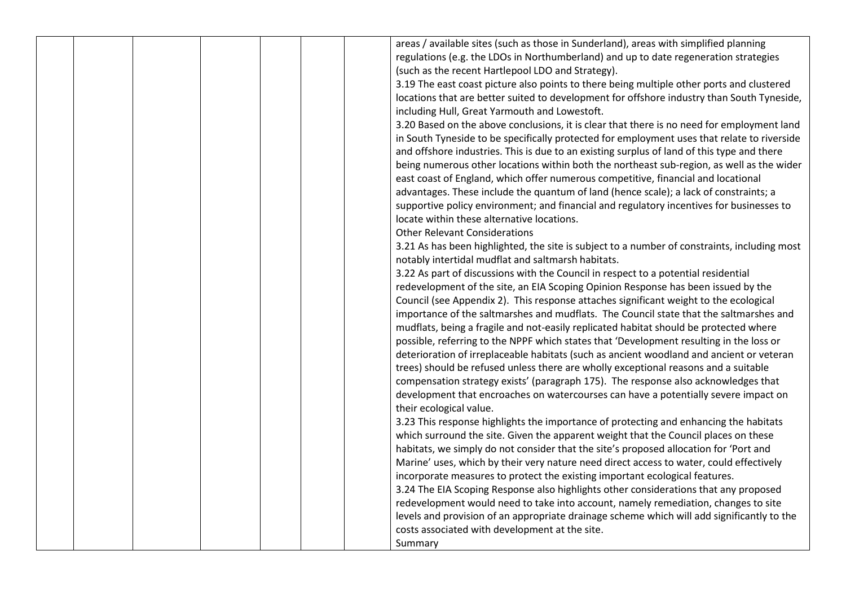|  |  |  | areas / available sites (such as those in Sunderland), areas with simplified planning        |
|--|--|--|----------------------------------------------------------------------------------------------|
|  |  |  | regulations (e.g. the LDOs in Northumberland) and up to date regeneration strategies         |
|  |  |  | (such as the recent Hartlepool LDO and Strategy).                                            |
|  |  |  | 3.19 The east coast picture also points to there being multiple other ports and clustered    |
|  |  |  |                                                                                              |
|  |  |  | locations that are better suited to development for offshore industry than South Tyneside,   |
|  |  |  | including Hull, Great Yarmouth and Lowestoft.                                                |
|  |  |  | 3.20 Based on the above conclusions, it is clear that there is no need for employment land   |
|  |  |  | in South Tyneside to be specifically protected for employment uses that relate to riverside  |
|  |  |  | and offshore industries. This is due to an existing surplus of land of this type and there   |
|  |  |  | being numerous other locations within both the northeast sub-region, as well as the wider    |
|  |  |  | east coast of England, which offer numerous competitive, financial and locational            |
|  |  |  | advantages. These include the quantum of land (hence scale); a lack of constraints; a        |
|  |  |  | supportive policy environment; and financial and regulatory incentives for businesses to     |
|  |  |  | locate within these alternative locations.                                                   |
|  |  |  | <b>Other Relevant Considerations</b>                                                         |
|  |  |  | 3.21 As has been highlighted, the site is subject to a number of constraints, including most |
|  |  |  | notably intertidal mudflat and saltmarsh habitats.                                           |
|  |  |  | 3.22 As part of discussions with the Council in respect to a potential residential           |
|  |  |  | redevelopment of the site, an EIA Scoping Opinion Response has been issued by the            |
|  |  |  | Council (see Appendix 2). This response attaches significant weight to the ecological        |
|  |  |  | importance of the saltmarshes and mudflats. The Council state that the saltmarshes and       |
|  |  |  | mudflats, being a fragile and not-easily replicated habitat should be protected where        |
|  |  |  | possible, referring to the NPPF which states that 'Development resulting in the loss or      |
|  |  |  | deterioration of irreplaceable habitats (such as ancient woodland and ancient or veteran     |
|  |  |  | trees) should be refused unless there are wholly exceptional reasons and a suitable          |
|  |  |  | compensation strategy exists' (paragraph 175). The response also acknowledges that           |
|  |  |  | development that encroaches on watercourses can have a potentially severe impact on          |
|  |  |  | their ecological value.                                                                      |
|  |  |  | 3.23 This response highlights the importance of protecting and enhancing the habitats        |
|  |  |  | which surround the site. Given the apparent weight that the Council places on these          |
|  |  |  | habitats, we simply do not consider that the site's proposed allocation for 'Port and        |
|  |  |  | Marine' uses, which by their very nature need direct access to water, could effectively      |
|  |  |  | incorporate measures to protect the existing important ecological features.                  |
|  |  |  | 3.24 The EIA Scoping Response also highlights other considerations that any proposed         |
|  |  |  | redevelopment would need to take into account, namely remediation, changes to site           |
|  |  |  | levels and provision of an appropriate drainage scheme which will add significantly to the   |
|  |  |  | costs associated with development at the site.                                               |
|  |  |  | Summary                                                                                      |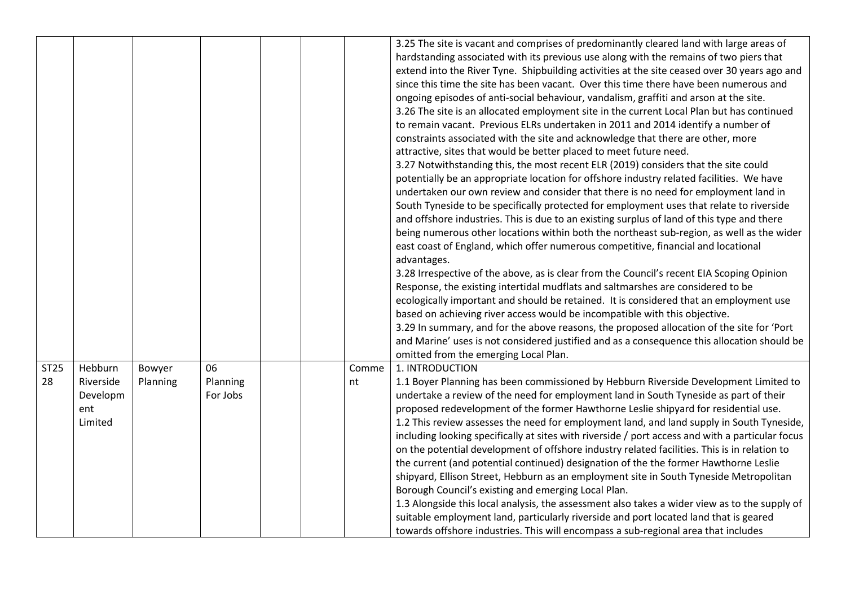|                   |                            |                    |                |             | 3.25 The site is vacant and comprises of predominantly cleared land with large areas of<br>hardstanding associated with its previous use along with the remains of two piers that<br>extend into the River Tyne. Shipbuilding activities at the site ceased over 30 years ago and<br>since this time the site has been vacant. Over this time there have been numerous and<br>ongoing episodes of anti-social behaviour, vandalism, graffiti and arson at the site.<br>3.26 The site is an allocated employment site in the current Local Plan but has continued<br>to remain vacant. Previous ELRs undertaken in 2011 and 2014 identify a number of<br>constraints associated with the site and acknowledge that there are other, more<br>attractive, sites that would be better placed to meet future need.<br>3.27 Notwithstanding this, the most recent ELR (2019) considers that the site could<br>potentially be an appropriate location for offshore industry related facilities. We have<br>undertaken our own review and consider that there is no need for employment land in<br>South Tyneside to be specifically protected for employment uses that relate to riverside<br>and offshore industries. This is due to an existing surplus of land of this type and there<br>being numerous other locations within both the northeast sub-region, as well as the wider<br>east coast of England, which offer numerous competitive, financial and locational<br>advantages.<br>3.28 Irrespective of the above, as is clear from the Council's recent EIA Scoping Opinion<br>Response, the existing intertidal mudflats and saltmarshes are considered to be<br>ecologically important and should be retained. It is considered that an employment use<br>based on achieving river access would be incompatible with this objective.<br>3.29 In summary, and for the above reasons, the proposed allocation of the site for 'Port<br>and Marine' uses is not considered justified and as a consequence this allocation should be<br>omitted from the emerging Local Plan. |
|-------------------|----------------------------|--------------------|----------------|-------------|---------------------------------------------------------------------------------------------------------------------------------------------------------------------------------------------------------------------------------------------------------------------------------------------------------------------------------------------------------------------------------------------------------------------------------------------------------------------------------------------------------------------------------------------------------------------------------------------------------------------------------------------------------------------------------------------------------------------------------------------------------------------------------------------------------------------------------------------------------------------------------------------------------------------------------------------------------------------------------------------------------------------------------------------------------------------------------------------------------------------------------------------------------------------------------------------------------------------------------------------------------------------------------------------------------------------------------------------------------------------------------------------------------------------------------------------------------------------------------------------------------------------------------------------------------------------------------------------------------------------------------------------------------------------------------------------------------------------------------------------------------------------------------------------------------------------------------------------------------------------------------------------------------------------------------------------------------------------------------------------------------------------------------------------------------------------------------|
| <b>ST25</b><br>28 | Hebburn<br>Riverside       | Bowyer<br>Planning | 06<br>Planning | Comme<br>nt | 1. INTRODUCTION<br>1.1 Boyer Planning has been commissioned by Hebburn Riverside Development Limited to                                                                                                                                                                                                                                                                                                                                                                                                                                                                                                                                                                                                                                                                                                                                                                                                                                                                                                                                                                                                                                                                                                                                                                                                                                                                                                                                                                                                                                                                                                                                                                                                                                                                                                                                                                                                                                                                                                                                                                         |
|                   | Developm<br>ent<br>Limited |                    | For Jobs       |             | undertake a review of the need for employment land in South Tyneside as part of their<br>proposed redevelopment of the former Hawthorne Leslie shipyard for residential use.<br>1.2 This review assesses the need for employment land, and land supply in South Tyneside,<br>including looking specifically at sites with riverside / port access and with a particular focus<br>on the potential development of offshore industry related facilities. This is in relation to<br>the current (and potential continued) designation of the the former Hawthorne Leslie<br>shipyard, Ellison Street, Hebburn as an employment site in South Tyneside Metropolitan<br>Borough Council's existing and emerging Local Plan.<br>1.3 Alongside this local analysis, the assessment also takes a wider view as to the supply of<br>suitable employment land, particularly riverside and port located land that is geared<br>towards offshore industries. This will encompass a sub-regional area that includes                                                                                                                                                                                                                                                                                                                                                                                                                                                                                                                                                                                                                                                                                                                                                                                                                                                                                                                                                                                                                                                                          |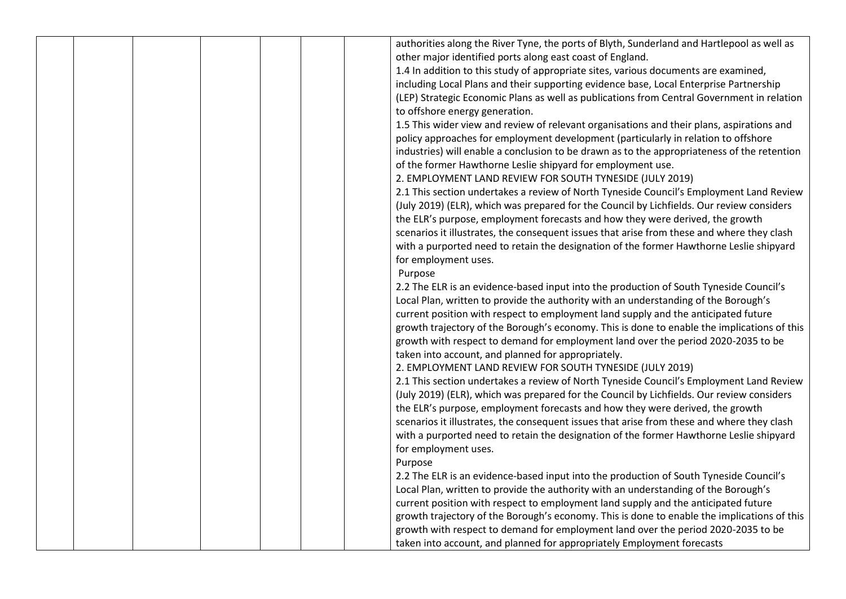|  |  |  | authorities along the River Tyne, the ports of Blyth, Sunderland and Hartlepool as well as  |
|--|--|--|---------------------------------------------------------------------------------------------|
|  |  |  | other major identified ports along east coast of England.                                   |
|  |  |  | 1.4 In addition to this study of appropriate sites, various documents are examined,         |
|  |  |  | including Local Plans and their supporting evidence base, Local Enterprise Partnership      |
|  |  |  | (LEP) Strategic Economic Plans as well as publications from Central Government in relation  |
|  |  |  | to offshore energy generation.                                                              |
|  |  |  | 1.5 This wider view and review of relevant organisations and their plans, aspirations and   |
|  |  |  | policy approaches for employment development (particularly in relation to offshore          |
|  |  |  | industries) will enable a conclusion to be drawn as to the appropriateness of the retention |
|  |  |  | of the former Hawthorne Leslie shipyard for employment use.                                 |
|  |  |  | 2. EMPLOYMENT LAND REVIEW FOR SOUTH TYNESIDE (JULY 2019)                                    |
|  |  |  | 2.1 This section undertakes a review of North Tyneside Council's Employment Land Review     |
|  |  |  |                                                                                             |
|  |  |  | (July 2019) (ELR), which was prepared for the Council by Lichfields. Our review considers   |
|  |  |  | the ELR's purpose, employment forecasts and how they were derived, the growth               |
|  |  |  | scenarios it illustrates, the consequent issues that arise from these and where they clash  |
|  |  |  | with a purported need to retain the designation of the former Hawthorne Leslie shipyard     |
|  |  |  | for employment uses.                                                                        |
|  |  |  | Purpose                                                                                     |
|  |  |  | 2.2 The ELR is an evidence-based input into the production of South Tyneside Council's      |
|  |  |  | Local Plan, written to provide the authority with an understanding of the Borough's         |
|  |  |  | current position with respect to employment land supply and the anticipated future          |
|  |  |  | growth trajectory of the Borough's economy. This is done to enable the implications of this |
|  |  |  | growth with respect to demand for employment land over the period 2020-2035 to be           |
|  |  |  | taken into account, and planned for appropriately.                                          |
|  |  |  | 2. EMPLOYMENT LAND REVIEW FOR SOUTH TYNESIDE (JULY 2019)                                    |
|  |  |  | 2.1 This section undertakes a review of North Tyneside Council's Employment Land Review     |
|  |  |  | (July 2019) (ELR), which was prepared for the Council by Lichfields. Our review considers   |
|  |  |  | the ELR's purpose, employment forecasts and how they were derived, the growth               |
|  |  |  | scenarios it illustrates, the consequent issues that arise from these and where they clash  |
|  |  |  | with a purported need to retain the designation of the former Hawthorne Leslie shipyard     |
|  |  |  | for employment uses.                                                                        |
|  |  |  | Purpose                                                                                     |
|  |  |  | 2.2 The ELR is an evidence-based input into the production of South Tyneside Council's      |
|  |  |  | Local Plan, written to provide the authority with an understanding of the Borough's         |
|  |  |  | current position with respect to employment land supply and the anticipated future          |
|  |  |  | growth trajectory of the Borough's economy. This is done to enable the implications of this |
|  |  |  | growth with respect to demand for employment land over the period 2020-2035 to be           |
|  |  |  | taken into account, and planned for appropriately Employment forecasts                      |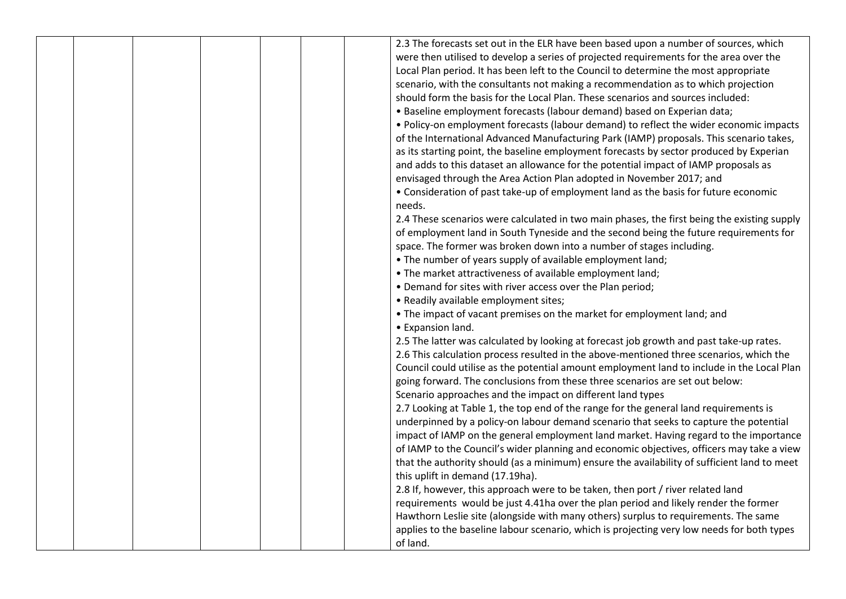|  |  |  | 2.3 The forecasts set out in the ELR have been based upon a number of sources, which        |
|--|--|--|---------------------------------------------------------------------------------------------|
|  |  |  | were then utilised to develop a series of projected requirements for the area over the      |
|  |  |  | Local Plan period. It has been left to the Council to determine the most appropriate        |
|  |  |  | scenario, with the consultants not making a recommendation as to which projection           |
|  |  |  | should form the basis for the Local Plan. These scenarios and sources included:             |
|  |  |  | • Baseline employment forecasts (labour demand) based on Experian data;                     |
|  |  |  | • Policy-on employment forecasts (labour demand) to reflect the wider economic impacts      |
|  |  |  | of the International Advanced Manufacturing Park (IAMP) proposals. This scenario takes,     |
|  |  |  | as its starting point, the baseline employment forecasts by sector produced by Experian     |
|  |  |  | and adds to this dataset an allowance for the potential impact of IAMP proposals as         |
|  |  |  | envisaged through the Area Action Plan adopted in November 2017; and                        |
|  |  |  | • Consideration of past take-up of employment land as the basis for future economic         |
|  |  |  | needs.                                                                                      |
|  |  |  | 2.4 These scenarios were calculated in two main phases, the first being the existing supply |
|  |  |  | of employment land in South Tyneside and the second being the future requirements for       |
|  |  |  | space. The former was broken down into a number of stages including.                        |
|  |  |  | • The number of years supply of available employment land;                                  |
|  |  |  | • The market attractiveness of available employment land;                                   |
|  |  |  | • Demand for sites with river access over the Plan period;                                  |
|  |  |  | • Readily available employment sites;                                                       |
|  |  |  | • The impact of vacant premises on the market for employment land; and                      |
|  |  |  | • Expansion land.                                                                           |
|  |  |  | 2.5 The latter was calculated by looking at forecast job growth and past take-up rates.     |
|  |  |  | 2.6 This calculation process resulted in the above-mentioned three scenarios, which the     |
|  |  |  | Council could utilise as the potential amount employment land to include in the Local Plan  |
|  |  |  | going forward. The conclusions from these three scenarios are set out below:                |
|  |  |  | Scenario approaches and the impact on different land types                                  |
|  |  |  | 2.7 Looking at Table 1, the top end of the range for the general land requirements is       |
|  |  |  | underpinned by a policy-on labour demand scenario that seeks to capture the potential       |
|  |  |  | impact of IAMP on the general employment land market. Having regard to the importance       |
|  |  |  | of IAMP to the Council's wider planning and economic objectives, officers may take a view   |
|  |  |  | that the authority should (as a minimum) ensure the availability of sufficient land to meet |
|  |  |  | this uplift in demand (17.19ha).                                                            |
|  |  |  | 2.8 If, however, this approach were to be taken, then port / river related land             |
|  |  |  | requirements would be just 4.41ha over the plan period and likely render the former         |
|  |  |  | Hawthorn Leslie site (alongside with many others) surplus to requirements. The same         |
|  |  |  | applies to the baseline labour scenario, which is projecting very low needs for both types  |
|  |  |  | of land.                                                                                    |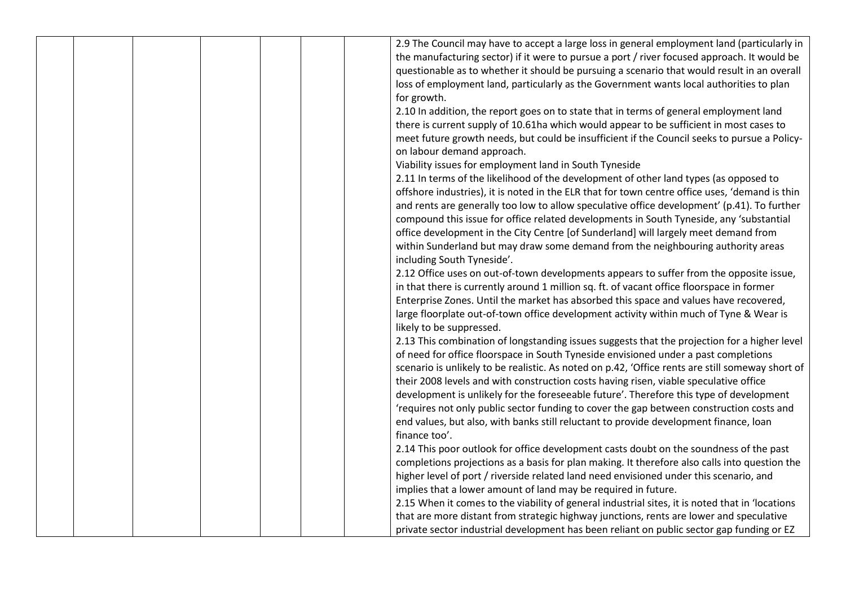|  |  | 2.9 The Council may have to accept a large loss in general employment land (particularly in      |
|--|--|--------------------------------------------------------------------------------------------------|
|  |  | the manufacturing sector) if it were to pursue a port / river focused approach. It would be      |
|  |  | questionable as to whether it should be pursuing a scenario that would result in an overall      |
|  |  | loss of employment land, particularly as the Government wants local authorities to plan          |
|  |  | for growth.                                                                                      |
|  |  | 2.10 In addition, the report goes on to state that in terms of general employment land           |
|  |  | there is current supply of 10.61ha which would appear to be sufficient in most cases to          |
|  |  | meet future growth needs, but could be insufficient if the Council seeks to pursue a Policy-     |
|  |  | on labour demand approach.                                                                       |
|  |  | Viability issues for employment land in South Tyneside                                           |
|  |  | 2.11 In terms of the likelihood of the development of other land types (as opposed to            |
|  |  | offshore industries), it is noted in the ELR that for town centre office uses, 'demand is thin   |
|  |  | and rents are generally too low to allow speculative office development' (p.41). To further      |
|  |  | compound this issue for office related developments in South Tyneside, any 'substantial          |
|  |  | office development in the City Centre [of Sunderland] will largely meet demand from              |
|  |  | within Sunderland but may draw some demand from the neighbouring authority areas                 |
|  |  | including South Tyneside'.                                                                       |
|  |  | 2.12 Office uses on out-of-town developments appears to suffer from the opposite issue,          |
|  |  | in that there is currently around 1 million sq. ft. of vacant office floorspace in former        |
|  |  | Enterprise Zones. Until the market has absorbed this space and values have recovered,            |
|  |  | large floorplate out-of-town office development activity within much of Tyne & Wear is           |
|  |  |                                                                                                  |
|  |  | likely to be suppressed.                                                                         |
|  |  | 2.13 This combination of longstanding issues suggests that the projection for a higher level     |
|  |  | of need for office floorspace in South Tyneside envisioned under a past completions              |
|  |  | scenario is unlikely to be realistic. As noted on p.42, 'Office rents are still someway short of |
|  |  | their 2008 levels and with construction costs having risen, viable speculative office            |
|  |  | development is unlikely for the foreseeable future'. Therefore this type of development          |
|  |  | 'requires not only public sector funding to cover the gap between construction costs and         |
|  |  | end values, but also, with banks still reluctant to provide development finance, loan            |
|  |  | finance too'.                                                                                    |
|  |  | 2.14 This poor outlook for office development casts doubt on the soundness of the past           |
|  |  | completions projections as a basis for plan making. It therefore also calls into question the    |
|  |  | higher level of port / riverside related land need envisioned under this scenario, and           |
|  |  | implies that a lower amount of land may be required in future.                                   |
|  |  | 2.15 When it comes to the viability of general industrial sites, it is noted that in 'locations' |
|  |  | that are more distant from strategic highway junctions, rents are lower and speculative          |
|  |  | private sector industrial development has been reliant on public sector gap funding or EZ        |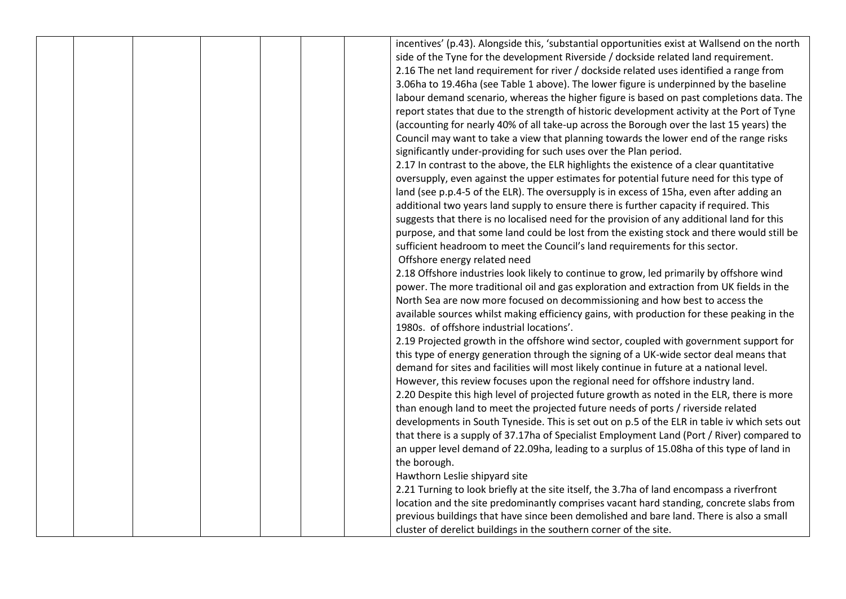|  |  |  | incentives' (p.43). Alongside this, 'substantial opportunities exist at Wallsend on the north |
|--|--|--|-----------------------------------------------------------------------------------------------|
|  |  |  | side of the Tyne for the development Riverside / dockside related land requirement.           |
|  |  |  | 2.16 The net land requirement for river / dockside related uses identified a range from       |
|  |  |  | 3.06ha to 19.46ha (see Table 1 above). The lower figure is underpinned by the baseline        |
|  |  |  | labour demand scenario, whereas the higher figure is based on past completions data. The      |
|  |  |  | report states that due to the strength of historic development activity at the Port of Tyne   |
|  |  |  | (accounting for nearly 40% of all take-up across the Borough over the last 15 years) the      |
|  |  |  | Council may want to take a view that planning towards the lower end of the range risks        |
|  |  |  | significantly under-providing for such uses over the Plan period.                             |
|  |  |  | 2.17 In contrast to the above, the ELR highlights the existence of a clear quantitative       |
|  |  |  | oversupply, even against the upper estimates for potential future need for this type of       |
|  |  |  | land (see p.p.4-5 of the ELR). The oversupply is in excess of 15ha, even after adding an      |
|  |  |  | additional two years land supply to ensure there is further capacity if required. This        |
|  |  |  | suggests that there is no localised need for the provision of any additional land for this    |
|  |  |  | purpose, and that some land could be lost from the existing stock and there would still be    |
|  |  |  | sufficient headroom to meet the Council's land requirements for this sector.                  |
|  |  |  | Offshore energy related need                                                                  |
|  |  |  | 2.18 Offshore industries look likely to continue to grow, led primarily by offshore wind      |
|  |  |  | power. The more traditional oil and gas exploration and extraction from UK fields in the      |
|  |  |  | North Sea are now more focused on decommissioning and how best to access the                  |
|  |  |  | available sources whilst making efficiency gains, with production for these peaking in the    |
|  |  |  | 1980s. of offshore industrial locations'.                                                     |
|  |  |  | 2.19 Projected growth in the offshore wind sector, coupled with government support for        |
|  |  |  | this type of energy generation through the signing of a UK-wide sector deal means that        |
|  |  |  | demand for sites and facilities will most likely continue in future at a national level.      |
|  |  |  | However, this review focuses upon the regional need for offshore industry land.               |
|  |  |  | 2.20 Despite this high level of projected future growth as noted in the ELR, there is more    |
|  |  |  | than enough land to meet the projected future needs of ports / riverside related              |
|  |  |  | developments in South Tyneside. This is set out on p.5 of the ELR in table iv which sets out  |
|  |  |  | that there is a supply of 37.17ha of Specialist Employment Land (Port / River) compared to    |
|  |  |  | an upper level demand of 22.09ha, leading to a surplus of 15.08ha of this type of land in     |
|  |  |  | the borough.                                                                                  |
|  |  |  | Hawthorn Leslie shipyard site                                                                 |
|  |  |  | 2.21 Turning to look briefly at the site itself, the 3.7ha of land encompass a riverfront     |
|  |  |  | location and the site predominantly comprises vacant hard standing, concrete slabs from       |
|  |  |  | previous buildings that have since been demolished and bare land. There is also a small       |
|  |  |  | cluster of derelict buildings in the southern corner of the site.                             |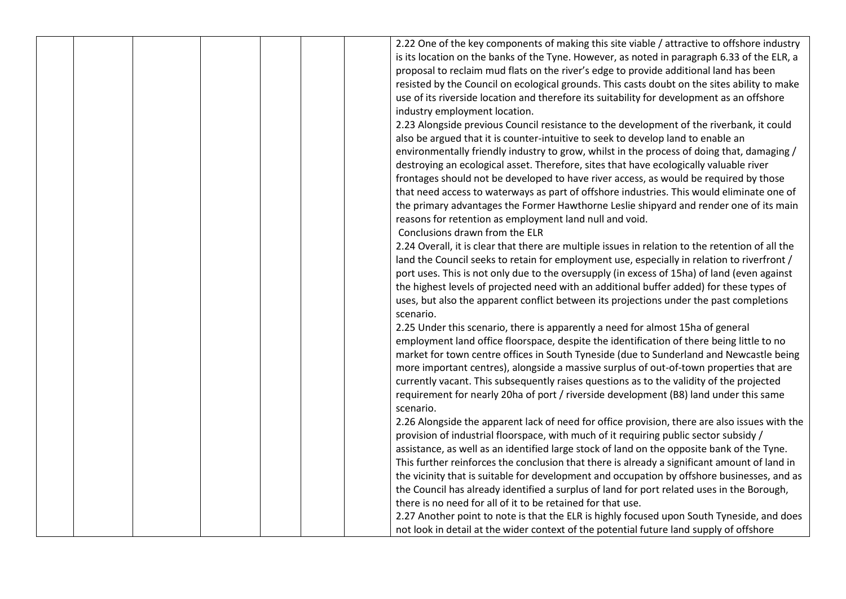|  |  |  | 2.22 One of the key components of making this site viable / attractive to offshore industry      |
|--|--|--|--------------------------------------------------------------------------------------------------|
|  |  |  | is its location on the banks of the Tyne. However, as noted in paragraph 6.33 of the ELR, a      |
|  |  |  | proposal to reclaim mud flats on the river's edge to provide additional land has been            |
|  |  |  | resisted by the Council on ecological grounds. This casts doubt on the sites ability to make     |
|  |  |  | use of its riverside location and therefore its suitability for development as an offshore       |
|  |  |  | industry employment location.                                                                    |
|  |  |  | 2.23 Alongside previous Council resistance to the development of the riverbank, it could         |
|  |  |  | also be argued that it is counter-intuitive to seek to develop land to enable an                 |
|  |  |  | environmentally friendly industry to grow, whilst in the process of doing that, damaging /       |
|  |  |  | destroying an ecological asset. Therefore, sites that have ecologically valuable river           |
|  |  |  | frontages should not be developed to have river access, as would be required by those            |
|  |  |  | that need access to waterways as part of offshore industries. This would eliminate one of        |
|  |  |  | the primary advantages the Former Hawthorne Leslie shipyard and render one of its main           |
|  |  |  | reasons for retention as employment land null and void.                                          |
|  |  |  | Conclusions drawn from the ELR                                                                   |
|  |  |  | 2.24 Overall, it is clear that there are multiple issues in relation to the retention of all the |
|  |  |  | land the Council seeks to retain for employment use, especially in relation to riverfront /      |
|  |  |  | port uses. This is not only due to the oversupply (in excess of 15ha) of land (even against      |
|  |  |  | the highest levels of projected need with an additional buffer added) for these types of         |
|  |  |  | uses, but also the apparent conflict between its projections under the past completions          |
|  |  |  | scenario.                                                                                        |
|  |  |  | 2.25 Under this scenario, there is apparently a need for almost 15ha of general                  |
|  |  |  | employment land office floorspace, despite the identification of there being little to no        |
|  |  |  | market for town centre offices in South Tyneside (due to Sunderland and Newcastle being          |
|  |  |  | more important centres), alongside a massive surplus of out-of-town properties that are          |
|  |  |  | currently vacant. This subsequently raises questions as to the validity of the projected         |
|  |  |  | requirement for nearly 20ha of port / riverside development (B8) land under this same            |
|  |  |  | scenario.                                                                                        |
|  |  |  | 2.26 Alongside the apparent lack of need for office provision, there are also issues with the    |
|  |  |  | provision of industrial floorspace, with much of it requiring public sector subsidy /            |
|  |  |  | assistance, as well as an identified large stock of land on the opposite bank of the Tyne.       |
|  |  |  | This further reinforces the conclusion that there is already a significant amount of land in     |
|  |  |  | the vicinity that is suitable for development and occupation by offshore businesses, and as      |
|  |  |  | the Council has already identified a surplus of land for port related uses in the Borough,       |
|  |  |  | there is no need for all of it to be retained for that use.                                      |
|  |  |  | 2.27 Another point to note is that the ELR is highly focused upon South Tyneside, and does       |
|  |  |  | not look in detail at the wider context of the potential future land supply of offshore          |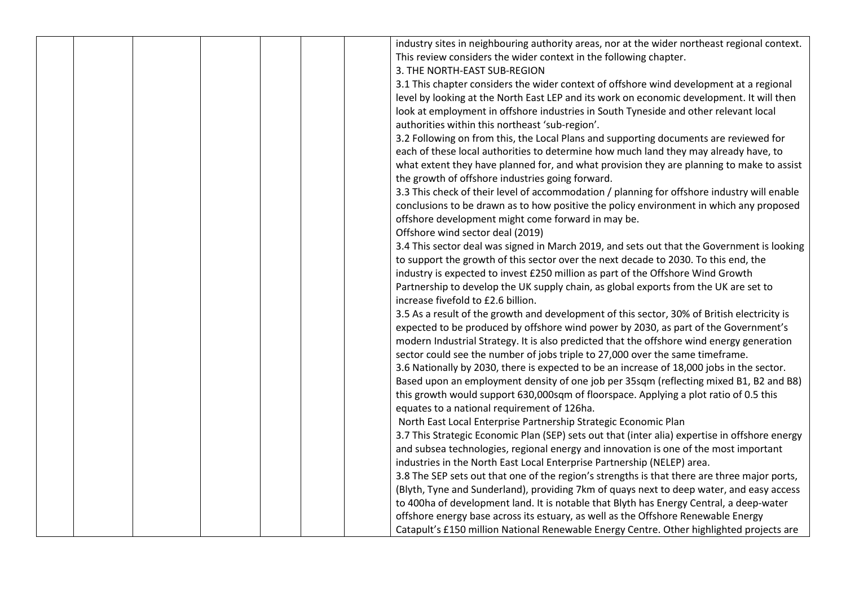|  |  |  | industry sites in neighbouring authority areas, nor at the wider northeast regional context.   |
|--|--|--|------------------------------------------------------------------------------------------------|
|  |  |  | This review considers the wider context in the following chapter.                              |
|  |  |  | 3. THE NORTH-EAST SUB-REGION                                                                   |
|  |  |  | 3.1 This chapter considers the wider context of offshore wind development at a regional        |
|  |  |  | level by looking at the North East LEP and its work on economic development. It will then      |
|  |  |  | look at employment in offshore industries in South Tyneside and other relevant local           |
|  |  |  | authorities within this northeast 'sub-region'.                                                |
|  |  |  | 3.2 Following on from this, the Local Plans and supporting documents are reviewed for          |
|  |  |  | each of these local authorities to determine how much land they may already have, to           |
|  |  |  | what extent they have planned for, and what provision they are planning to make to assist      |
|  |  |  | the growth of offshore industries going forward.                                               |
|  |  |  | 3.3 This check of their level of accommodation / planning for offshore industry will enable    |
|  |  |  | conclusions to be drawn as to how positive the policy environment in which any proposed        |
|  |  |  | offshore development might come forward in may be.                                             |
|  |  |  | Offshore wind sector deal (2019)                                                               |
|  |  |  | 3.4 This sector deal was signed in March 2019, and sets out that the Government is looking     |
|  |  |  | to support the growth of this sector over the next decade to 2030. To this end, the            |
|  |  |  | industry is expected to invest £250 million as part of the Offshore Wind Growth                |
|  |  |  | Partnership to develop the UK supply chain, as global exports from the UK are set to           |
|  |  |  | increase fivefold to £2.6 billion.                                                             |
|  |  |  | 3.5 As a result of the growth and development of this sector, 30% of British electricity is    |
|  |  |  | expected to be produced by offshore wind power by 2030, as part of the Government's            |
|  |  |  | modern Industrial Strategy. It is also predicted that the offshore wind energy generation      |
|  |  |  | sector could see the number of jobs triple to 27,000 over the same timeframe.                  |
|  |  |  | 3.6 Nationally by 2030, there is expected to be an increase of 18,000 jobs in the sector.      |
|  |  |  | Based upon an employment density of one job per 35sqm (reflecting mixed B1, B2 and B8)         |
|  |  |  | this growth would support 630,000sqm of floorspace. Applying a plot ratio of 0.5 this          |
|  |  |  | equates to a national requirement of 126ha.                                                    |
|  |  |  | North East Local Enterprise Partnership Strategic Economic Plan                                |
|  |  |  | 3.7 This Strategic Economic Plan (SEP) sets out that (inter alia) expertise in offshore energy |
|  |  |  | and subsea technologies, regional energy and innovation is one of the most important           |
|  |  |  | industries in the North East Local Enterprise Partnership (NELEP) area.                        |
|  |  |  | 3.8 The SEP sets out that one of the region's strengths is that there are three major ports,   |
|  |  |  | (Blyth, Tyne and Sunderland), providing 7km of quays next to deep water, and easy access       |
|  |  |  | to 400ha of development land. It is notable that Blyth has Energy Central, a deep-water        |
|  |  |  | offshore energy base across its estuary, as well as the Offshore Renewable Energy              |
|  |  |  | Catapult's £150 million National Renewable Energy Centre. Other highlighted projects are       |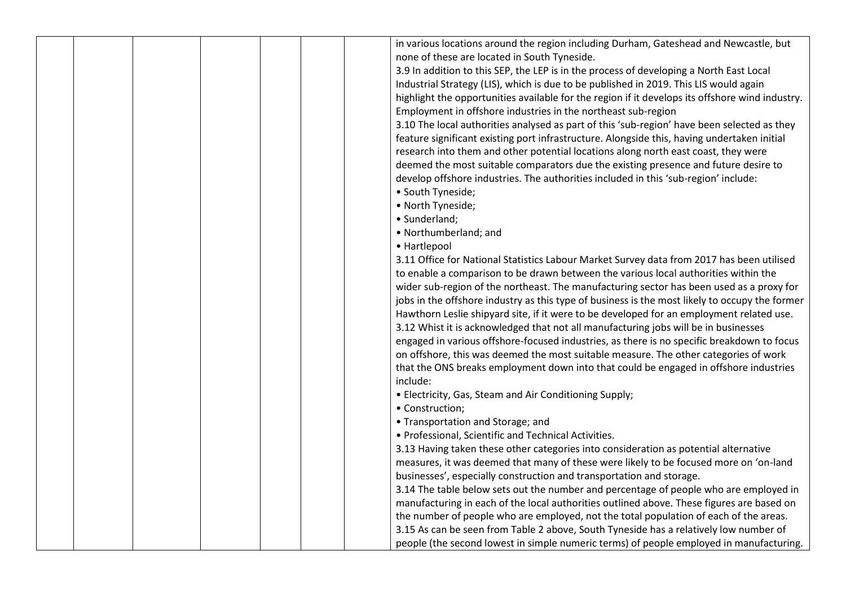|  |  |  | in various locations around the region including Durham, Gateshead and Newcastle, but           |
|--|--|--|-------------------------------------------------------------------------------------------------|
|  |  |  | none of these are located in South Tyneside.                                                    |
|  |  |  | 3.9 In addition to this SEP, the LEP is in the process of developing a North East Local         |
|  |  |  | Industrial Strategy (LIS), which is due to be published in 2019. This LIS would again           |
|  |  |  | highlight the opportunities available for the region if it develops its offshore wind industry. |
|  |  |  | Employment in offshore industries in the northeast sub-region                                   |
|  |  |  | 3.10 The local authorities analysed as part of this 'sub-region' have been selected as they     |
|  |  |  | feature significant existing port infrastructure. Alongside this, having undertaken initial     |
|  |  |  | research into them and other potential locations along north east coast, they were              |
|  |  |  | deemed the most suitable comparators due the existing presence and future desire to             |
|  |  |  | develop offshore industries. The authorities included in this 'sub-region' include:             |
|  |  |  | • South Tyneside;                                                                               |
|  |  |  | • North Tyneside;                                                                               |
|  |  |  | · Sunderland;                                                                                   |
|  |  |  | • Northumberland; and                                                                           |
|  |  |  | • Hartlepool                                                                                    |
|  |  |  | 3.11 Office for National Statistics Labour Market Survey data from 2017 has been utilised       |
|  |  |  | to enable a comparison to be drawn between the various local authorities within the             |
|  |  |  | wider sub-region of the northeast. The manufacturing sector has been used as a proxy for        |
|  |  |  | jobs in the offshore industry as this type of business is the most likely to occupy the former  |
|  |  |  | Hawthorn Leslie shipyard site, if it were to be developed for an employment related use.        |
|  |  |  | 3.12 Whist it is acknowledged that not all manufacturing jobs will be in businesses             |
|  |  |  | engaged in various offshore-focused industries, as there is no specific breakdown to focus      |
|  |  |  | on offshore, this was deemed the most suitable measure. The other categories of work            |
|  |  |  | that the ONS breaks employment down into that could be engaged in offshore industries           |
|  |  |  | include:                                                                                        |
|  |  |  | • Electricity, Gas, Steam and Air Conditioning Supply;                                          |
|  |  |  | • Construction;                                                                                 |
|  |  |  | • Transportation and Storage; and                                                               |
|  |  |  | • Professional, Scientific and Technical Activities.                                            |
|  |  |  | 3.13 Having taken these other categories into consideration as potential alternative            |
|  |  |  | measures, it was deemed that many of these were likely to be focused more on 'on-land           |
|  |  |  | businesses', especially construction and transportation and storage.                            |
|  |  |  | 3.14 The table below sets out the number and percentage of people who are employed in           |
|  |  |  | manufacturing in each of the local authorities outlined above. These figures are based on       |
|  |  |  | the number of people who are employed, not the total population of each of the areas.           |
|  |  |  | 3.15 As can be seen from Table 2 above, South Tyneside has a relatively low number of           |
|  |  |  | people (the second lowest in simple numeric terms) of people employed in manufacturing.         |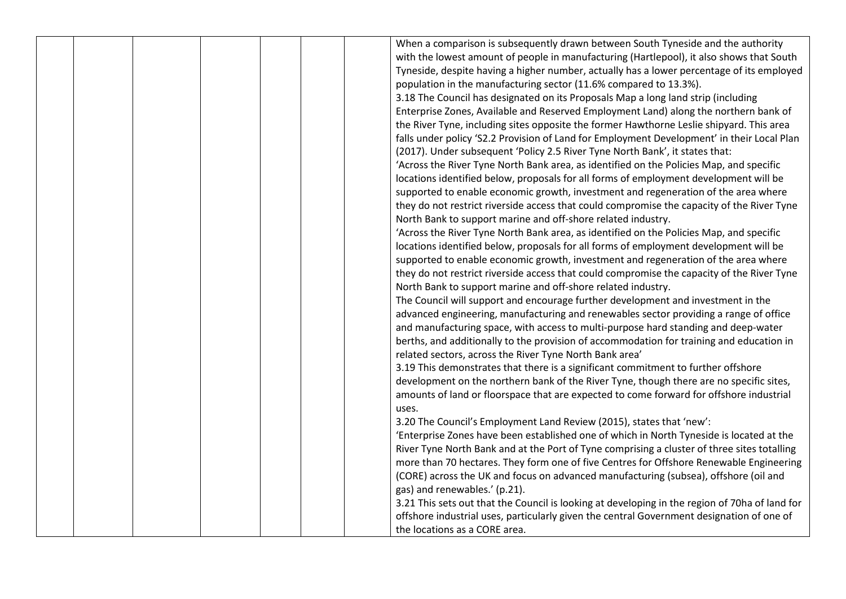|  |  |  | When a comparison is subsequently drawn between South Tyneside and the authority               |
|--|--|--|------------------------------------------------------------------------------------------------|
|  |  |  | with the lowest amount of people in manufacturing (Hartlepool), it also shows that South       |
|  |  |  | Tyneside, despite having a higher number, actually has a lower percentage of its employed      |
|  |  |  | population in the manufacturing sector (11.6% compared to 13.3%).                              |
|  |  |  | 3.18 The Council has designated on its Proposals Map a long land strip (including              |
|  |  |  | Enterprise Zones, Available and Reserved Employment Land) along the northern bank of           |
|  |  |  | the River Tyne, including sites opposite the former Hawthorne Leslie shipyard. This area       |
|  |  |  | falls under policy 'S2.2 Provision of Land for Employment Development' in their Local Plan     |
|  |  |  | (2017). Under subsequent 'Policy 2.5 River Tyne North Bank', it states that:                   |
|  |  |  | 'Across the River Tyne North Bank area, as identified on the Policies Map, and specific        |
|  |  |  | locations identified below, proposals for all forms of employment development will be          |
|  |  |  | supported to enable economic growth, investment and regeneration of the area where             |
|  |  |  | they do not restrict riverside access that could compromise the capacity of the River Tyne     |
|  |  |  | North Bank to support marine and off-shore related industry.                                   |
|  |  |  | 'Across the River Tyne North Bank area, as identified on the Policies Map, and specific        |
|  |  |  | locations identified below, proposals for all forms of employment development will be          |
|  |  |  | supported to enable economic growth, investment and regeneration of the area where             |
|  |  |  | they do not restrict riverside access that could compromise the capacity of the River Tyne     |
|  |  |  | North Bank to support marine and off-shore related industry.                                   |
|  |  |  | The Council will support and encourage further development and investment in the               |
|  |  |  | advanced engineering, manufacturing and renewables sector providing a range of office          |
|  |  |  | and manufacturing space, with access to multi-purpose hard standing and deep-water             |
|  |  |  | berths, and additionally to the provision of accommodation for training and education in       |
|  |  |  | related sectors, across the River Tyne North Bank area'                                        |
|  |  |  | 3.19 This demonstrates that there is a significant commitment to further offshore              |
|  |  |  | development on the northern bank of the River Tyne, though there are no specific sites,        |
|  |  |  | amounts of land or floorspace that are expected to come forward for offshore industrial        |
|  |  |  | uses.                                                                                          |
|  |  |  | 3.20 The Council's Employment Land Review (2015), states that 'new':                           |
|  |  |  | 'Enterprise Zones have been established one of which in North Tyneside is located at the       |
|  |  |  | River Tyne North Bank and at the Port of Tyne comprising a cluster of three sites totalling    |
|  |  |  | more than 70 hectares. They form one of five Centres for Offshore Renewable Engineering        |
|  |  |  | (CORE) across the UK and focus on advanced manufacturing (subsea), offshore (oil and           |
|  |  |  | gas) and renewables.' (p.21).                                                                  |
|  |  |  | 3.21 This sets out that the Council is looking at developing in the region of 70ha of land for |
|  |  |  | offshore industrial uses, particularly given the central Government designation of one of      |
|  |  |  | the locations as a CORE area.                                                                  |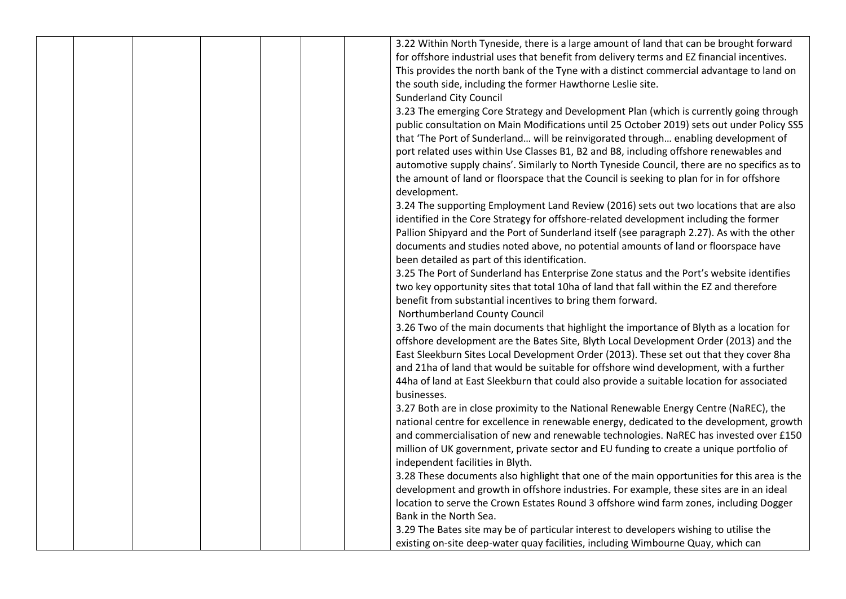|  |  |  | 3.22 Within North Tyneside, there is a large amount of land that can be brought forward      |
|--|--|--|----------------------------------------------------------------------------------------------|
|  |  |  | for offshore industrial uses that benefit from delivery terms and EZ financial incentives.   |
|  |  |  | This provides the north bank of the Tyne with a distinct commercial advantage to land on     |
|  |  |  | the south side, including the former Hawthorne Leslie site.                                  |
|  |  |  | <b>Sunderland City Council</b>                                                               |
|  |  |  | 3.23 The emerging Core Strategy and Development Plan (which is currently going through       |
|  |  |  | public consultation on Main Modifications until 25 October 2019) sets out under Policy SS5   |
|  |  |  | that 'The Port of Sunderland will be reinvigorated through enabling development of           |
|  |  |  | port related uses within Use Classes B1, B2 and B8, including offshore renewables and        |
|  |  |  | automotive supply chains'. Similarly to North Tyneside Council, there are no specifics as to |
|  |  |  | the amount of land or floorspace that the Council is seeking to plan for in for offshore     |
|  |  |  | development.                                                                                 |
|  |  |  | 3.24 The supporting Employment Land Review (2016) sets out two locations that are also       |
|  |  |  | identified in the Core Strategy for offshore-related development including the former        |
|  |  |  | Pallion Shipyard and the Port of Sunderland itself (see paragraph 2.27). As with the other   |
|  |  |  | documents and studies noted above, no potential amounts of land or floorspace have           |
|  |  |  | been detailed as part of this identification.                                                |
|  |  |  | 3.25 The Port of Sunderland has Enterprise Zone status and the Port's website identifies     |
|  |  |  | two key opportunity sites that total 10ha of land that fall within the EZ and therefore      |
|  |  |  | benefit from substantial incentives to bring them forward.                                   |
|  |  |  | Northumberland County Council                                                                |
|  |  |  | 3.26 Two of the main documents that highlight the importance of Blyth as a location for      |
|  |  |  | offshore development are the Bates Site, Blyth Local Development Order (2013) and the        |
|  |  |  | East Sleekburn Sites Local Development Order (2013). These set out that they cover 8ha       |
|  |  |  | and 21ha of land that would be suitable for offshore wind development, with a further        |
|  |  |  | 44ha of land at East Sleekburn that could also provide a suitable location for associated    |
|  |  |  | businesses.                                                                                  |
|  |  |  | 3.27 Both are in close proximity to the National Renewable Energy Centre (NaREC), the        |
|  |  |  | national centre for excellence in renewable energy, dedicated to the development, growth     |
|  |  |  | and commercialisation of new and renewable technologies. NaREC has invested over £150        |
|  |  |  | million of UK government, private sector and EU funding to create a unique portfolio of      |
|  |  |  | independent facilities in Blyth.                                                             |
|  |  |  | 3.28 These documents also highlight that one of the main opportunities for this area is the  |
|  |  |  | development and growth in offshore industries. For example, these sites are in an ideal      |
|  |  |  | location to serve the Crown Estates Round 3 offshore wind farm zones, including Dogger       |
|  |  |  | Bank in the North Sea.                                                                       |
|  |  |  | 3.29 The Bates site may be of particular interest to developers wishing to utilise the       |
|  |  |  | existing on-site deep-water quay facilities, including Wimbourne Quay, which can             |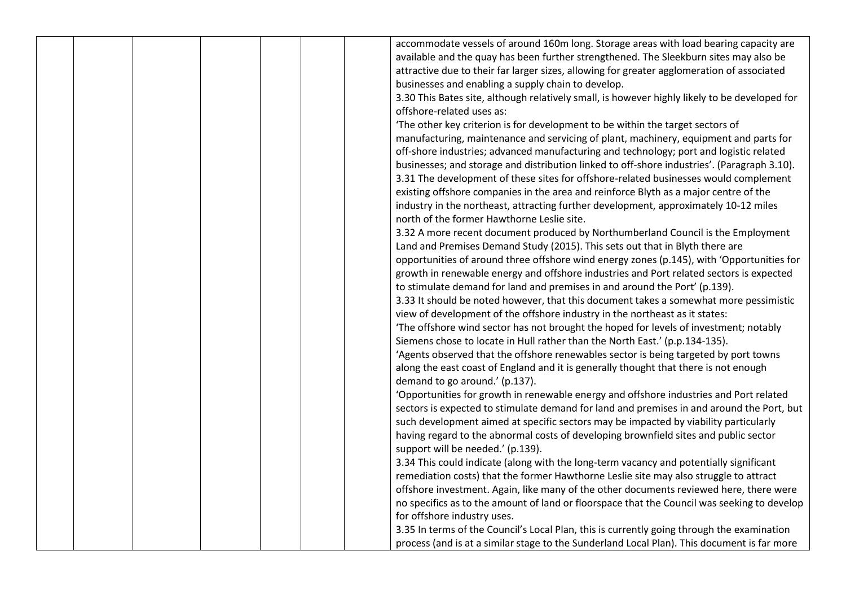|  |  |  | accommodate vessels of around 160m long. Storage areas with load bearing capacity are         |
|--|--|--|-----------------------------------------------------------------------------------------------|
|  |  |  | available and the quay has been further strengthened. The Sleekburn sites may also be         |
|  |  |  | attractive due to their far larger sizes, allowing for greater agglomeration of associated    |
|  |  |  | businesses and enabling a supply chain to develop.                                            |
|  |  |  | 3.30 This Bates site, although relatively small, is however highly likely to be developed for |
|  |  |  | offshore-related uses as:                                                                     |
|  |  |  | 'The other key criterion is for development to be within the target sectors of                |
|  |  |  | manufacturing, maintenance and servicing of plant, machinery, equipment and parts for         |
|  |  |  | off-shore industries; advanced manufacturing and technology; port and logistic related        |
|  |  |  | businesses; and storage and distribution linked to off-shore industries'. (Paragraph 3.10).   |
|  |  |  | 3.31 The development of these sites for offshore-related businesses would complement          |
|  |  |  | existing offshore companies in the area and reinforce Blyth as a major centre of the          |
|  |  |  | industry in the northeast, attracting further development, approximately 10-12 miles          |
|  |  |  | north of the former Hawthorne Leslie site.                                                    |
|  |  |  | 3.32 A more recent document produced by Northumberland Council is the Employment              |
|  |  |  | Land and Premises Demand Study (2015). This sets out that in Blyth there are                  |
|  |  |  | opportunities of around three offshore wind energy zones (p.145), with 'Opportunities for     |
|  |  |  | growth in renewable energy and offshore industries and Port related sectors is expected       |
|  |  |  | to stimulate demand for land and premises in and around the Port' (p.139).                    |
|  |  |  | 3.33 It should be noted however, that this document takes a somewhat more pessimistic         |
|  |  |  | view of development of the offshore industry in the northeast as it states:                   |
|  |  |  | 'The offshore wind sector has not brought the hoped for levels of investment; notably         |
|  |  |  | Siemens chose to locate in Hull rather than the North East.' (p.p.134-135).                   |
|  |  |  | 'Agents observed that the offshore renewables sector is being targeted by port towns          |
|  |  |  | along the east coast of England and it is generally thought that there is not enough          |
|  |  |  | demand to go around.' (p.137).                                                                |
|  |  |  | 'Opportunities for growth in renewable energy and offshore industries and Port related        |
|  |  |  | sectors is expected to stimulate demand for land and premises in and around the Port, but     |
|  |  |  | such development aimed at specific sectors may be impacted by viability particularly          |
|  |  |  | having regard to the abnormal costs of developing brownfield sites and public sector          |
|  |  |  | support will be needed.' (p.139).                                                             |
|  |  |  | 3.34 This could indicate (along with the long-term vacancy and potentially significant        |
|  |  |  | remediation costs) that the former Hawthorne Leslie site may also struggle to attract         |
|  |  |  | offshore investment. Again, like many of the other documents reviewed here, there were        |
|  |  |  | no specifics as to the amount of land or floorspace that the Council was seeking to develop   |
|  |  |  | for offshore industry uses.                                                                   |
|  |  |  | 3.35 In terms of the Council's Local Plan, this is currently going through the examination    |
|  |  |  | process (and is at a similar stage to the Sunderland Local Plan). This document is far more   |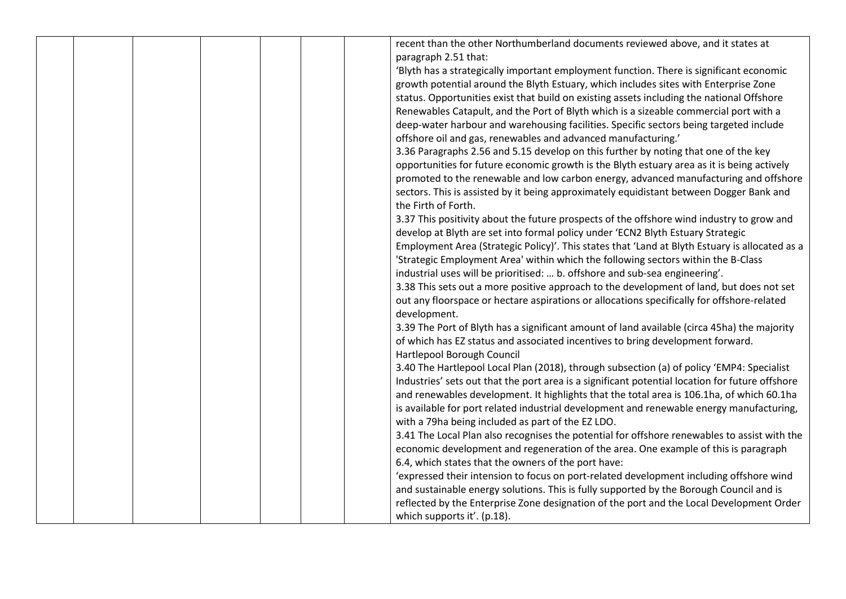|  |  |  | recent than the other Northumberland documents reviewed above, and it states at                                         |
|--|--|--|-------------------------------------------------------------------------------------------------------------------------|
|  |  |  | paragraph 2.51 that:                                                                                                    |
|  |  |  | 'Blyth has a strategically important employment function. There is significant economic                                 |
|  |  |  | growth potential around the Blyth Estuary, which includes sites with Enterprise Zone                                    |
|  |  |  | status. Opportunities exist that build on existing assets including the national Offshore                               |
|  |  |  | Renewables Catapult, and the Port of Blyth which is a sizeable commercial port with a                                   |
|  |  |  | deep-water harbour and warehousing facilities. Specific sectors being targeted include                                  |
|  |  |  | offshore oil and gas, renewables and advanced manufacturing.'                                                           |
|  |  |  | 3.36 Paragraphs 2.56 and 5.15 develop on this further by noting that one of the key                                     |
|  |  |  | opportunities for future economic growth is the Blyth estuary area as it is being actively                              |
|  |  |  | promoted to the renewable and low carbon energy, advanced manufacturing and offshore                                    |
|  |  |  | sectors. This is assisted by it being approximately equidistant between Dogger Bank and                                 |
|  |  |  | the Firth of Forth.                                                                                                     |
|  |  |  | 3.37 This positivity about the future prospects of the offshore wind industry to grow and                               |
|  |  |  | develop at Blyth are set into formal policy under 'ECN2 Blyth Estuary Strategic                                         |
|  |  |  | Employment Area (Strategic Policy)'. This states that 'Land at Blyth Estuary is allocated as a                          |
|  |  |  | 'Strategic Employment Area' within which the following sectors within the B-Class                                       |
|  |  |  | industrial uses will be prioritised:  b. offshore and sub-sea engineering'.                                             |
|  |  |  | 3.38 This sets out a more positive approach to the development of land, but does not set                                |
|  |  |  | out any floorspace or hectare aspirations or allocations specifically for offshore-related                              |
|  |  |  | development.                                                                                                            |
|  |  |  | 3.39 The Port of Blyth has a significant amount of land available (circa 45ha) the majority                             |
|  |  |  | of which has EZ status and associated incentives to bring development forward.                                          |
|  |  |  | Hartlepool Borough Council                                                                                              |
|  |  |  | 3.40 The Hartlepool Local Plan (2018), through subsection (a) of policy 'EMP4: Specialist                               |
|  |  |  | Industries' sets out that the port area is a significant potential location for future offshore                         |
|  |  |  | and renewables development. It highlights that the total area is 106.1ha, of which 60.1ha                               |
|  |  |  | is available for port related industrial development and renewable energy manufacturing,                                |
|  |  |  | with a 79ha being included as part of the EZ LDO.                                                                       |
|  |  |  | 3.41 The Local Plan also recognises the potential for offshore renewables to assist with the                            |
|  |  |  | economic development and regeneration of the area. One example of this is paragraph                                     |
|  |  |  | 6.4, which states that the owners of the port have:                                                                     |
|  |  |  | 'expressed their intension to focus on port-related development including offshore wind                                 |
|  |  |  | and sustainable energy solutions. This is fully supported by the Borough Council and is                                 |
|  |  |  | reflected by the Enterprise Zone designation of the port and the Local Development Order<br>which supports it'. (p.18). |
|  |  |  |                                                                                                                         |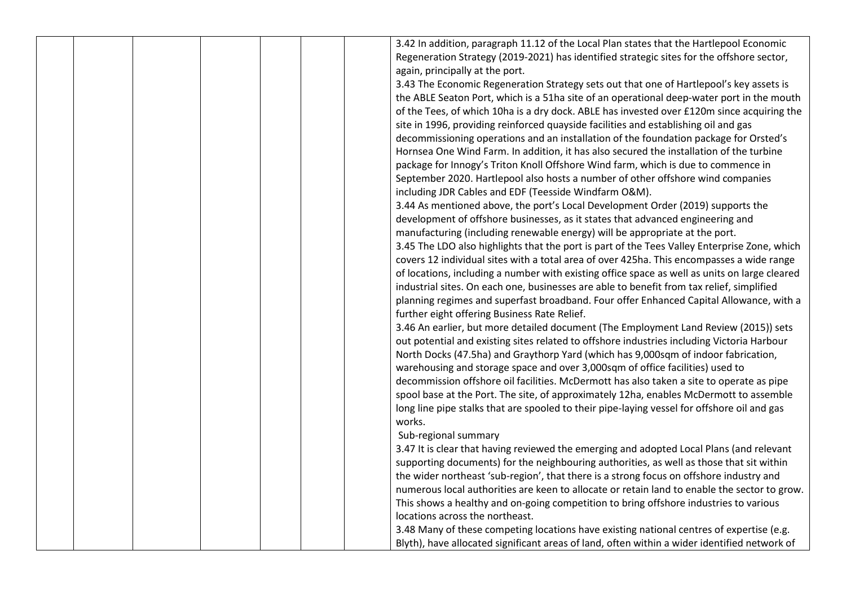| 3.42 In addition, paragraph 11.12 of the Local Plan states that the Hartlepool Economic<br>Regeneration Strategy (2019-2021) has identified strategic sites for the offshore sector,<br>again, principally at the port.<br>3.43 The Economic Regeneration Strategy sets out that one of Hartlepool's key assets is<br>the ABLE Seaton Port, which is a 51ha site of an operational deep-water port in the mouth<br>of the Tees, of which 10ha is a dry dock. ABLE has invested over £120m since acquiring the<br>site in 1996, providing reinforced quayside facilities and establishing oil and gas |  |
|------------------------------------------------------------------------------------------------------------------------------------------------------------------------------------------------------------------------------------------------------------------------------------------------------------------------------------------------------------------------------------------------------------------------------------------------------------------------------------------------------------------------------------------------------------------------------------------------------|--|
|                                                                                                                                                                                                                                                                                                                                                                                                                                                                                                                                                                                                      |  |
|                                                                                                                                                                                                                                                                                                                                                                                                                                                                                                                                                                                                      |  |
|                                                                                                                                                                                                                                                                                                                                                                                                                                                                                                                                                                                                      |  |
|                                                                                                                                                                                                                                                                                                                                                                                                                                                                                                                                                                                                      |  |
|                                                                                                                                                                                                                                                                                                                                                                                                                                                                                                                                                                                                      |  |
|                                                                                                                                                                                                                                                                                                                                                                                                                                                                                                                                                                                                      |  |
|                                                                                                                                                                                                                                                                                                                                                                                                                                                                                                                                                                                                      |  |
| decommissioning operations and an installation of the foundation package for Orsted's                                                                                                                                                                                                                                                                                                                                                                                                                                                                                                                |  |
| Hornsea One Wind Farm. In addition, it has also secured the installation of the turbine                                                                                                                                                                                                                                                                                                                                                                                                                                                                                                              |  |
| package for Innogy's Triton Knoll Offshore Wind farm, which is due to commence in                                                                                                                                                                                                                                                                                                                                                                                                                                                                                                                    |  |
| September 2020. Hartlepool also hosts a number of other offshore wind companies                                                                                                                                                                                                                                                                                                                                                                                                                                                                                                                      |  |
| including JDR Cables and EDF (Teesside Windfarm O&M).                                                                                                                                                                                                                                                                                                                                                                                                                                                                                                                                                |  |
| 3.44 As mentioned above, the port's Local Development Order (2019) supports the                                                                                                                                                                                                                                                                                                                                                                                                                                                                                                                      |  |
| development of offshore businesses, as it states that advanced engineering and                                                                                                                                                                                                                                                                                                                                                                                                                                                                                                                       |  |
| manufacturing (including renewable energy) will be appropriate at the port.                                                                                                                                                                                                                                                                                                                                                                                                                                                                                                                          |  |
| 3.45 The LDO also highlights that the port is part of the Tees Valley Enterprise Zone, which                                                                                                                                                                                                                                                                                                                                                                                                                                                                                                         |  |
| covers 12 individual sites with a total area of over 425ha. This encompasses a wide range                                                                                                                                                                                                                                                                                                                                                                                                                                                                                                            |  |
| of locations, including a number with existing office space as well as units on large cleared                                                                                                                                                                                                                                                                                                                                                                                                                                                                                                        |  |
| industrial sites. On each one, businesses are able to benefit from tax relief, simplified                                                                                                                                                                                                                                                                                                                                                                                                                                                                                                            |  |
| planning regimes and superfast broadband. Four offer Enhanced Capital Allowance, with a                                                                                                                                                                                                                                                                                                                                                                                                                                                                                                              |  |
| further eight offering Business Rate Relief.                                                                                                                                                                                                                                                                                                                                                                                                                                                                                                                                                         |  |
| 3.46 An earlier, but more detailed document (The Employment Land Review (2015)) sets                                                                                                                                                                                                                                                                                                                                                                                                                                                                                                                 |  |
| out potential and existing sites related to offshore industries including Victoria Harbour                                                                                                                                                                                                                                                                                                                                                                                                                                                                                                           |  |
| North Docks (47.5ha) and Graythorp Yard (which has 9,000sqm of indoor fabrication,                                                                                                                                                                                                                                                                                                                                                                                                                                                                                                                   |  |
| warehousing and storage space and over 3,000sqm of office facilities) used to                                                                                                                                                                                                                                                                                                                                                                                                                                                                                                                        |  |
| decommission offshore oil facilities. McDermott has also taken a site to operate as pipe                                                                                                                                                                                                                                                                                                                                                                                                                                                                                                             |  |
| spool base at the Port. The site, of approximately 12ha, enables McDermott to assemble                                                                                                                                                                                                                                                                                                                                                                                                                                                                                                               |  |
| long line pipe stalks that are spooled to their pipe-laying vessel for offshore oil and gas                                                                                                                                                                                                                                                                                                                                                                                                                                                                                                          |  |
| works.                                                                                                                                                                                                                                                                                                                                                                                                                                                                                                                                                                                               |  |
| Sub-regional summary                                                                                                                                                                                                                                                                                                                                                                                                                                                                                                                                                                                 |  |
| 3.47 It is clear that having reviewed the emerging and adopted Local Plans (and relevant                                                                                                                                                                                                                                                                                                                                                                                                                                                                                                             |  |
| supporting documents) for the neighbouring authorities, as well as those that sit within                                                                                                                                                                                                                                                                                                                                                                                                                                                                                                             |  |
| the wider northeast 'sub-region', that there is a strong focus on offshore industry and                                                                                                                                                                                                                                                                                                                                                                                                                                                                                                              |  |
| numerous local authorities are keen to allocate or retain land to enable the sector to grow.                                                                                                                                                                                                                                                                                                                                                                                                                                                                                                         |  |
| This shows a healthy and on-going competition to bring offshore industries to various                                                                                                                                                                                                                                                                                                                                                                                                                                                                                                                |  |
| locations across the northeast.                                                                                                                                                                                                                                                                                                                                                                                                                                                                                                                                                                      |  |
| 3.48 Many of these competing locations have existing national centres of expertise (e.g.                                                                                                                                                                                                                                                                                                                                                                                                                                                                                                             |  |
| Blyth), have allocated significant areas of land, often within a wider identified network of                                                                                                                                                                                                                                                                                                                                                                                                                                                                                                         |  |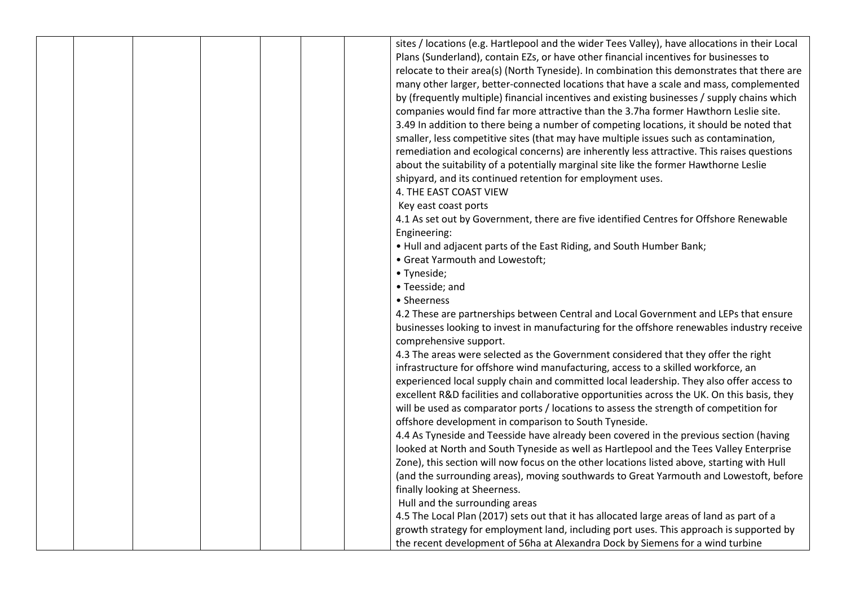|  |  |  | sites / locations (e.g. Hartlepool and the wider Tees Valley), have allocations in their Local |
|--|--|--|------------------------------------------------------------------------------------------------|
|  |  |  | Plans (Sunderland), contain EZs, or have other financial incentives for businesses to          |
|  |  |  | relocate to their area(s) (North Tyneside). In combination this demonstrates that there are    |
|  |  |  | many other larger, better-connected locations that have a scale and mass, complemented         |
|  |  |  | by (frequently multiple) financial incentives and existing businesses / supply chains which    |
|  |  |  | companies would find far more attractive than the 3.7ha former Hawthorn Leslie site.           |
|  |  |  | 3.49 In addition to there being a number of competing locations, it should be noted that       |
|  |  |  | smaller, less competitive sites (that may have multiple issues such as contamination,          |
|  |  |  | remediation and ecological concerns) are inherently less attractive. This raises questions     |
|  |  |  | about the suitability of a potentially marginal site like the former Hawthorne Leslie          |
|  |  |  | shipyard, and its continued retention for employment uses.                                     |
|  |  |  | 4. THE EAST COAST VIEW                                                                         |
|  |  |  | Key east coast ports                                                                           |
|  |  |  | 4.1 As set out by Government, there are five identified Centres for Offshore Renewable         |
|  |  |  | Engineering:                                                                                   |
|  |  |  | . Hull and adjacent parts of the East Riding, and South Humber Bank;                           |
|  |  |  | • Great Yarmouth and Lowestoft;                                                                |
|  |  |  | • Tyneside;                                                                                    |
|  |  |  | • Teesside; and                                                                                |
|  |  |  | • Sheerness                                                                                    |
|  |  |  | 4.2 These are partnerships between Central and Local Government and LEPs that ensure           |
|  |  |  | businesses looking to invest in manufacturing for the offshore renewables industry receive     |
|  |  |  | comprehensive support.                                                                         |
|  |  |  | 4.3 The areas were selected as the Government considered that they offer the right             |
|  |  |  | infrastructure for offshore wind manufacturing, access to a skilled workforce, an              |
|  |  |  | experienced local supply chain and committed local leadership. They also offer access to       |
|  |  |  | excellent R&D facilities and collaborative opportunities across the UK. On this basis, they    |
|  |  |  | will be used as comparator ports / locations to assess the strength of competition for         |
|  |  |  | offshore development in comparison to South Tyneside.                                          |
|  |  |  | 4.4 As Tyneside and Teesside have already been covered in the previous section (having         |
|  |  |  | looked at North and South Tyneside as well as Hartlepool and the Tees Valley Enterprise        |
|  |  |  | Zone), this section will now focus on the other locations listed above, starting with Hull     |
|  |  |  | (and the surrounding areas), moving southwards to Great Yarmouth and Lowestoft, before         |
|  |  |  | finally looking at Sheerness.                                                                  |
|  |  |  | Hull and the surrounding areas                                                                 |
|  |  |  | 4.5 The Local Plan (2017) sets out that it has allocated large areas of land as part of a      |
|  |  |  | growth strategy for employment land, including port uses. This approach is supported by        |
|  |  |  | the recent development of 56ha at Alexandra Dock by Siemens for a wind turbine                 |
|  |  |  |                                                                                                |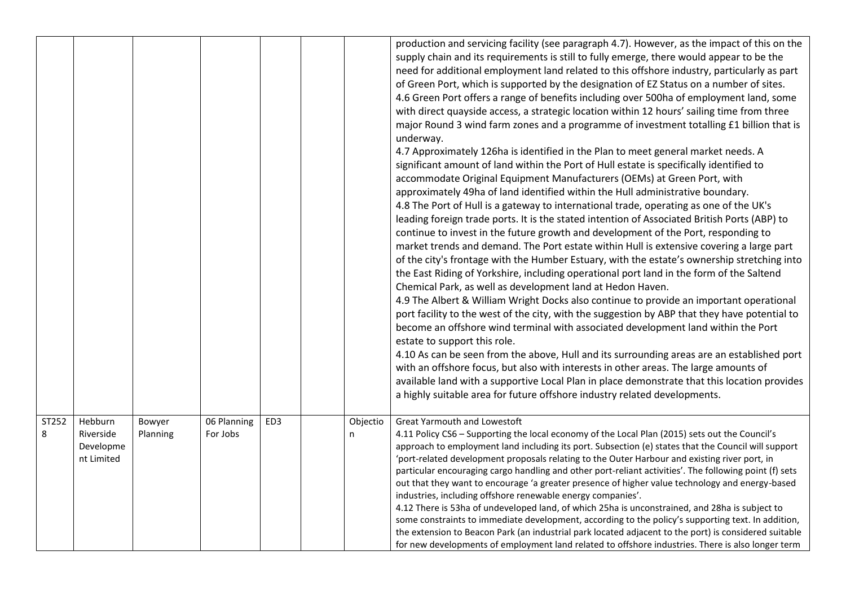|       |                                      |          |             |                 |          | production and servicing facility (see paragraph 4.7). However, as the impact of this on the<br>supply chain and its requirements is still to fully emerge, there would appear to be the<br>need for additional employment land related to this offshore industry, particularly as part<br>of Green Port, which is supported by the designation of EZ Status on a number of sites.<br>4.6 Green Port offers a range of benefits including over 500ha of employment land, some<br>with direct quayside access, a strategic location within 12 hours' sailing time from three<br>major Round 3 wind farm zones and a programme of investment totalling £1 billion that is<br>underway.<br>4.7 Approximately 126ha is identified in the Plan to meet general market needs. A<br>significant amount of land within the Port of Hull estate is specifically identified to<br>accommodate Original Equipment Manufacturers (OEMs) at Green Port, with<br>approximately 49ha of land identified within the Hull administrative boundary.<br>4.8 The Port of Hull is a gateway to international trade, operating as one of the UK's<br>leading foreign trade ports. It is the stated intention of Associated British Ports (ABP) to<br>continue to invest in the future growth and development of the Port, responding to<br>market trends and demand. The Port estate within Hull is extensive covering a large part<br>of the city's frontage with the Humber Estuary, with the estate's ownership stretching into<br>the East Riding of Yorkshire, including operational port land in the form of the Saltend<br>Chemical Park, as well as development land at Hedon Haven.<br>4.9 The Albert & William Wright Docks also continue to provide an important operational<br>port facility to the west of the city, with the suggestion by ABP that they have potential to<br>become an offshore wind terminal with associated development land within the Port<br>estate to support this role.<br>4.10 As can be seen from the above, Hull and its surrounding areas are an established port<br>with an offshore focus, but also with interests in other areas. The large amounts of<br>available land with a supportive Local Plan in place demonstrate that this location provides<br>a highly suitable area for future offshore industry related developments. |
|-------|--------------------------------------|----------|-------------|-----------------|----------|------------------------------------------------------------------------------------------------------------------------------------------------------------------------------------------------------------------------------------------------------------------------------------------------------------------------------------------------------------------------------------------------------------------------------------------------------------------------------------------------------------------------------------------------------------------------------------------------------------------------------------------------------------------------------------------------------------------------------------------------------------------------------------------------------------------------------------------------------------------------------------------------------------------------------------------------------------------------------------------------------------------------------------------------------------------------------------------------------------------------------------------------------------------------------------------------------------------------------------------------------------------------------------------------------------------------------------------------------------------------------------------------------------------------------------------------------------------------------------------------------------------------------------------------------------------------------------------------------------------------------------------------------------------------------------------------------------------------------------------------------------------------------------------------------------------------------------------------------------------------------------------------------------------------------------------------------------------------------------------------------------------------------------------------------------------------------------------------------------------------------------------------------------------------------------------------------------------------------------------------------------------------------------------------------------------------------------------------------------|
| ST252 | Hebburn                              | Bowyer   | 06 Planning | ED <sub>3</sub> | Objectio | Great Yarmouth and Lowestoft                                                                                                                                                                                                                                                                                                                                                                                                                                                                                                                                                                                                                                                                                                                                                                                                                                                                                                                                                                                                                                                                                                                                                                                                                                                                                                                                                                                                                                                                                                                                                                                                                                                                                                                                                                                                                                                                                                                                                                                                                                                                                                                                                                                                                                                                                                                               |
| 8     | Riverside<br>Developme<br>nt Limited | Planning | For Jobs    |                 | n        | 4.11 Policy CS6 - Supporting the local economy of the Local Plan (2015) sets out the Council's<br>approach to employment land including its port. Subsection (e) states that the Council will support<br>'port-related development proposals relating to the Outer Harbour and existing river port, in<br>particular encouraging cargo handling and other port-reliant activities'. The following point (f) sets<br>out that they want to encourage 'a greater presence of higher value technology and energy-based<br>industries, including offshore renewable energy companies'.<br>4.12 There is 53ha of undeveloped land, of which 25ha is unconstrained, and 28ha is subject to<br>some constraints to immediate development, according to the policy's supporting text. In addition,<br>the extension to Beacon Park (an industrial park located adjacent to the port) is considered suitable<br>for new developments of employment land related to offshore industries. There is also longer term                                                                                                                                                                                                                                                                                                                                                                                                                                                                                                                                                                                                                                                                                                                                                                                                                                                                                                                                                                                                                                                                                                                                                                                                                                                                                                                                                   |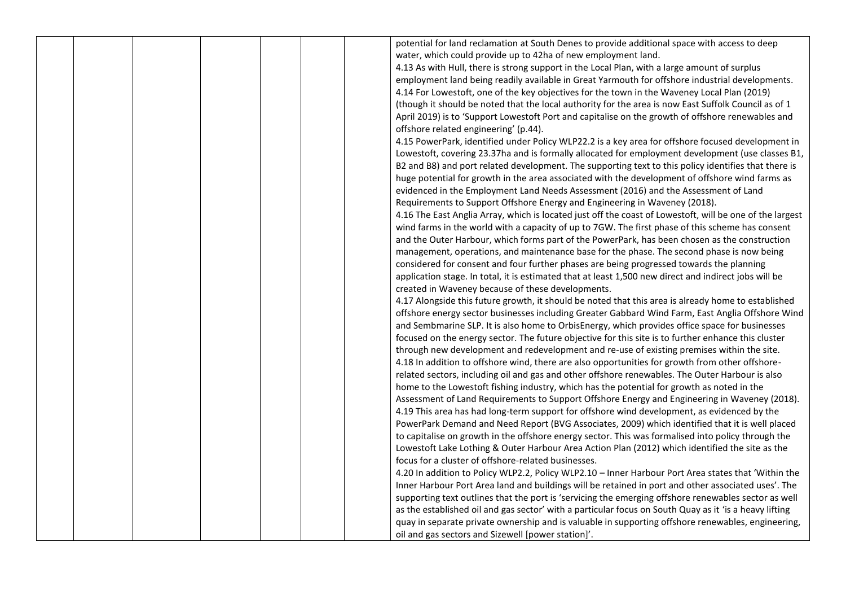|  |  |  | potential for land reclamation at South Denes to provide additional space with access to deep            |
|--|--|--|----------------------------------------------------------------------------------------------------------|
|  |  |  | water, which could provide up to 42ha of new employment land.                                            |
|  |  |  | 4.13 As with Hull, there is strong support in the Local Plan, with a large amount of surplus             |
|  |  |  | employment land being readily available in Great Yarmouth for offshore industrial developments.          |
|  |  |  | 4.14 For Lowestoft, one of the key objectives for the town in the Waveney Local Plan (2019)              |
|  |  |  | (though it should be noted that the local authority for the area is now East Suffolk Council as of 1     |
|  |  |  | April 2019) is to 'Support Lowestoft Port and capitalise on the growth of offshore renewables and        |
|  |  |  | offshore related engineering' (p.44).                                                                    |
|  |  |  | 4.15 PowerPark, identified under Policy WLP22.2 is a key area for offshore focused development in        |
|  |  |  | Lowestoft, covering 23.37ha and is formally allocated for employment development (use classes B1,        |
|  |  |  | B2 and B8) and port related development. The supporting text to this policy identifies that there is     |
|  |  |  | huge potential for growth in the area associated with the development of offshore wind farms as          |
|  |  |  | evidenced in the Employment Land Needs Assessment (2016) and the Assessment of Land                      |
|  |  |  | Requirements to Support Offshore Energy and Engineering in Waveney (2018).                               |
|  |  |  | 4.16 The East Anglia Array, which is located just off the coast of Lowestoft, will be one of the largest |
|  |  |  | wind farms in the world with a capacity of up to 7GW. The first phase of this scheme has consent         |
|  |  |  | and the Outer Harbour, which forms part of the PowerPark, has been chosen as the construction            |
|  |  |  | management, operations, and maintenance base for the phase. The second phase is now being                |
|  |  |  | considered for consent and four further phases are being progressed towards the planning                 |
|  |  |  | application stage. In total, it is estimated that at least 1,500 new direct and indirect jobs will be    |
|  |  |  | created in Waveney because of these developments.                                                        |
|  |  |  | 4.17 Alongside this future growth, it should be noted that this area is already home to established      |
|  |  |  | offshore energy sector businesses including Greater Gabbard Wind Farm, East Anglia Offshore Wind         |
|  |  |  | and Sembmarine SLP. It is also home to OrbisEnergy, which provides office space for businesses           |
|  |  |  | focused on the energy sector. The future objective for this site is to further enhance this cluster      |
|  |  |  | through new development and redevelopment and re-use of existing premises within the site.               |
|  |  |  | 4.18 In addition to offshore wind, there are also opportunities for growth from other offshore-          |
|  |  |  | related sectors, including oil and gas and other offshore renewables. The Outer Harbour is also          |
|  |  |  | home to the Lowestoft fishing industry, which has the potential for growth as noted in the               |
|  |  |  | Assessment of Land Requirements to Support Offshore Energy and Engineering in Waveney (2018).            |
|  |  |  | 4.19 This area has had long-term support for offshore wind development, as evidenced by the              |
|  |  |  | PowerPark Demand and Need Report (BVG Associates, 2009) which identified that it is well placed          |
|  |  |  | to capitalise on growth in the offshore energy sector. This was formalised into policy through the       |
|  |  |  | Lowestoft Lake Lothing & Outer Harbour Area Action Plan (2012) which identified the site as the          |
|  |  |  | focus for a cluster of offshore-related businesses.                                                      |
|  |  |  | 4.20 In addition to Policy WLP2.2, Policy WLP2.10 - Inner Harbour Port Area states that 'Within the      |
|  |  |  | Inner Harbour Port Area land and buildings will be retained in port and other associated uses'. The      |
|  |  |  | supporting text outlines that the port is 'servicing the emerging offshore renewables sector as well     |
|  |  |  | as the established oil and gas sector' with a particular focus on South Quay as it 'is a heavy lifting   |
|  |  |  | quay in separate private ownership and is valuable in supporting offshore renewables, engineering,       |
|  |  |  | oil and gas sectors and Sizewell [power station]'.                                                       |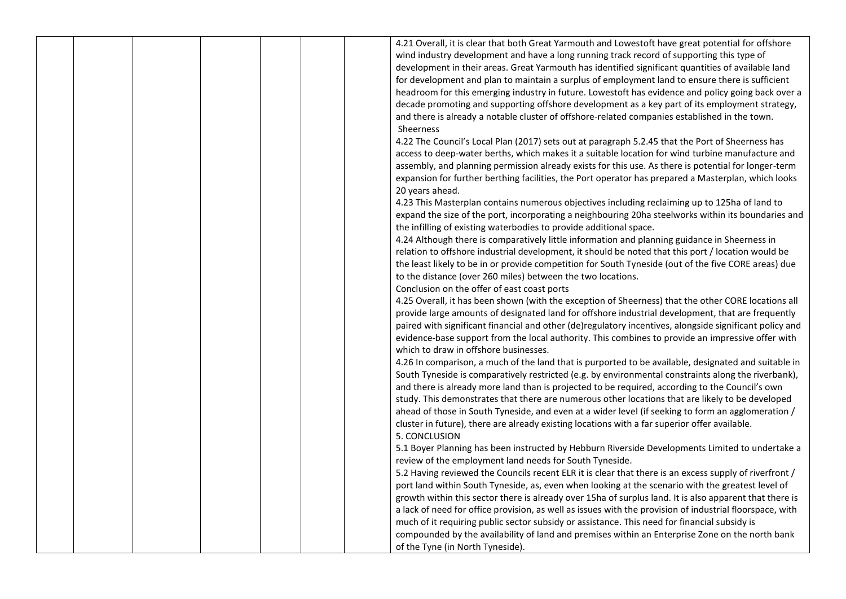|  |  | 4.21 Overall, it is clear that both Great Yarmouth and Lowestoft have great potential for offshore       |
|--|--|----------------------------------------------------------------------------------------------------------|
|  |  | wind industry development and have a long running track record of supporting this type of                |
|  |  | development in their areas. Great Yarmouth has identified significant quantities of available land       |
|  |  | for development and plan to maintain a surplus of employment land to ensure there is sufficient          |
|  |  | headroom for this emerging industry in future. Lowestoft has evidence and policy going back over a       |
|  |  | decade promoting and supporting offshore development as a key part of its employment strategy,           |
|  |  | and there is already a notable cluster of offshore-related companies established in the town.            |
|  |  | Sheerness                                                                                                |
|  |  | 4.22 The Council's Local Plan (2017) sets out at paragraph 5.2.45 that the Port of Sheerness has         |
|  |  | access to deep-water berths, which makes it a suitable location for wind turbine manufacture and         |
|  |  | assembly, and planning permission already exists for this use. As there is potential for longer-term     |
|  |  | expansion for further berthing facilities, the Port operator has prepared a Masterplan, which looks      |
|  |  | 20 years ahead.                                                                                          |
|  |  | 4.23 This Masterplan contains numerous objectives including reclaiming up to 125ha of land to            |
|  |  | expand the size of the port, incorporating a neighbouring 20ha steelworks within its boundaries and      |
|  |  | the infilling of existing waterbodies to provide additional space.                                       |
|  |  | 4.24 Although there is comparatively little information and planning guidance in Sheerness in            |
|  |  | relation to offshore industrial development, it should be noted that this port / location would be       |
|  |  | the least likely to be in or provide competition for South Tyneside (out of the five CORE areas) due     |
|  |  | to the distance (over 260 miles) between the two locations.                                              |
|  |  | Conclusion on the offer of east coast ports                                                              |
|  |  | 4.25 Overall, it has been shown (with the exception of Sheerness) that the other CORE locations all      |
|  |  | provide large amounts of designated land for offshore industrial development, that are frequently        |
|  |  | paired with significant financial and other (de)regulatory incentives, alongside significant policy and  |
|  |  | evidence-base support from the local authority. This combines to provide an impressive offer with        |
|  |  | which to draw in offshore businesses.                                                                    |
|  |  |                                                                                                          |
|  |  | 4.26 In comparison, a much of the land that is purported to be available, designated and suitable in     |
|  |  | South Tyneside is comparatively restricted (e.g. by environmental constraints along the riverbank),      |
|  |  | and there is already more land than is projected to be required, according to the Council's own          |
|  |  | study. This demonstrates that there are numerous other locations that are likely to be developed         |
|  |  | ahead of those in South Tyneside, and even at a wider level (if seeking to form an agglomeration /       |
|  |  | cluster in future), there are already existing locations with a far superior offer available.            |
|  |  | 5. CONCLUSION                                                                                            |
|  |  | 5.1 Boyer Planning has been instructed by Hebburn Riverside Developments Limited to undertake a          |
|  |  | review of the employment land needs for South Tyneside.                                                  |
|  |  | 5.2 Having reviewed the Councils recent ELR it is clear that there is an excess supply of riverfront /   |
|  |  | port land within South Tyneside, as, even when looking at the scenario with the greatest level of        |
|  |  | growth within this sector there is already over 15ha of surplus land. It is also apparent that there is  |
|  |  | a lack of need for office provision, as well as issues with the provision of industrial floorspace, with |
|  |  | much of it requiring public sector subsidy or assistance. This need for financial subsidy is             |
|  |  | compounded by the availability of land and premises within an Enterprise Zone on the north bank          |
|  |  | of the Tyne (in North Tyneside).                                                                         |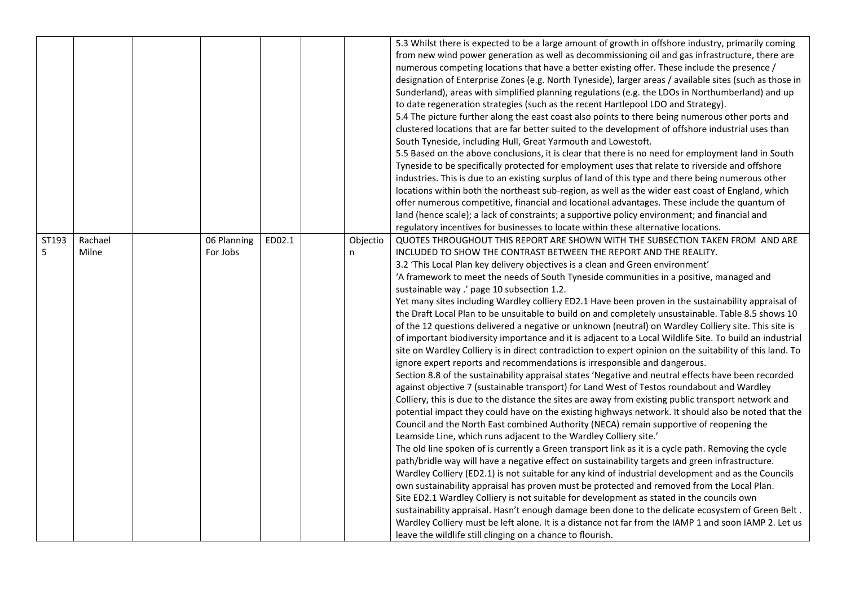|       |         |             |        |          | 5.3 Whilst there is expected to be a large amount of growth in offshore industry, primarily coming        |
|-------|---------|-------------|--------|----------|-----------------------------------------------------------------------------------------------------------|
|       |         |             |        |          | from new wind power generation as well as decommissioning oil and gas infrastructure, there are           |
|       |         |             |        |          | numerous competing locations that have a better existing offer. These include the presence /              |
|       |         |             |        |          | designation of Enterprise Zones (e.g. North Tyneside), larger areas / available sites (such as those in   |
|       |         |             |        |          | Sunderland), areas with simplified planning regulations (e.g. the LDOs in Northumberland) and up          |
|       |         |             |        |          | to date regeneration strategies (such as the recent Hartlepool LDO and Strategy).                         |
|       |         |             |        |          | 5.4 The picture further along the east coast also points to there being numerous other ports and          |
|       |         |             |        |          | clustered locations that are far better suited to the development of offshore industrial uses than        |
|       |         |             |        |          | South Tyneside, including Hull, Great Yarmouth and Lowestoft.                                             |
|       |         |             |        |          | 5.5 Based on the above conclusions, it is clear that there is no need for employment land in South        |
|       |         |             |        |          | Tyneside to be specifically protected for employment uses that relate to riverside and offshore           |
|       |         |             |        |          | industries. This is due to an existing surplus of land of this type and there being numerous other        |
|       |         |             |        |          | locations within both the northeast sub-region, as well as the wider east coast of England, which         |
|       |         |             |        |          | offer numerous competitive, financial and locational advantages. These include the quantum of             |
|       |         |             |        |          | land (hence scale); a lack of constraints; a supportive policy environment; and financial and             |
|       |         |             |        |          | regulatory incentives for businesses to locate within these alternative locations.                        |
| ST193 | Rachael | 06 Planning | ED02.1 | Objectio | QUOTES THROUGHOUT THIS REPORT ARE SHOWN WITH THE SUBSECTION TAKEN FROM AND ARE                            |
| 5     | Milne   | For Jobs    |        | n        | INCLUDED TO SHOW THE CONTRAST BETWEEN THE REPORT AND THE REALITY.                                         |
|       |         |             |        |          | 3.2 'This Local Plan key delivery objectives is a clean and Green environment'                            |
|       |         |             |        |          | 'A framework to meet the needs of South Tyneside communities in a positive, managed and                   |
|       |         |             |        |          | sustainable way .' page 10 subsection 1.2.                                                                |
|       |         |             |        |          | Yet many sites including Wardley colliery ED2.1 Have been proven in the sustainability appraisal of       |
|       |         |             |        |          | the Draft Local Plan to be unsuitable to build on and completely unsustainable. Table 8.5 shows 10        |
|       |         |             |        |          | of the 12 questions delivered a negative or unknown (neutral) on Wardley Colliery site. This site is      |
|       |         |             |        |          | of important biodiversity importance and it is adjacent to a Local Wildlife Site. To build an industrial  |
|       |         |             |        |          | site on Wardley Colliery is in direct contradiction to expert opinion on the suitability of this land. To |
|       |         |             |        |          | ignore expert reports and recommendations is irresponsible and dangerous.                                 |
|       |         |             |        |          | Section 8.8 of the sustainability appraisal states 'Negative and neutral effects have been recorded       |
|       |         |             |        |          | against objective 7 (sustainable transport) for Land West of Testos roundabout and Wardley                |
|       |         |             |        |          | Colliery, this is due to the distance the sites are away from existing public transport network and       |
|       |         |             |        |          | potential impact they could have on the existing highways network. It should also be noted that the       |
|       |         |             |        |          | Council and the North East combined Authority (NECA) remain supportive of reopening the                   |
|       |         |             |        |          | Leamside Line, which runs adjacent to the Wardley Colliery site.'                                         |
|       |         |             |        |          | The old line spoken of is currently a Green transport link as it is a cycle path. Removing the cycle      |
|       |         |             |        |          | path/bridle way will have a negative effect on sustainability targets and green infrastructure.           |
|       |         |             |        |          | Wardley Colliery (ED2.1) is not suitable for any kind of industrial development and as the Councils       |
|       |         |             |        |          | own sustainability appraisal has proven must be protected and removed from the Local Plan.                |
|       |         |             |        |          | Site ED2.1 Wardley Colliery is not suitable for development as stated in the councils own                 |
|       |         |             |        |          | sustainability appraisal. Hasn't enough damage been done to the delicate ecosystem of Green Belt.         |
|       |         |             |        |          | Wardley Colliery must be left alone. It is a distance not far from the IAMP 1 and soon IAMP 2. Let us     |
|       |         |             |        |          | leave the wildlife still clinging on a chance to flourish.                                                |